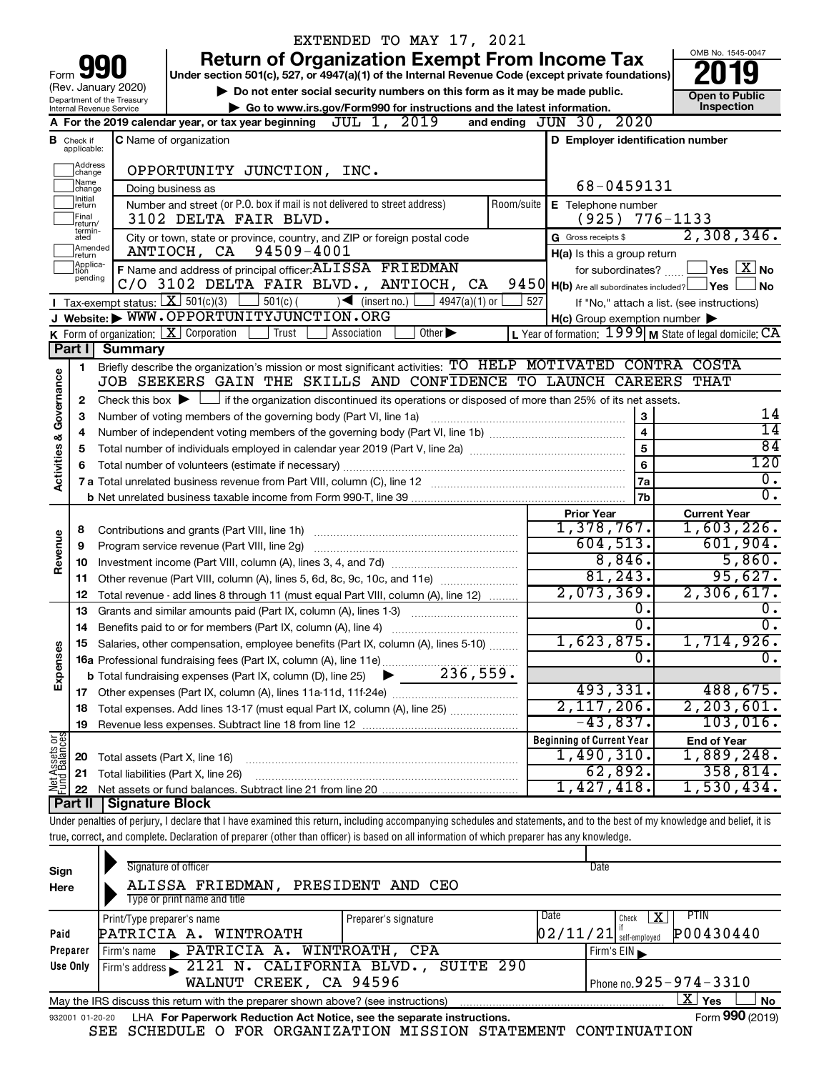|                                    |                                  |                                                                        |                                                                                                                                                                            | EXTENDED TO MAY 17, 2021                                                    |            |                                                       |                                                           |  |  |
|------------------------------------|----------------------------------|------------------------------------------------------------------------|----------------------------------------------------------------------------------------------------------------------------------------------------------------------------|-----------------------------------------------------------------------------|------------|-------------------------------------------------------|-----------------------------------------------------------|--|--|
|                                    |                                  |                                                                        |                                                                                                                                                                            | <b>Return of Organization Exempt From Income Tax</b>                        |            |                                                       | OMB No. 1545-0047                                         |  |  |
| Form                               |                                  |                                                                        | Under section 501(c), 527, or 4947(a)(1) of the Internal Revenue Code (except private foundations)                                                                         |                                                                             |            |                                                       |                                                           |  |  |
|                                    |                                  | (Rev. January 2020)<br>Department of the Treasury                      |                                                                                                                                                                            | Do not enter social security numbers on this form as it may be made public. |            | <b>Open to Public</b>                                 |                                                           |  |  |
|                                    | Internal Revenue Service         | Go to www.irs.gov/Form990 for instructions and the latest information. | Inspection                                                                                                                                                                 |                                                                             |            |                                                       |                                                           |  |  |
|                                    |                                  |                                                                        | A For the 2019 calendar year, or tax year beginning $JUL 1, 2019$                                                                                                          |                                                                             |            | 2020<br>and ending $JUN$ 30,                          |                                                           |  |  |
|                                    | <b>B</b> Check if<br>applicable: |                                                                        | <b>C</b> Name of organization                                                                                                                                              |                                                                             |            | D Employer identification number                      |                                                           |  |  |
|                                    | Address<br> change               |                                                                        | OPPORTUNITY JUNCTION, INC.                                                                                                                                                 |                                                                             |            |                                                       |                                                           |  |  |
|                                    | Name<br>change                   |                                                                        | Doing business as                                                                                                                                                          |                                                                             |            | 68-0459131                                            |                                                           |  |  |
|                                    | Initial<br>return                |                                                                        | Number and street (or P.O. box if mail is not delivered to street address)                                                                                                 |                                                                             | Room/suite | <b>E</b> Telephone number                             |                                                           |  |  |
|                                    | Final<br>return/                 |                                                                        | 3102 DELTA FAIR BLVD.                                                                                                                                                      |                                                                             |            | (925)                                                 | 776-1133                                                  |  |  |
|                                    | termin-<br>ated                  |                                                                        | City or town, state or province, country, and ZIP or foreign postal code                                                                                                   |                                                                             |            | G Gross receipts \$                                   | 2,308,346.                                                |  |  |
|                                    | Amended<br>return                |                                                                        | ANTIOCH, CA 94509-4001                                                                                                                                                     |                                                                             |            | H(a) Is this a group return                           |                                                           |  |  |
|                                    | Applica-<br>tion<br>pending      |                                                                        | F Name and address of principal officer: ALISSA FRIEDMAN                                                                                                                   |                                                                             |            |                                                       | for subordinates? $\Box$ $\Box$ Yes $\Box X$ No           |  |  |
|                                    |                                  |                                                                        | C/O 3102 DELTA FAIR BLVD., ANTIOCH, CA                                                                                                                                     |                                                                             |            | $9450$ H(b) Are all subordinates included? $\Box$ Yes | l No                                                      |  |  |
|                                    |                                  |                                                                        | <b>I</b> Tax-exempt status: $X \over 301(c)(3)$<br>$501(c)$ (                                                                                                              | $\sqrt{\frac{1}{1}}$ (insert no.)<br>$4947(a)(1)$ or                        | 527        |                                                       | If "No," attach a list. (see instructions)                |  |  |
|                                    |                                  |                                                                        | J Website: WWW.OPPORTUNITYJUNCTION.ORG                                                                                                                                     |                                                                             |            | $H(c)$ Group exemption number $\blacktriangleright$   |                                                           |  |  |
|                                    | Part I                           |                                                                        | K Form of organization: $X$ Corporation<br>  Trust                                                                                                                         | Other $\blacktriangleright$<br>Association                                  |            |                                                       | L Year of formation: $1999$ M State of legal domicile: CA |  |  |
|                                    |                                  | Summary                                                                | Briefly describe the organization's mission or most significant activities: TO HELP MOTIVATED CONTRA COSTA                                                                 |                                                                             |            |                                                       |                                                           |  |  |
|                                    | 1.                               |                                                                        | JOB SEEKERS GAIN THE SKILLS AND CONFIDENCE TO LAUNCH CAREERS                                                                                                               |                                                                             |            |                                                       | <b>THAT</b>                                               |  |  |
|                                    | 2                                |                                                                        | Check this box $\blacktriangleright$ $\Box$ if the organization discontinued its operations or disposed of more than 25% of its net assets.                                |                                                                             |            |                                                       |                                                           |  |  |
|                                    | 3                                |                                                                        | Number of voting members of the governing body (Part VI, line 1a)                                                                                                          |                                                                             |            | 3                                                     | 14                                                        |  |  |
|                                    | 4                                |                                                                        |                                                                                                                                                                            |                                                                             |            | $\overline{\mathbf{4}}$                               | $\overline{14}$                                           |  |  |
|                                    | 5                                | 5                                                                      |                                                                                                                                                                            |                                                                             |            |                                                       |                                                           |  |  |
| <b>Activities &amp; Governance</b> | 6                                |                                                                        |                                                                                                                                                                            |                                                                             |            | 6                                                     | 120                                                       |  |  |
|                                    |                                  |                                                                        |                                                                                                                                                                            |                                                                             |            | 7a                                                    | $\overline{0}$ .                                          |  |  |
|                                    |                                  |                                                                        |                                                                                                                                                                            |                                                                             |            | 7b                                                    | σ.                                                        |  |  |
|                                    |                                  |                                                                        |                                                                                                                                                                            |                                                                             |            | <b>Prior Year</b>                                     | <b>Current Year</b>                                       |  |  |
|                                    | 8                                |                                                                        |                                                                                                                                                                            |                                                                             |            | 1,378,767.                                            | 1,603,226.                                                |  |  |
| Revenue                            | 9                                |                                                                        | Program service revenue (Part VIII, line 2g)                                                                                                                               |                                                                             |            | 604,513.                                              | 601,904.                                                  |  |  |
|                                    | 10                               |                                                                        |                                                                                                                                                                            |                                                                             |            | 8,846.                                                | 5,860.                                                    |  |  |
|                                    | 11                               |                                                                        | Other revenue (Part VIII, column (A), lines 5, 6d, 8c, 9c, 10c, and 11e)                                                                                                   |                                                                             |            | 81, 243.<br>2,073,369.                                | 95,627.<br>2,306,617.                                     |  |  |
|                                    | 12                               |                                                                        | Total revenue - add lines 8 through 11 (must equal Part VIII, column (A), line 12)                                                                                         |                                                                             |            | 0.                                                    | 0.                                                        |  |  |
|                                    | 13                               |                                                                        | Grants and similar amounts paid (Part IX, column (A), lines 1-3)                                                                                                           |                                                                             |            | $\overline{0}$ .                                      | σ.                                                        |  |  |
|                                    | 14                               |                                                                        | Benefits paid to or for members (Part IX, column (A), line 4)<br>15 Salaries, other compensation, employee benefits (Part IX, column (A), lines 5-10)                      |                                                                             |            | 1,623,875.                                            | 1,714,926.                                                |  |  |
| Expenses                           |                                  |                                                                        |                                                                                                                                                                            |                                                                             |            | Ω.                                                    | Ο.                                                        |  |  |
|                                    |                                  |                                                                        |                                                                                                                                                                            |                                                                             |            |                                                       |                                                           |  |  |
|                                    |                                  |                                                                        |                                                                                                                                                                            |                                                                             |            | 493,331.                                              | 488,675.                                                  |  |  |
|                                    | 18                               |                                                                        | Total expenses. Add lines 13-17 (must equal Part IX, column (A), line 25)                                                                                                  |                                                                             |            | $2,117,206$ .                                         | 2, 203, 601.                                              |  |  |
|                                    | 19                               |                                                                        |                                                                                                                                                                            |                                                                             |            | $-43,837$ .                                           | 103,016.                                                  |  |  |
| Net Assets or<br>Fund Balances     |                                  |                                                                        |                                                                                                                                                                            |                                                                             |            | <b>Beginning of Current Year</b>                      | <b>End of Year</b>                                        |  |  |
|                                    | 20                               |                                                                        | Total assets (Part X, line 16)                                                                                                                                             |                                                                             |            | 1,490,310.                                            | 1,889,248.                                                |  |  |
|                                    | 21                               |                                                                        | Total liabilities (Part X, line 26)                                                                                                                                        |                                                                             |            | 62,892.                                               | 358,814.                                                  |  |  |
|                                    | 22                               |                                                                        | Net assets or fund balances. Subtract line 21 from line 20                                                                                                                 |                                                                             |            | 1,427,418.                                            | 1,530,434.                                                |  |  |
|                                    | <b>Part II</b>                   | Signature Block                                                        |                                                                                                                                                                            |                                                                             |            |                                                       |                                                           |  |  |
|                                    |                                  |                                                                        | Under penalties of perjury, I declare that I have examined this return, including accompanying schedules and statements, and to the best of my knowledge and belief, it is |                                                                             |            |                                                       |                                                           |  |  |
|                                    |                                  |                                                                        | true, correct, and complete. Declaration of preparer (other than officer) is based on all information of which preparer has any knowledge.                                 |                                                                             |            |                                                       |                                                           |  |  |
|                                    |                                  |                                                                        | Signature of officer                                                                                                                                                       |                                                                             |            | Date                                                  |                                                           |  |  |
| Sign<br>Here                       |                                  |                                                                        | ALISSA FRIEDMAN,                                                                                                                                                           | PRESIDENT AND CEO                                                           |            |                                                       |                                                           |  |  |
|                                    |                                  |                                                                        | Type or print name and title                                                                                                                                               |                                                                             |            |                                                       |                                                           |  |  |
|                                    |                                  | Print/Type preparer's name                                             |                                                                                                                                                                            | Preparer's signature                                                        |            | Date<br>Check                                         | <b>PTIN</b><br>$\mathbf{X}$                               |  |  |
| <b>Daid</b>                        |                                  |                                                                        | ⊔חמ∩סיחות דוש נגדי∩דסיחמם                                                                                                                                                  |                                                                             |            | ln 2/11/21                                            | <b>DOO430440</b>                                          |  |  |

| Paid                                                                                                           | PATRICIA A. WINTROATH                                                                  | $02/11/21$ <sup>if</sup> <sub>self-employed</sub> $P00430440$ |  |  |  |  |  |
|----------------------------------------------------------------------------------------------------------------|----------------------------------------------------------------------------------------|---------------------------------------------------------------|--|--|--|--|--|
| Preparer                                                                                                       | Firm's name PATRICIA A. WINTROATH, CPA                                                 | Firm's $EIN \rightharpoonup$                                  |  |  |  |  |  |
|                                                                                                                | Use Only $\lceil$ Firm's address 2121 N. CALIFORNIA BLVD., SUITE 290                   |                                                               |  |  |  |  |  |
|                                                                                                                | WALNUT CREEK, CA 94596                                                                 | I Phone no. $925 - 974 - 3310$                                |  |  |  |  |  |
| Σ'<br><b>No</b><br>∣ Yes∶<br>May the IRS discuss this return with the preparer shown above? (see instructions) |                                                                                        |                                                               |  |  |  |  |  |
|                                                                                                                | 932001 01-20-20 LHA For Paperwork Reduction Act Notice, see the separate instructions. | Form 990 (2019)                                               |  |  |  |  |  |

SEE SCHEDULE O FOR ORGANIZATION MISSION STATEMENT CONTINUATION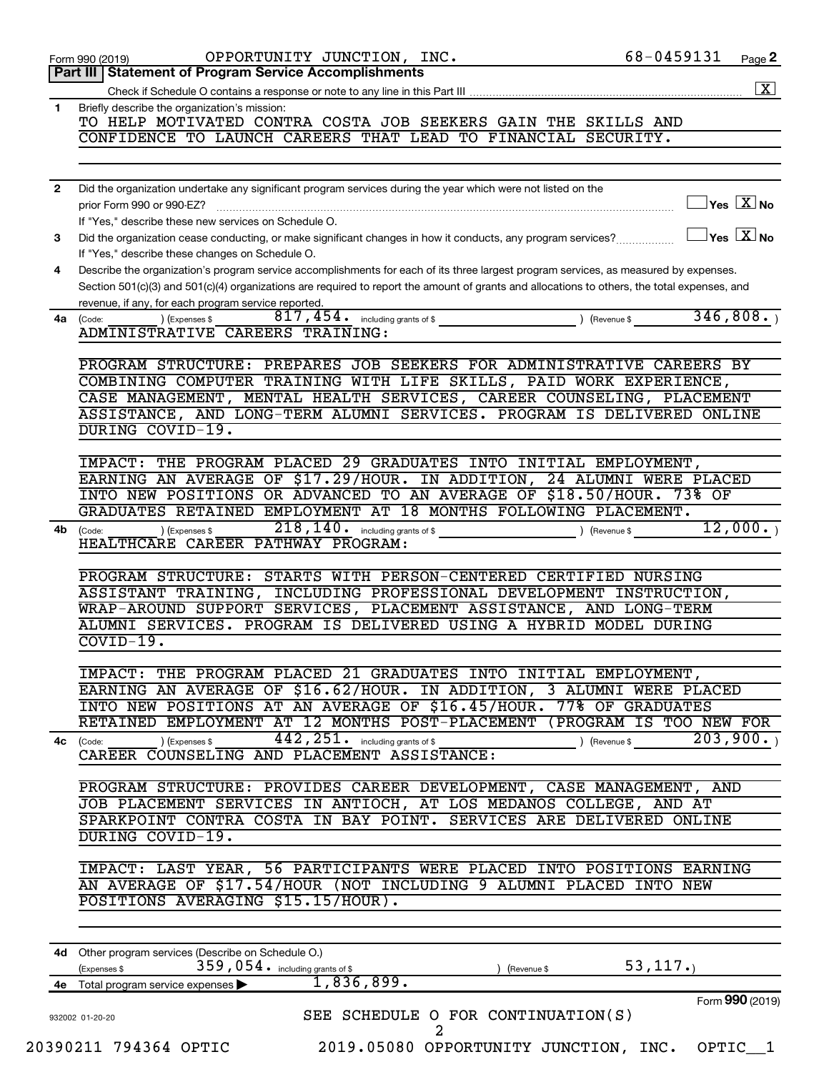|                | OPPORTUNITY JUNCTION, INC.<br>Form 990 (2019)                                                                                                                                                       | 68-0459131                                      | Page 2             |
|----------------|-----------------------------------------------------------------------------------------------------------------------------------------------------------------------------------------------------|-------------------------------------------------|--------------------|
|                | Part III   Statement of Program Service Accomplishments                                                                                                                                             |                                                 |                    |
|                |                                                                                                                                                                                                     |                                                 | $\boxed{\text{X}}$ |
| $\mathbf{1}$   | Briefly describe the organization's mission:                                                                                                                                                        |                                                 |                    |
|                | TO HELP MOTIVATED CONTRA COSTA JOB SEEKERS GAIN THE SKILLS AND                                                                                                                                      |                                                 |                    |
|                | CONFIDENCE TO LAUNCH CAREERS THAT LEAD TO FINANCIAL SECURITY.                                                                                                                                       |                                                 |                    |
|                |                                                                                                                                                                                                     |                                                 |                    |
|                |                                                                                                                                                                                                     |                                                 |                    |
| $\overline{2}$ | Did the organization undertake any significant program services during the year which were not listed on the                                                                                        |                                                 |                    |
|                | prior Form 990 or 990-EZ?                                                                                                                                                                           | $\Box$ Yes $[\overline{\mathrm{X}}]$ No         |                    |
|                | If "Yes," describe these new services on Schedule O.                                                                                                                                                |                                                 |                    |
| 3              | Did the organization cease conducting, or make significant changes in how it conducts, any program services?                                                                                        | $\boxed{\phantom{1}}$ Yes $\boxed{\text{X}}$ No |                    |
|                | If "Yes," describe these changes on Schedule O.                                                                                                                                                     |                                                 |                    |
| 4              | Describe the organization's program service accomplishments for each of its three largest program services, as measured by expenses.                                                                |                                                 |                    |
|                | Section 501(c)(3) and 501(c)(4) organizations are required to report the amount of grants and allocations to others, the total expenses, and<br>revenue, if any, for each program service reported. |                                                 |                    |
| 4a             | $817$ , $454$ or including grants of \$ $\qquad \qquad$ ) (Revenue \$<br>) (Expenses \$<br>(Code:                                                                                                   | 346,808.                                        |                    |
|                | ADMINISTRATIVE CAREERS TRAINING:                                                                                                                                                                    |                                                 |                    |
|                |                                                                                                                                                                                                     |                                                 |                    |
|                | PROGRAM STRUCTURE: PREPARES JOB SEEKERS FOR ADMINISTRATIVE CAREERS BY                                                                                                                               |                                                 |                    |
|                | COMBINING COMPUTER TRAINING WITH LIFE SKILLS, PAID WORK EXPERIENCE,                                                                                                                                 |                                                 |                    |
|                | CASE MANAGEMENT, MENTAL HEALTH SERVICES, CAREER COUNSELING, PLACEMENT                                                                                                                               |                                                 |                    |
|                | ASSISTANCE, AND LONG-TERM ALUMNI SERVICES. PROGRAM IS DELIVERED ONLINE                                                                                                                              |                                                 |                    |
|                | DURING COVID-19.                                                                                                                                                                                    |                                                 |                    |
|                |                                                                                                                                                                                                     |                                                 |                    |
|                | THE PROGRAM PLACED 29 GRADUATES INTO INITIAL EMPLOYMENT,<br>IMPACT:                                                                                                                                 |                                                 |                    |
|                | EARNING AN AVERAGE OF \$17.29/HOUR. IN ADDITION, 24 ALUMNI WERE PLACED                                                                                                                              |                                                 |                    |
|                | INTO NEW POSITIONS OR ADVANCED TO AN AVERAGE OF \$18.50/HOUR. 73% OF                                                                                                                                |                                                 |                    |
|                | GRADUATES RETAINED EMPLOYMENT AT 18 MONTHS FOLLOWING PLACEMENT.                                                                                                                                     |                                                 |                    |
| 4b             | ) (Expenses \$<br>(Code:                                                                                                                                                                            | 12,000.                                         |                    |
|                | HEALTHCARE CAREER PATHWAY PROGRAM:                                                                                                                                                                  |                                                 |                    |
|                | PROGRAM STRUCTURE: STARTS WITH PERSON-CENTERED CERTIFIED NURSING                                                                                                                                    |                                                 |                    |
|                | ASSISTANT TRAINING, INCLUDING PROFESSIONAL DEVELOPMENT INSTRUCTION,                                                                                                                                 |                                                 |                    |
|                | WRAP-AROUND SUPPORT SERVICES, PLACEMENT ASSISTANCE, AND LONG-TERM                                                                                                                                   |                                                 |                    |
|                | ALUMNI SERVICES. PROGRAM IS DELIVERED USING A HYBRID MODEL DURING                                                                                                                                   |                                                 |                    |
|                | $COVID-19.$                                                                                                                                                                                         |                                                 |                    |
|                |                                                                                                                                                                                                     |                                                 |                    |
|                | IMPACT: THE PROGRAM PLACED 21 GRADUATES INTO INITIAL EMPLOYMENT,                                                                                                                                    |                                                 |                    |
|                | EARNING AN AVERAGE OF \$16.62/HOUR. IN ADDITION, 3 ALUMNI WERE PLACED                                                                                                                               |                                                 |                    |
|                | INTO NEW POSITIONS AT AN AVERAGE OF \$16.45/HOUR. 77% OF GRADUATES                                                                                                                                  |                                                 |                    |
|                | RETAINED EMPLOYMENT AT 12 MONTHS POST-PLACEMENT (PROGRAM IS TOO NEW FOR                                                                                                                             |                                                 |                    |
| 4с             | $442, 251$ $\cdot$ including grants of \$<br>) (Expenses \$<br>(Code:                                                                                                                               | 203,900.<br>(Revenue \$                         |                    |
|                | CAREER COUNSELING AND PLACEMENT ASSISTANCE:                                                                                                                                                         |                                                 |                    |
|                |                                                                                                                                                                                                     |                                                 |                    |
|                | PROGRAM STRUCTURE: PROVIDES CAREER DEVELOPMENT, CASE MANAGEMENT, AND                                                                                                                                |                                                 |                    |
|                | JOB PLACEMENT SERVICES IN ANTIOCH, AT LOS MEDANOS COLLEGE, AND AT<br>SPARKPOINT CONTRA COSTA IN BAY POINT. SERVICES ARE DELIVERED ONLINE                                                            |                                                 |                    |
|                | DURING COVID-19.                                                                                                                                                                                    |                                                 |                    |
|                |                                                                                                                                                                                                     |                                                 |                    |
|                | IMPACT: LAST YEAR, 56 PARTICIPANTS WERE PLACED INTO POSITIONS EARNING                                                                                                                               |                                                 |                    |
|                | AN AVERAGE OF \$17.54/HOUR (NOT INCLUDING 9 ALUMNI PLACED INTO NEW                                                                                                                                  |                                                 |                    |
|                | POSITIONS AVERAGING \$15.15/HOUR).                                                                                                                                                                  |                                                 |                    |
|                |                                                                                                                                                                                                     |                                                 |                    |
|                |                                                                                                                                                                                                     |                                                 |                    |
|                | 4d Other program services (Describe on Schedule O.)                                                                                                                                                 |                                                 |                    |
|                | 359,054. including grants of \$<br>(Expenses \$<br>(Revenue \$                                                                                                                                      | 53, 117.                                        |                    |
|                | 1,836,899.<br>4e Total program service expenses                                                                                                                                                     |                                                 |                    |
|                |                                                                                                                                                                                                     | Form 990 (2019)                                 |                    |
|                | SEE SCHEDULE O FOR CONTINUATION(S)<br>932002 01-20-20                                                                                                                                               |                                                 |                    |
|                | 2                                                                                                                                                                                                   |                                                 |                    |

20390211 794364 OPTIC 2019.05080 OPPORTUNITY JUNCTION, INC. OPTIC\_\_1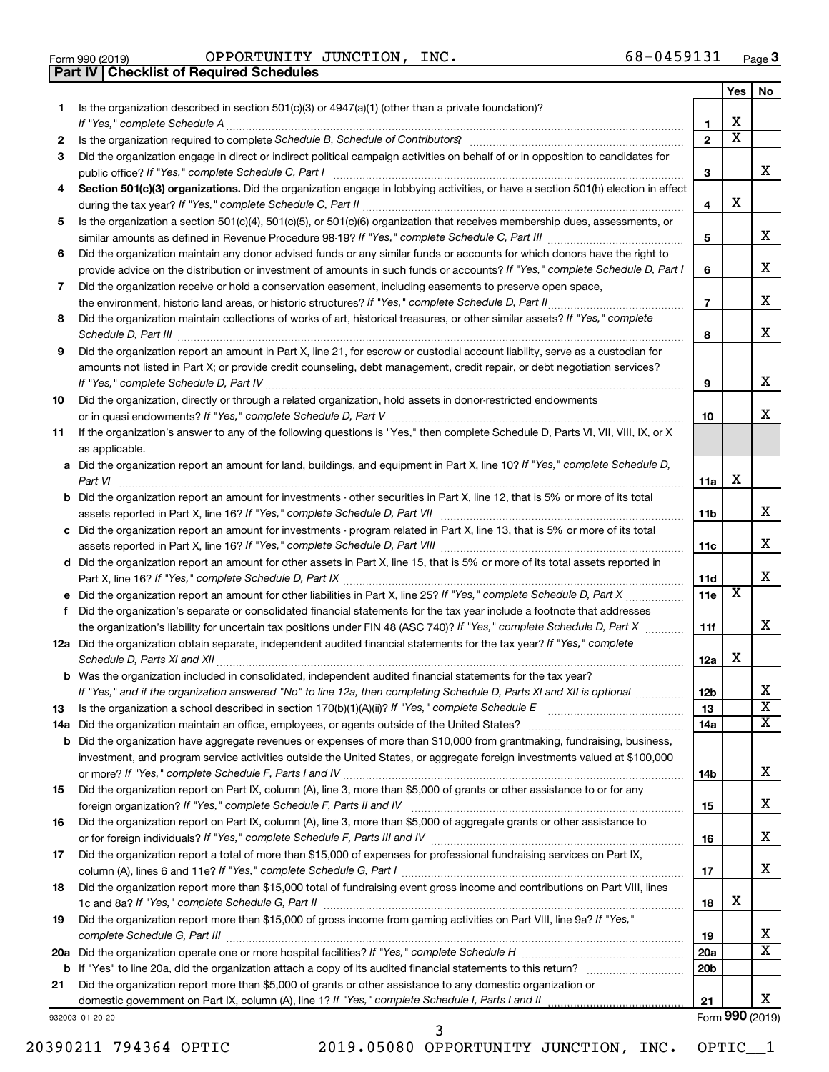| Form 990 (2019) |  |  |
|-----------------|--|--|

Form 990 (2019)  $\qquad \qquad \text{OPPORTUNITY}$  JUNCTION, INC.  $\qquad \qquad \qquad \text{68-0459131} \qquad \qquad \text{Page}$ **Part IV Checklist of Required Schedules**

|    |                                                                                                                                                                                                                                           |                         | Yes                     | No                      |
|----|-------------------------------------------------------------------------------------------------------------------------------------------------------------------------------------------------------------------------------------------|-------------------------|-------------------------|-------------------------|
| 1. | Is the organization described in section 501(c)(3) or 4947(a)(1) (other than a private foundation)?                                                                                                                                       |                         |                         |                         |
|    |                                                                                                                                                                                                                                           | 1                       | X                       |                         |
| 2  |                                                                                                                                                                                                                                           | $\mathbf{2}$            | $\overline{\textbf{x}}$ |                         |
| З  | Did the organization engage in direct or indirect political campaign activities on behalf of or in opposition to candidates for                                                                                                           |                         |                         |                         |
|    |                                                                                                                                                                                                                                           | 3                       |                         | x                       |
| 4  | Section 501(c)(3) organizations. Did the organization engage in lobbying activities, or have a section 501(h) election in effect                                                                                                          |                         |                         |                         |
|    |                                                                                                                                                                                                                                           | $\overline{\mathbf{4}}$ | X                       |                         |
| 5  | Is the organization a section 501(c)(4), 501(c)(5), or 501(c)(6) organization that receives membership dues, assessments, or                                                                                                              |                         |                         | x                       |
|    |                                                                                                                                                                                                                                           | 5                       |                         |                         |
| 6  | Did the organization maintain any donor advised funds or any similar funds or accounts for which donors have the right to                                                                                                                 |                         |                         | х                       |
|    | provide advice on the distribution or investment of amounts in such funds or accounts? If "Yes," complete Schedule D, Part I<br>Did the organization receive or hold a conservation easement, including easements to preserve open space, | 6                       |                         |                         |
| 7  |                                                                                                                                                                                                                                           | $\overline{7}$          |                         | х                       |
| 8  | Did the organization maintain collections of works of art, historical treasures, or other similar assets? If "Yes," complete                                                                                                              |                         |                         |                         |
|    |                                                                                                                                                                                                                                           | 8                       |                         | х                       |
| 9  | Did the organization report an amount in Part X, line 21, for escrow or custodial account liability, serve as a custodian for                                                                                                             |                         |                         |                         |
|    | amounts not listed in Part X; or provide credit counseling, debt management, credit repair, or debt negotiation services?                                                                                                                 |                         |                         |                         |
|    |                                                                                                                                                                                                                                           | 9                       |                         | х                       |
| 10 | Did the organization, directly or through a related organization, hold assets in donor-restricted endowments                                                                                                                              |                         |                         |                         |
|    |                                                                                                                                                                                                                                           | 10                      |                         | x                       |
| 11 | If the organization's answer to any of the following questions is "Yes," then complete Schedule D, Parts VI, VII, VIII, IX, or X                                                                                                          |                         |                         |                         |
|    | as applicable.                                                                                                                                                                                                                            |                         |                         |                         |
|    | a Did the organization report an amount for land, buildings, and equipment in Part X, line 10? If "Yes," complete Schedule D,                                                                                                             |                         |                         |                         |
|    |                                                                                                                                                                                                                                           | 11a                     | X                       |                         |
|    | <b>b</b> Did the organization report an amount for investments - other securities in Part X, line 12, that is 5% or more of its total                                                                                                     |                         |                         |                         |
|    |                                                                                                                                                                                                                                           | 11b                     |                         | x                       |
|    | c Did the organization report an amount for investments - program related in Part X, line 13, that is 5% or more of its total                                                                                                             |                         |                         |                         |
|    |                                                                                                                                                                                                                                           | 11c                     |                         | x                       |
|    | d Did the organization report an amount for other assets in Part X, line 15, that is 5% or more of its total assets reported in                                                                                                           |                         |                         |                         |
|    |                                                                                                                                                                                                                                           | 11d                     |                         | х                       |
|    |                                                                                                                                                                                                                                           | 11e                     | X                       |                         |
| f. | Did the organization's separate or consolidated financial statements for the tax year include a footnote that addresses                                                                                                                   |                         |                         |                         |
|    | the organization's liability for uncertain tax positions under FIN 48 (ASC 740)? If "Yes," complete Schedule D, Part X                                                                                                                    | 11f                     |                         | х                       |
|    | 12a Did the organization obtain separate, independent audited financial statements for the tax year? If "Yes," complete                                                                                                                   |                         | X                       |                         |
|    |                                                                                                                                                                                                                                           | 12a                     |                         |                         |
|    | <b>b</b> Was the organization included in consolidated, independent audited financial statements for the tax year?                                                                                                                        |                         |                         | х                       |
|    | If "Yes," and if the organization answered "No" to line 12a, then completing Schedule D, Parts XI and XII is optional                                                                                                                     | 12 <sub>b</sub>         |                         | $\overline{\mathbf{X}}$ |
| 13 |                                                                                                                                                                                                                                           | 13<br>14a               |                         | x                       |
|    | <b>b</b> Did the organization have aggregate revenues or expenses of more than \$10,000 from grantmaking, fundraising, business,                                                                                                          |                         |                         |                         |
|    | investment, and program service activities outside the United States, or aggregate foreign investments valued at \$100,000                                                                                                                |                         |                         |                         |
|    |                                                                                                                                                                                                                                           | 14b                     |                         | х                       |
| 15 | Did the organization report on Part IX, column (A), line 3, more than \$5,000 of grants or other assistance to or for any                                                                                                                 |                         |                         |                         |
|    |                                                                                                                                                                                                                                           | 15                      |                         | х                       |
| 16 | Did the organization report on Part IX, column (A), line 3, more than \$5,000 of aggregate grants or other assistance to                                                                                                                  |                         |                         |                         |
|    |                                                                                                                                                                                                                                           | 16                      |                         | х                       |
| 17 | Did the organization report a total of more than \$15,000 of expenses for professional fundraising services on Part IX,                                                                                                                   |                         |                         |                         |
|    |                                                                                                                                                                                                                                           | 17                      |                         | x                       |
| 18 | Did the organization report more than \$15,000 total of fundraising event gross income and contributions on Part VIII, lines                                                                                                              |                         |                         |                         |
|    |                                                                                                                                                                                                                                           | 18                      | х                       |                         |
| 19 | Did the organization report more than \$15,000 of gross income from gaming activities on Part VIII, line 9a? If "Yes,"                                                                                                                    |                         |                         |                         |
|    |                                                                                                                                                                                                                                           | 19                      |                         | х                       |
|    |                                                                                                                                                                                                                                           | 20a                     |                         | $\overline{\text{X}}$   |
|    |                                                                                                                                                                                                                                           | 20 <sub>b</sub>         |                         |                         |
| 21 | Did the organization report more than \$5,000 of grants or other assistance to any domestic organization or                                                                                                                               |                         |                         |                         |
|    |                                                                                                                                                                                                                                           | 21                      |                         | x.                      |
|    | 932003 01-20-20                                                                                                                                                                                                                           |                         |                         | Form 990 (2019)         |

20390211 794364 OPTIC 2019.05080 OPPORTUNITY JUNCTION, INC. OPTIC\_\_1

3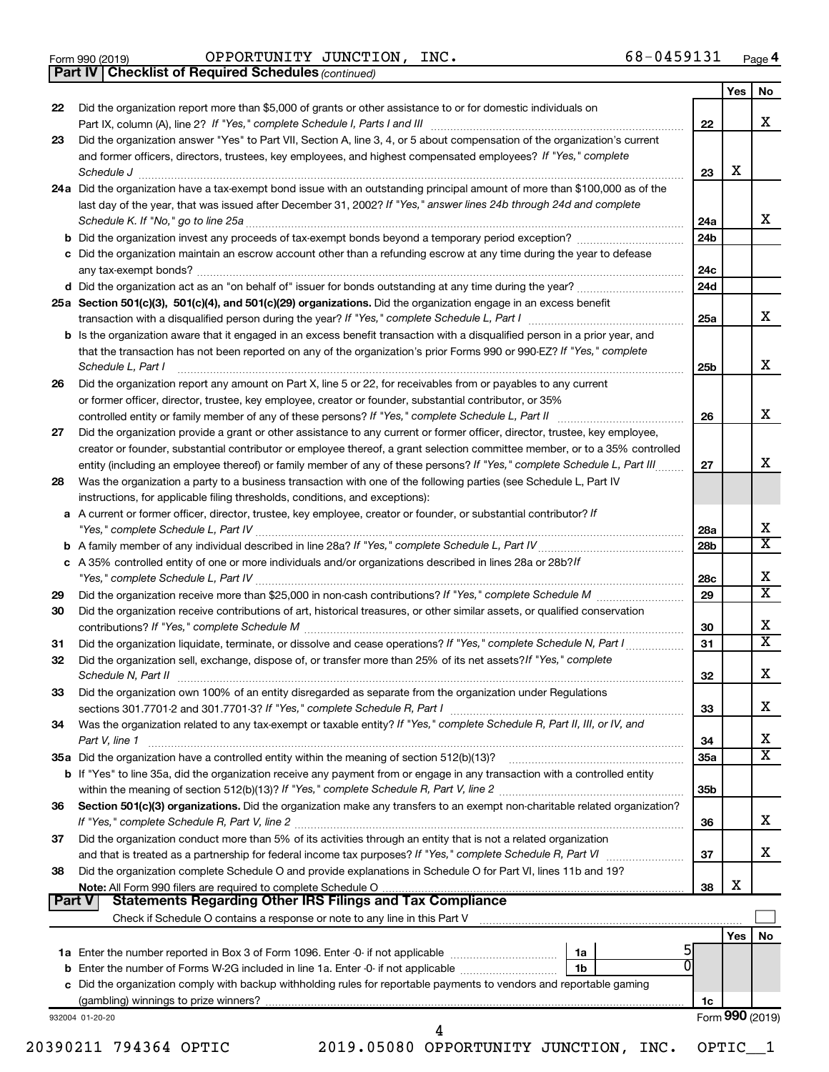Form 990 (2019)  $\qquad \qquad \text{OPPORTUNITY}$  JUNCTION, INC.  $\qquad \qquad \qquad \text{68-0459131} \qquad \qquad \text{Page}$ 

*(continued)* **Part IV Checklist of Required Schedules**

| 22       | Did the organization report more than \$5,000 of grants or other assistance to or for domestic individuals on                                                                                                                                                                                                                                                |                        |                 | X                           |
|----------|--------------------------------------------------------------------------------------------------------------------------------------------------------------------------------------------------------------------------------------------------------------------------------------------------------------------------------------------------------------|------------------------|-----------------|-----------------------------|
|          |                                                                                                                                                                                                                                                                                                                                                              | 22                     |                 |                             |
| 23       | Did the organization answer "Yes" to Part VII, Section A, line 3, 4, or 5 about compensation of the organization's current<br>and former officers, directors, trustees, key employees, and highest compensated employees? If "Yes," complete<br>Schedule J <b>Execute Schedule Schedule Schedule Schedule</b> J <b>Execute Schedule J Execute Schedule J</b> | 23                     | X               |                             |
|          | 24a Did the organization have a tax-exempt bond issue with an outstanding principal amount of more than \$100,000 as of the<br>last day of the year, that was issued after December 31, 2002? If "Yes," answer lines 24b through 24d and complete                                                                                                            | 24a                    |                 | X                           |
|          | b Did the organization invest any proceeds of tax-exempt bonds beyond a temporary period exception?                                                                                                                                                                                                                                                          | 24 <sub>b</sub>        |                 |                             |
|          | c Did the organization maintain an escrow account other than a refunding escrow at any time during the year to defease                                                                                                                                                                                                                                       | 24с                    |                 |                             |
|          |                                                                                                                                                                                                                                                                                                                                                              | 24d                    |                 |                             |
|          | 25a Section 501(c)(3), 501(c)(4), and 501(c)(29) organizations. Did the organization engage in an excess benefit                                                                                                                                                                                                                                             | 25a                    |                 | X                           |
|          | <b>b</b> Is the organization aware that it engaged in an excess benefit transaction with a disqualified person in a prior year, and<br>that the transaction has not been reported on any of the organization's prior Forms 990 or 990-EZ? If "Yes," complete<br>Schedule L, Part I                                                                           | 25b                    |                 | X                           |
| 26       | Did the organization report any amount on Part X, line 5 or 22, for receivables from or payables to any current                                                                                                                                                                                                                                              |                        |                 |                             |
|          | or former officer, director, trustee, key employee, creator or founder, substantial contributor, or 35%                                                                                                                                                                                                                                                      |                        |                 |                             |
|          |                                                                                                                                                                                                                                                                                                                                                              | 26                     |                 | X                           |
| 27       | Did the organization provide a grant or other assistance to any current or former officer, director, trustee, key employee,<br>creator or founder, substantial contributor or employee thereof, a grant selection committee member, or to a 35% controlled                                                                                                   |                        |                 | x                           |
| 28       | entity (including an employee thereof) or family member of any of these persons? If "Yes," complete Schedule L, Part III<br>Was the organization a party to a business transaction with one of the following parties (see Schedule L, Part IV                                                                                                                | 27                     |                 |                             |
|          | instructions, for applicable filing thresholds, conditions, and exceptions):<br>a A current or former officer, director, trustee, key employee, creator or founder, or substantial contributor? If                                                                                                                                                           |                        |                 | х                           |
|          |                                                                                                                                                                                                                                                                                                                                                              | 28a<br>28 <sub>b</sub> |                 | $\overline{\textbf{x}}$     |
|          | c A 35% controlled entity of one or more individuals and/or organizations described in lines 28a or 28b? If                                                                                                                                                                                                                                                  |                        |                 |                             |
|          |                                                                                                                                                                                                                                                                                                                                                              | 28c                    |                 | X                           |
| 29       |                                                                                                                                                                                                                                                                                                                                                              | 29                     |                 | $\overline{\textnormal{x}}$ |
| 30       | Did the organization receive contributions of art, historical treasures, or other similar assets, or qualified conservation                                                                                                                                                                                                                                  | 30                     |                 | X                           |
| 31       | Did the organization liquidate, terminate, or dissolve and cease operations? If "Yes," complete Schedule N, Part I                                                                                                                                                                                                                                           | 31                     |                 | $\overline{\textnormal{x}}$ |
| 32       | Did the organization sell, exchange, dispose of, or transfer more than 25% of its net assets? If "Yes," complete                                                                                                                                                                                                                                             | 32                     |                 | X                           |
| 33       | Did the organization own 100% of an entity disregarded as separate from the organization under Regulations                                                                                                                                                                                                                                                   | 33                     |                 | x                           |
| 34       | Was the organization related to any tax-exempt or taxable entity? If "Yes," complete Schedule R, Part II, III, or IV, and<br>Part V, line 1                                                                                                                                                                                                                  | 34                     |                 | х                           |
|          |                                                                                                                                                                                                                                                                                                                                                              | 35a                    |                 | $\overline{\textnormal{x}}$ |
|          | b If "Yes" to line 35a, did the organization receive any payment from or engage in any transaction with a controlled entity                                                                                                                                                                                                                                  | 35b                    |                 |                             |
| 36       | Section 501(c)(3) organizations. Did the organization make any transfers to an exempt non-charitable related organization?                                                                                                                                                                                                                                   | 36                     |                 | x                           |
| 37       | Did the organization conduct more than 5% of its activities through an entity that is not a related organization                                                                                                                                                                                                                                             | 37                     |                 | x                           |
| 38       | Did the organization complete Schedule O and provide explanations in Schedule O for Part VI, lines 11b and 19?                                                                                                                                                                                                                                               | 38                     | X               |                             |
| Part $V$ |                                                                                                                                                                                                                                                                                                                                                              |                        |                 |                             |
|          |                                                                                                                                                                                                                                                                                                                                                              |                        | Yes I           | No                          |
|          | 5<br>0<br>1 <sub>b</sub>                                                                                                                                                                                                                                                                                                                                     |                        |                 |                             |
|          | c Did the organization comply with backup withholding rules for reportable payments to vendors and reportable gaming                                                                                                                                                                                                                                         |                        |                 |                             |
|          |                                                                                                                                                                                                                                                                                                                                                              | 1c                     | Form 990 (2019) |                             |
|          | 932004 01-20-20                                                                                                                                                                                                                                                                                                                                              |                        |                 |                             |
|          | 20390211 794364 OPTIC<br>2019.05080 OPPORTUNITY JUNCTION, INC.                                                                                                                                                                                                                                                                                               |                        | OPTIC_1         |                             |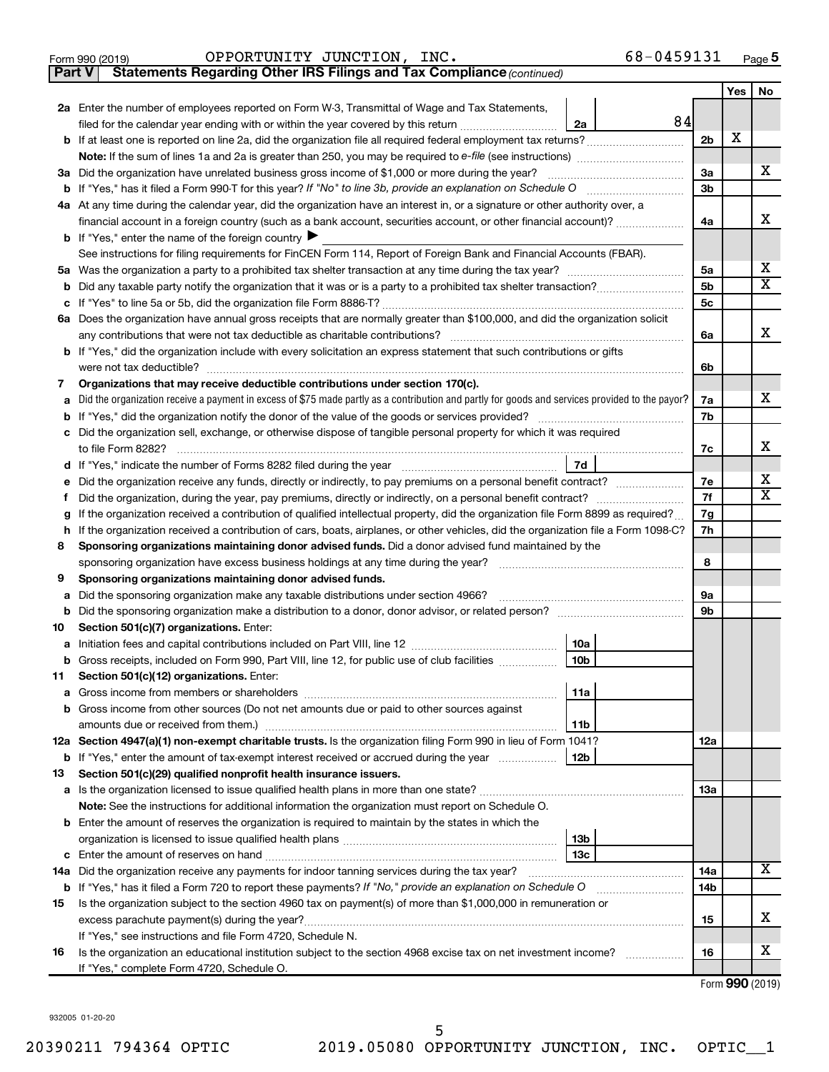| OPPORTUNITY JUNCTION,<br>INC.<br>Form 990 (2019) | 68-0459131 | Page |
|--------------------------------------------------|------------|------|
|--------------------------------------------------|------------|------|

**Part V** Statements Regarding Other IRS Filings and Tax Compliance (continued)

|        |                                                                                                                                                                                                                                                                        |                | Yes | No |  |  |  |  |  |
|--------|------------------------------------------------------------------------------------------------------------------------------------------------------------------------------------------------------------------------------------------------------------------------|----------------|-----|----|--|--|--|--|--|
|        | 2a Enter the number of employees reported on Form W-3, Transmittal of Wage and Tax Statements,                                                                                                                                                                         |                |     |    |  |  |  |  |  |
|        | 84<br>filed for the calendar year ending with or within the year covered by this return<br>2a                                                                                                                                                                          |                |     |    |  |  |  |  |  |
|        |                                                                                                                                                                                                                                                                        |                |     |    |  |  |  |  |  |
|        |                                                                                                                                                                                                                                                                        |                |     |    |  |  |  |  |  |
|        | 3a Did the organization have unrelated business gross income of \$1,000 or more during the year?                                                                                                                                                                       |                |     |    |  |  |  |  |  |
|        |                                                                                                                                                                                                                                                                        |                |     |    |  |  |  |  |  |
|        | 4a At any time during the calendar year, did the organization have an interest in, or a signature or other authority over, a                                                                                                                                           |                |     |    |  |  |  |  |  |
|        | financial account in a foreign country (such as a bank account, securities account, or other financial account)?                                                                                                                                                       | 4a             |     | x  |  |  |  |  |  |
|        | <b>b</b> If "Yes," enter the name of the foreign country $\blacktriangleright$                                                                                                                                                                                         |                |     |    |  |  |  |  |  |
|        | See instructions for filing requirements for FinCEN Form 114, Report of Foreign Bank and Financial Accounts (FBAR).                                                                                                                                                    |                |     | х  |  |  |  |  |  |
| 5а     |                                                                                                                                                                                                                                                                        |                |     |    |  |  |  |  |  |
| b      |                                                                                                                                                                                                                                                                        |                |     |    |  |  |  |  |  |
|        |                                                                                                                                                                                                                                                                        | 5 <sub>c</sub> |     |    |  |  |  |  |  |
|        | 6a Does the organization have annual gross receipts that are normally greater than \$100,000, and did the organization solicit                                                                                                                                         |                |     |    |  |  |  |  |  |
|        | any contributions that were not tax deductible as charitable contributions?                                                                                                                                                                                            | 6a             |     | x  |  |  |  |  |  |
|        | <b>b</b> If "Yes," did the organization include with every solicitation an express statement that such contributions or gifts                                                                                                                                          |                |     |    |  |  |  |  |  |
|        | were not tax deductible?                                                                                                                                                                                                                                               | 6b             |     |    |  |  |  |  |  |
| 7      | Organizations that may receive deductible contributions under section 170(c).                                                                                                                                                                                          |                |     |    |  |  |  |  |  |
| a      | Did the organization receive a payment in excess of \$75 made partly as a contribution and partly for goods and services provided to the payor?                                                                                                                        | 7a             |     | х  |  |  |  |  |  |
| b      |                                                                                                                                                                                                                                                                        | 7b             |     |    |  |  |  |  |  |
|        | Did the organization sell, exchange, or otherwise dispose of tangible personal property for which it was required                                                                                                                                                      |                |     | х  |  |  |  |  |  |
|        |                                                                                                                                                                                                                                                                        | 7c             |     |    |  |  |  |  |  |
| d      | 7d                                                                                                                                                                                                                                                                     |                |     | х  |  |  |  |  |  |
| е      | Did the organization receive any funds, directly or indirectly, to pay premiums on a personal benefit contract?                                                                                                                                                        | 7e<br>7f       |     | х  |  |  |  |  |  |
| f      | Did the organization, during the year, pay premiums, directly or indirectly, on a personal benefit contract?                                                                                                                                                           |                |     |    |  |  |  |  |  |
| g<br>h | If the organization received a contribution of qualified intellectual property, did the organization file Form 8899 as required?<br>If the organization received a contribution of cars, boats, airplanes, or other vehicles, did the organization file a Form 1098-C? |                |     |    |  |  |  |  |  |
| 8      |                                                                                                                                                                                                                                                                        |                |     |    |  |  |  |  |  |
|        | Sponsoring organizations maintaining donor advised funds. Did a donor advised fund maintained by the                                                                                                                                                                   |                |     |    |  |  |  |  |  |
| 9      | Sponsoring organizations maintaining donor advised funds.                                                                                                                                                                                                              | 8              |     |    |  |  |  |  |  |
| а      | Did the sponsoring organization make any taxable distributions under section 4966?                                                                                                                                                                                     | 9а             |     |    |  |  |  |  |  |
| b      |                                                                                                                                                                                                                                                                        | 9b             |     |    |  |  |  |  |  |
| 10     | Section 501(c)(7) organizations. Enter:                                                                                                                                                                                                                                |                |     |    |  |  |  |  |  |
| а      | 10a                                                                                                                                                                                                                                                                    |                |     |    |  |  |  |  |  |
|        | 10 <sub>b</sub><br>b Gross receipts, included on Form 990, Part VIII, line 12, for public use of club facilities                                                                                                                                                       |                |     |    |  |  |  |  |  |
| 11.    | Section 501(c)(12) organizations. Enter:                                                                                                                                                                                                                               |                |     |    |  |  |  |  |  |
|        | 11a                                                                                                                                                                                                                                                                    |                |     |    |  |  |  |  |  |
|        | b Gross income from other sources (Do not net amounts due or paid to other sources against                                                                                                                                                                             |                |     |    |  |  |  |  |  |
|        | 11b                                                                                                                                                                                                                                                                    |                |     |    |  |  |  |  |  |
|        | 12a Section 4947(a)(1) non-exempt charitable trusts. Is the organization filing Form 990 in lieu of Form 1041?                                                                                                                                                         | 12a            |     |    |  |  |  |  |  |
|        | <b>b</b> If "Yes," enter the amount of tax-exempt interest received or accrued during the year<br>12b                                                                                                                                                                  |                |     |    |  |  |  |  |  |
| 13     | Section 501(c)(29) qualified nonprofit health insurance issuers.                                                                                                                                                                                                       |                |     |    |  |  |  |  |  |
|        | a Is the organization licensed to issue qualified health plans in more than one state?                                                                                                                                                                                 | 1За            |     |    |  |  |  |  |  |
|        | Note: See the instructions for additional information the organization must report on Schedule O.                                                                                                                                                                      |                |     |    |  |  |  |  |  |
|        | <b>b</b> Enter the amount of reserves the organization is required to maintain by the states in which the                                                                                                                                                              |                |     |    |  |  |  |  |  |
|        | 13b                                                                                                                                                                                                                                                                    |                |     |    |  |  |  |  |  |
|        | 13 <sub>c</sub>                                                                                                                                                                                                                                                        |                |     |    |  |  |  |  |  |
|        | 14a Did the organization receive any payments for indoor tanning services during the tax year?                                                                                                                                                                         | 14a            |     | x  |  |  |  |  |  |
|        | <b>b</b> If "Yes," has it filed a Form 720 to report these payments? If "No," provide an explanation on Schedule O                                                                                                                                                     | 14b            |     |    |  |  |  |  |  |
| 15     | Is the organization subject to the section 4960 tax on payment(s) of more than \$1,000,000 in remuneration or                                                                                                                                                          |                |     |    |  |  |  |  |  |
|        | excess parachute payment(s) during the year?                                                                                                                                                                                                                           | 15             |     | X  |  |  |  |  |  |
|        | If "Yes," see instructions and file Form 4720, Schedule N.                                                                                                                                                                                                             |                |     |    |  |  |  |  |  |
| 16     | Is the organization an educational institution subject to the section 4968 excise tax on net investment income?                                                                                                                                                        | 16             |     | x  |  |  |  |  |  |
|        | If "Yes," complete Form 4720, Schedule O.                                                                                                                                                                                                                              |                |     |    |  |  |  |  |  |

Form (2019) **990**

932005 01-20-20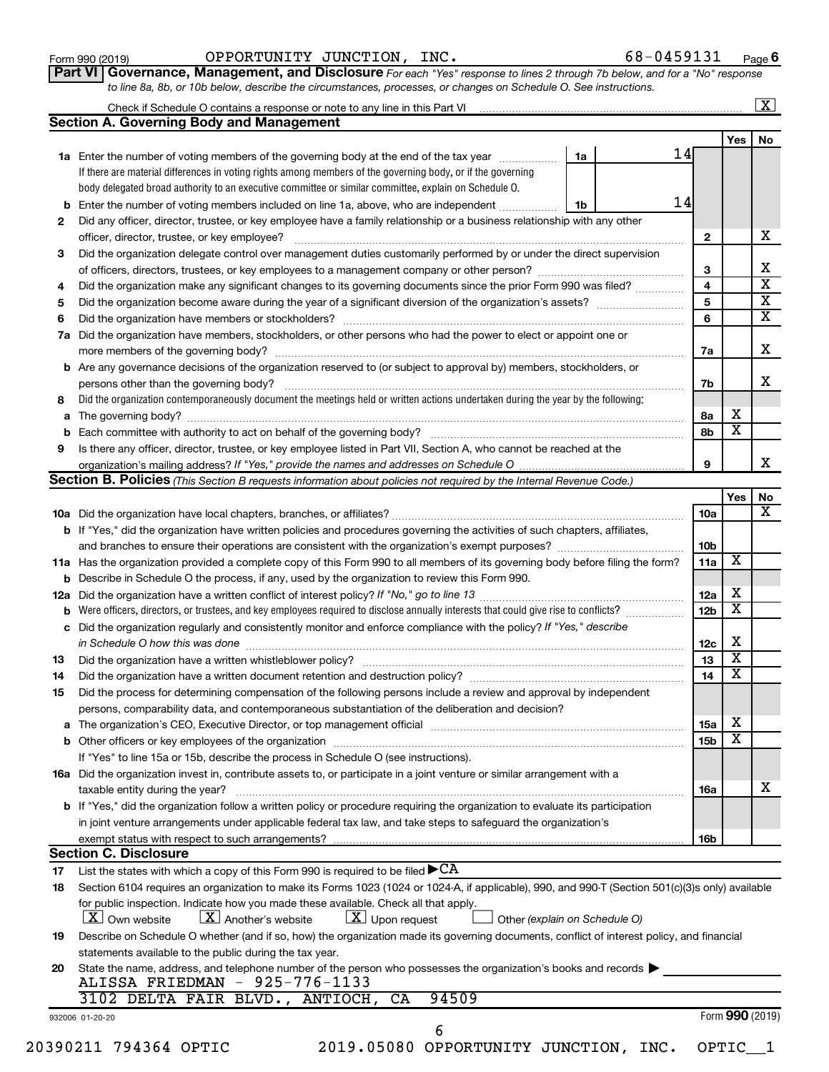| Form 990 (2019) |
|-----------------|
|-----------------|

Form 990 (2019)  $\qquad \qquad \text{OPPORTUNITY}$  JUNCTION, INC.  $\qquad \qquad \qquad \text{68-0459131} \qquad \qquad \text{Page}$ 

**Part VI** Governance, Management, and Disclosure For each "Yes" response to lines 2 through 7b below, and for a "No" response *to line 8a, 8b, or 10b below, describe the circumstances, processes, or changes on Schedule O. See instructions.*

|          | Check if Schedule O contains a response or note to any line in this Part VI [11] [11] [11] [11] [11] [11] Check if Schedule O contains a response or note to any line in this Part VI |    |    |                         |                         | $\overline{\mathbf{X}}$ |
|----------|---------------------------------------------------------------------------------------------------------------------------------------------------------------------------------------|----|----|-------------------------|-------------------------|-------------------------|
|          | <b>Section A. Governing Body and Management</b>                                                                                                                                       |    |    |                         |                         |                         |
|          |                                                                                                                                                                                       |    |    |                         | Yes                     | No                      |
|          | 1a Enter the number of voting members of the governing body at the end of the tax year                                                                                                | 1a | 14 |                         |                         |                         |
|          | If there are material differences in voting rights among members of the governing body, or if the governing                                                                           |    |    |                         |                         |                         |
|          | body delegated broad authority to an executive committee or similar committee, explain on Schedule O.                                                                                 |    |    |                         |                         |                         |
|          | <b>b</b> Enter the number of voting members included on line 1a, above, who are independent <i></i>                                                                                   | 1b | 14 |                         |                         |                         |
| 2        | Did any officer, director, trustee, or key employee have a family relationship or a business relationship with any other                                                              |    |    |                         |                         |                         |
|          | officer, director, trustee, or key employee?                                                                                                                                          |    |    | $\mathbf{2}$            |                         |                         |
| 3        | Did the organization delegate control over management duties customarily performed by or under the direct supervision                                                                 |    |    |                         |                         |                         |
|          |                                                                                                                                                                                       |    |    | 3                       |                         |                         |
| 4        | Did the organization make any significant changes to its governing documents since the prior Form 990 was filed?                                                                      |    |    | 4                       |                         |                         |
| 5        |                                                                                                                                                                                       |    |    | $\overline{\mathbf{5}}$ |                         |                         |
| 6        |                                                                                                                                                                                       |    |    | 6                       |                         |                         |
| 7a       | Did the organization have members, stockholders, or other persons who had the power to elect or appoint one or                                                                        |    |    |                         |                         |                         |
|          |                                                                                                                                                                                       |    |    | 7a                      |                         |                         |
|          | <b>b</b> Are any governance decisions of the organization reserved to (or subject to approval by) members, stockholders, or                                                           |    |    |                         |                         |                         |
|          | persons other than the governing body?                                                                                                                                                |    |    | 7b                      |                         |                         |
| 8        | Did the organization contemporaneously document the meetings held or written actions undertaken during the year by the following:                                                     |    |    |                         |                         |                         |
|          |                                                                                                                                                                                       |    |    | 8a                      | x                       |                         |
| b        |                                                                                                                                                                                       |    |    | 8b                      | $\overline{\mathbf{x}}$ |                         |
| 9        | Is there any officer, director, trustee, or key employee listed in Part VII, Section A, who cannot be reached at the                                                                  |    |    |                         |                         |                         |
|          |                                                                                                                                                                                       |    |    | 9                       |                         |                         |
|          | Section B. Policies (This Section B requests information about policies not required by the Internal Revenue Code.)                                                                   |    |    |                         |                         |                         |
|          |                                                                                                                                                                                       |    |    |                         | Yes                     |                         |
|          |                                                                                                                                                                                       |    |    | 10a                     |                         |                         |
|          | <b>b</b> If "Yes," did the organization have written policies and procedures governing the activities of such chapters, affiliates,                                                   |    |    |                         |                         |                         |
|          |                                                                                                                                                                                       |    |    | 10 <sub>b</sub>         |                         |                         |
|          | 11a Has the organization provided a complete copy of this Form 990 to all members of its governing body before filing the form?                                                       |    |    | 11a                     | X                       |                         |
|          | <b>b</b> Describe in Schedule O the process, if any, used by the organization to review this Form 990.                                                                                |    |    |                         |                         |                         |
| 12a      |                                                                                                                                                                                       |    |    | 12a                     | x                       |                         |
| b        | Were officers, directors, or trustees, and key employees required to disclose annually interests that could give rise to conflicts?                                                   |    |    | 12 <sub>b</sub>         | $\overline{\textbf{x}}$ |                         |
|          | c Did the organization regularly and consistently monitor and enforce compliance with the policy? If "Yes," describe                                                                  |    |    |                         |                         |                         |
|          | in Schedule O how this was done manufactured and continuum and contact the way to the set of the set of the schedule O how this was done                                              |    |    | 12c                     | х                       |                         |
| 13       |                                                                                                                                                                                       |    |    | 13                      | $\overline{\textbf{x}}$ |                         |
| 14       | Did the organization have a written document retention and destruction policy? [11] manufaction manufaction in                                                                        |    |    | 14                      | $\overline{\textbf{x}}$ |                         |
| 15       | Did the process for determining compensation of the following persons include a review and approval by independent                                                                    |    |    |                         |                         |                         |
|          | persons, comparability data, and contemporaneous substantiation of the deliberation and decision?                                                                                     |    |    |                         |                         |                         |
|          |                                                                                                                                                                                       |    |    | <b>15a</b>              | x                       |                         |
|          |                                                                                                                                                                                       |    |    | 15b                     | $\overline{\textbf{x}}$ |                         |
|          | If "Yes" to line 15a or 15b, describe the process in Schedule O (see instructions).                                                                                                   |    |    |                         |                         |                         |
|          | 16a Did the organization invest in, contribute assets to, or participate in a joint venture or similar arrangement with a                                                             |    |    |                         |                         |                         |
|          | taxable entity during the year?                                                                                                                                                       |    |    | 16a                     |                         |                         |
|          | b If "Yes," did the organization follow a written policy or procedure requiring the organization to evaluate its participation                                                        |    |    |                         |                         |                         |
|          |                                                                                                                                                                                       |    |    |                         |                         |                         |
|          | in joint venture arrangements under applicable federal tax law, and take steps to safeguard the organization's                                                                        |    |    |                         |                         |                         |
|          | exempt status with respect to such arrangements?<br><b>Section C. Disclosure</b>                                                                                                      |    |    | 16b                     |                         |                         |
|          | List the states with which a copy of this Form 990 is required to be filed $\blacktriangleright$ CA                                                                                   |    |    |                         |                         |                         |
| 17<br>18 | Section 6104 requires an organization to make its Forms 1023 (1024 or 1024-A, if applicable), 990, and 990-T (Section 501(c)(3)s only) available                                      |    |    |                         |                         |                         |
|          | for public inspection. Indicate how you made these available. Check all that apply.                                                                                                   |    |    |                         |                         |                         |
|          | $\lfloor x \rfloor$ Another's website<br>$\lfloor x \rfloor$ Upon request<br><b>X</b> Own website<br>Other (explain on Schedule O)                                                    |    |    |                         |                         |                         |
| 19       | Describe on Schedule O whether (and if so, how) the organization made its governing documents, conflict of interest policy, and financial                                             |    |    |                         |                         |                         |
|          | statements available to the public during the tax year.                                                                                                                               |    |    |                         |                         |                         |
| 20       | State the name, address, and telephone number of the person who possesses the organization's books and records                                                                        |    |    |                         |                         |                         |
|          | ALISSA FRIEDMAN - 925-776-1133                                                                                                                                                        |    |    |                         |                         |                         |
|          | 94509<br>3102 DELTA FAIR BLVD., ANTIOCH, CA                                                                                                                                           |    |    |                         |                         |                         |
|          | 932006 01-20-20                                                                                                                                                                       |    |    |                         | Form 990 (2019)         |                         |
|          | 6                                                                                                                                                                                     |    |    |                         |                         |                         |
|          | 20390211 794364 OPTIC<br>2019.05080 OPPORTUNITY JUNCTION, INC.                                                                                                                        |    |    |                         | OPTIC <sub>1</sub>      |                         |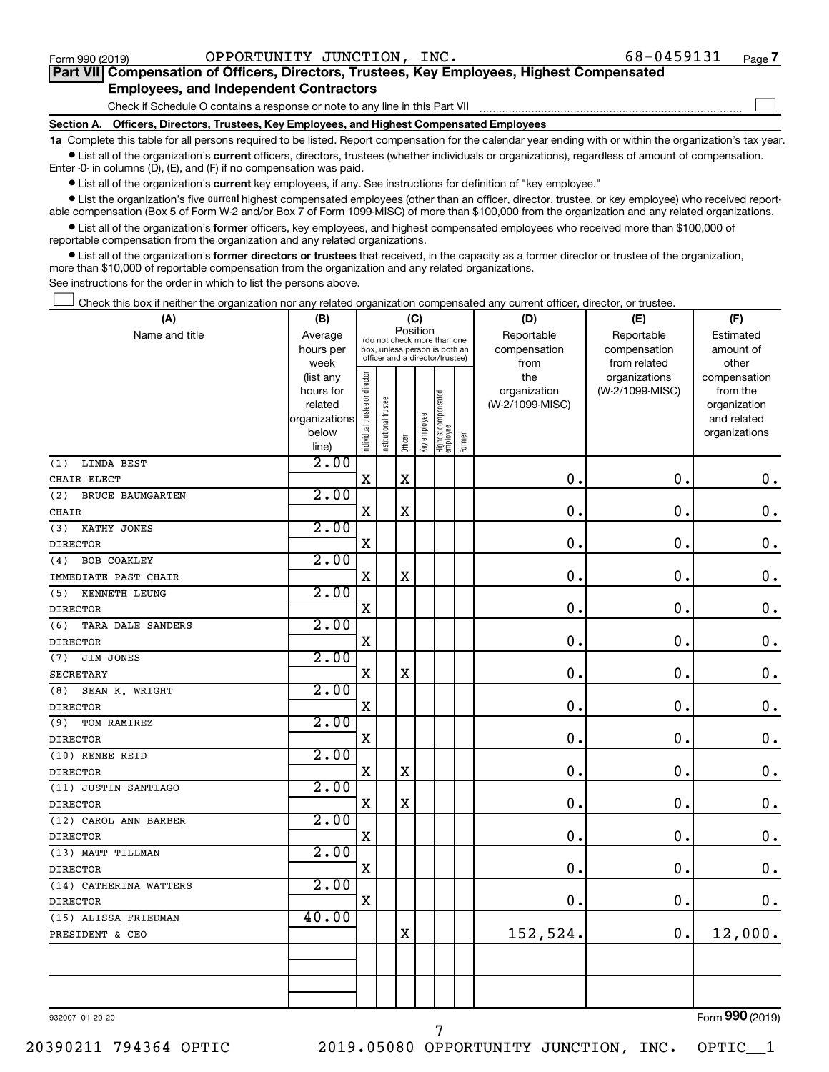$\Box$ 

| Part VII Compensation of Officers, Directors, Trustees, Key Employees, Highest Compensated |  |
|--------------------------------------------------------------------------------------------|--|
| <b>Employees, and Independent Contractors</b>                                              |  |

Check if Schedule O contains a response or note to any line in this Part VII

**Section A. Officers, Directors, Trustees, Key Employees, and Highest Compensated Employees**

**1a**  Complete this table for all persons required to be listed. Report compensation for the calendar year ending with or within the organization's tax year.  $\bullet$  List all of the organization's current officers, directors, trustees (whether individuals or organizations), regardless of amount of compensation.

Enter -0- in columns (D), (E), and (F) if no compensation was paid.

**•** List all of the organization's current key employees, if any. See instructions for definition of "key employee."

• List the organization's five *current* highest compensated employees (other than an officer, director, trustee, or key employee) who received reportable compensation (Box 5 of Form W-2 and/or Box 7 of Form 1099-MISC) of more than \$100,000 from the organization and any related organizations.

 $\bullet$  List all of the organization's former officers, key employees, and highest compensated employees who received more than \$100,000 of reportable compensation from the organization and any related organizations.

**•** List all of the organization's former directors or trustees that received, in the capacity as a former director or trustee of the organization, more than \$10,000 of reportable compensation from the organization and any related organizations.

See instructions for the order in which to list the persons above.

Check this box if neither the organization nor any related organization compensated any current officer, director, or trustee.  $\Box$ 

| (A)                            |                      | (C)<br>(B)                     |                                                                  |             |              |                                   |        | (D)                             | (E)             | (F)                      |  |  |  |
|--------------------------------|----------------------|--------------------------------|------------------------------------------------------------------|-------------|--------------|-----------------------------------|--------|---------------------------------|-----------------|--------------------------|--|--|--|
| Name and title                 | Average              |                                | (do not check more than one                                      | Position    |              |                                   |        | Reportable                      | Reportable      | Estimated                |  |  |  |
|                                | hours per            |                                | box, unless person is both an<br>officer and a director/trustee) |             |              |                                   |        | compensation                    | compensation    | amount of                |  |  |  |
|                                | week                 |                                |                                                                  |             |              |                                   |        | from                            | from related    | other                    |  |  |  |
|                                | (list any            |                                |                                                                  |             |              |                                   |        | the                             | organizations   | compensation             |  |  |  |
|                                | hours for<br>related |                                |                                                                  |             |              |                                   |        | organization<br>(W-2/1099-MISC) | (W-2/1099-MISC) | from the<br>organization |  |  |  |
|                                | organizations        |                                | trustee                                                          |             |              |                                   |        |                                 |                 | and related              |  |  |  |
|                                | below                |                                |                                                                  |             |              |                                   |        |                                 |                 | organizations            |  |  |  |
|                                | line)                | Individual trustee or director | Institutional t                                                  | Officer     | Key employee | Highest compensated<br>  employee | Former |                                 |                 |                          |  |  |  |
| LINDA BEST<br>(1)              | 2.00                 |                                |                                                                  |             |              |                                   |        |                                 |                 |                          |  |  |  |
| CHAIR ELECT                    |                      | $\mathbf X$                    |                                                                  | $\mathbf x$ |              |                                   |        | 0.                              | 0.              | $\mathbf 0$ .            |  |  |  |
| (2)<br><b>BRUCE BAUMGARTEN</b> | 2.00                 |                                |                                                                  |             |              |                                   |        |                                 |                 |                          |  |  |  |
| <b>CHAIR</b>                   |                      | $\mathbf x$                    |                                                                  | $\mathbf X$ |              |                                   |        | 0.                              | $\mathbf 0$ .   | $\mathbf 0$ .            |  |  |  |
| KATHY JONES<br>(3)             | 2.00                 |                                |                                                                  |             |              |                                   |        |                                 |                 |                          |  |  |  |
| <b>DIRECTOR</b>                |                      | $\mathbf X$                    |                                                                  |             |              |                                   |        | $\mathbf 0$ .                   | $\mathbf 0$ .   | $\mathbf 0$ .            |  |  |  |
| <b>BOB COAKLEY</b><br>(4)      | 2.00                 |                                |                                                                  |             |              |                                   |        |                                 |                 |                          |  |  |  |
| IMMEDIATE PAST CHAIR           |                      | $\mathbf x$                    |                                                                  | $\mathbf X$ |              |                                   |        | $\mathbf 0$ .                   | $\mathbf 0$ .   | $\mathbf 0$ .            |  |  |  |
| (5)<br>KENNETH LEUNG           | 2.00                 |                                |                                                                  |             |              |                                   |        |                                 |                 |                          |  |  |  |
| <b>DIRECTOR</b>                |                      | $\mathbf X$                    |                                                                  |             |              |                                   |        | $\mathbf 0$ .                   | $\mathbf 0$ .   | $\boldsymbol{0}$ .       |  |  |  |
| (6)<br>TARA DALE SANDERS       | 2.00                 |                                |                                                                  |             |              |                                   |        |                                 |                 |                          |  |  |  |
| <b>DIRECTOR</b>                |                      | $\mathbf x$                    |                                                                  |             |              |                                   |        | $\mathbf 0$ .                   | $\mathbf 0$ .   | $\mathbf 0$ .            |  |  |  |
| JIM JONES<br>(7)               | 2.00                 |                                |                                                                  |             |              |                                   |        |                                 |                 |                          |  |  |  |
| <b>SECRETARY</b>               |                      | $\mathbf X$                    |                                                                  | $\mathbf X$ |              |                                   |        | $\mathbf 0$ .                   | $\mathbf 0$ .   | $\mathbf 0$ .            |  |  |  |
| (8)<br>SEAN K. WRIGHT          | 2.00                 |                                |                                                                  |             |              |                                   |        |                                 |                 |                          |  |  |  |
| <b>DIRECTOR</b>                |                      | $\mathbf X$                    |                                                                  |             |              |                                   |        | 0.                              | $\mathbf 0$ .   | $\mathbf 0$ .            |  |  |  |
| (9)<br>TOM RAMIREZ             | 2.00                 |                                |                                                                  |             |              |                                   |        |                                 |                 |                          |  |  |  |
| <b>DIRECTOR</b>                |                      | $\mathbf X$                    |                                                                  |             |              |                                   |        | $\mathbf 0$ .                   | $\mathbf 0$ .   | $\boldsymbol{0}$ .       |  |  |  |
| (10) RENEE REID                | 2.00                 |                                |                                                                  |             |              |                                   |        |                                 |                 |                          |  |  |  |
| <b>DIRECTOR</b>                |                      | X                              |                                                                  | $\mathbf X$ |              |                                   |        | $\mathbf 0$ .                   | $\mathbf 0$ .   | $\boldsymbol{0}$ .       |  |  |  |
| (11) JUSTIN SANTIAGO           | 2.00                 |                                |                                                                  |             |              |                                   |        |                                 |                 |                          |  |  |  |
| <b>DIRECTOR</b>                |                      | $\mathbf X$                    |                                                                  | $\mathbf X$ |              |                                   |        | $\mathbf 0$ .                   | $\mathbf 0$ .   | $\boldsymbol{0}$ .       |  |  |  |
| (12) CAROL ANN BARBER          | 2.00                 |                                |                                                                  |             |              |                                   |        |                                 |                 |                          |  |  |  |
| <b>DIRECTOR</b>                |                      | $\mathbf x$                    |                                                                  |             |              |                                   |        | $\mathbf 0$ .                   | $\mathbf 0$ .   | $\mathbf 0$ .            |  |  |  |
| (13) MATT TILLMAN              | 2.00                 |                                |                                                                  |             |              |                                   |        |                                 |                 |                          |  |  |  |
| <b>DIRECTOR</b>                |                      | $\mathbf X$                    |                                                                  |             |              |                                   |        | 0.                              | $\mathbf 0$ .   | $\boldsymbol{0}$ .       |  |  |  |
| (14) CATHERINA WATTERS         | 2.00                 |                                |                                                                  |             |              |                                   |        |                                 |                 |                          |  |  |  |
| <b>DIRECTOR</b>                |                      | $\mathbf X$                    |                                                                  |             |              |                                   |        | 0.                              | $\mathbf 0$ .   | 0.                       |  |  |  |
| (15) ALISSA FRIEDMAN           | 40.00                |                                |                                                                  |             |              |                                   |        |                                 |                 |                          |  |  |  |
| PRESIDENT & CEO                |                      |                                |                                                                  | $\mathbf X$ |              |                                   |        | 152,524.                        | 0.              | 12,000.                  |  |  |  |
|                                |                      |                                |                                                                  |             |              |                                   |        |                                 |                 |                          |  |  |  |
|                                |                      |                                |                                                                  |             |              |                                   |        |                                 |                 |                          |  |  |  |
|                                |                      |                                |                                                                  |             |              |                                   |        |                                 |                 |                          |  |  |  |
|                                |                      |                                |                                                                  |             |              |                                   |        |                                 |                 |                          |  |  |  |

932007 01-20-20

20390211 794364 OPTIC 2019.05080 OPPORTUNITY JUNCTION, INC. OPTIC\_\_1

7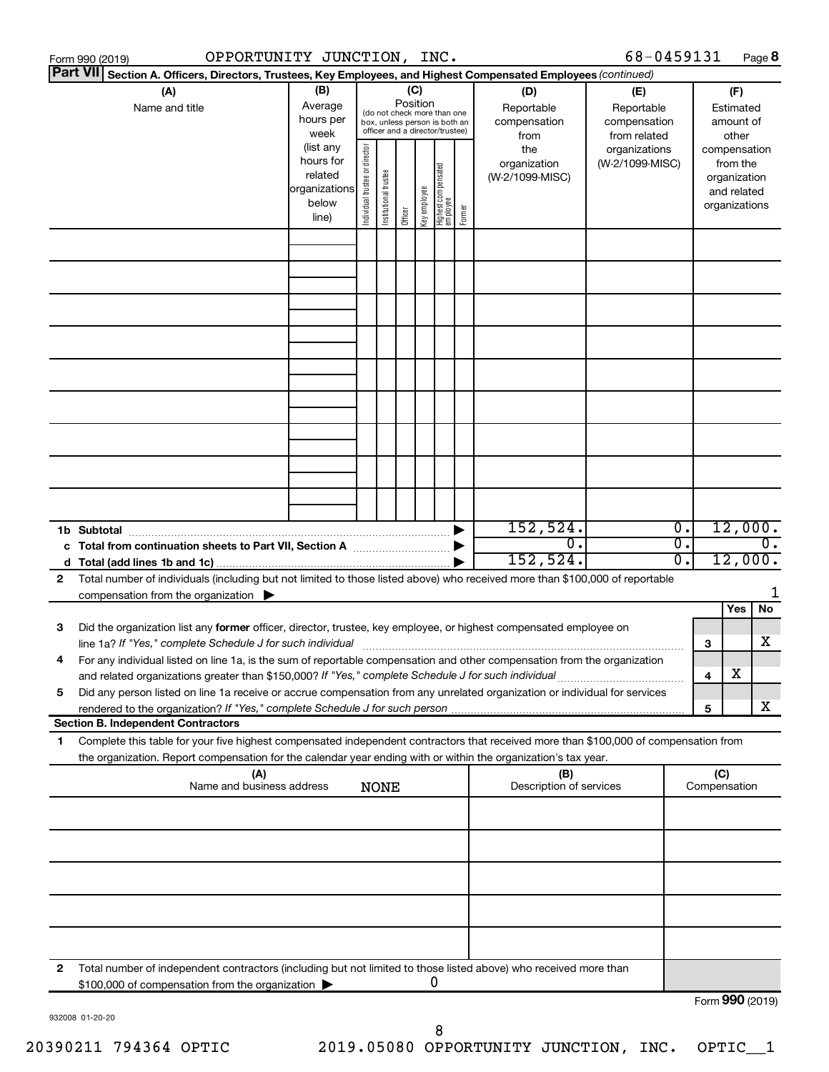|   | OPPORTUNITY JUNCTION, INC.<br>Form 990 (2019)                                                                                                                                                                                                                      |                                                          |                                |                       |          |              |                                                                                                 |        |                                                  | 68-0459131                                                         |                  |                     |                                                          | Page 8           |
|---|--------------------------------------------------------------------------------------------------------------------------------------------------------------------------------------------------------------------------------------------------------------------|----------------------------------------------------------|--------------------------------|-----------------------|----------|--------------|-------------------------------------------------------------------------------------------------|--------|--------------------------------------------------|--------------------------------------------------------------------|------------------|---------------------|----------------------------------------------------------|------------------|
|   | Part VII Section A. Officers, Directors, Trustees, Key Employees, and Highest Compensated Employees (continued)                                                                                                                                                    |                                                          |                                |                       |          |              |                                                                                                 |        |                                                  |                                                                    |                  |                     |                                                          |                  |
|   | (A)<br>Name and title                                                                                                                                                                                                                                              | (B)<br>Average<br>hours per<br>week<br>(list any         |                                |                       | Position | (C)          | (do not check more than one<br>box, unless person is both an<br>officer and a director/trustee) |        | (D)<br>Reportable<br>compensation<br>from<br>the | (E)<br>Reportable<br>compensation<br>from related<br>organizations |                  |                     | (F)<br>Estimated<br>amount of<br>other<br>compensation   |                  |
|   |                                                                                                                                                                                                                                                                    | hours for<br>related<br> organizations<br>below<br>line) | Individual trustee or director | Institutional trustee | Officer  | Key employee | Highest compensated<br>  employee                                                               | Former | organization<br>(W-2/1099-MISC)                  | (W-2/1099-MISC)                                                    |                  |                     | from the<br>organization<br>and related<br>organizations |                  |
|   |                                                                                                                                                                                                                                                                    |                                                          |                                |                       |          |              |                                                                                                 |        |                                                  |                                                                    |                  |                     |                                                          |                  |
|   |                                                                                                                                                                                                                                                                    |                                                          |                                |                       |          |              |                                                                                                 |        |                                                  |                                                                    |                  |                     |                                                          |                  |
|   |                                                                                                                                                                                                                                                                    |                                                          |                                |                       |          |              |                                                                                                 |        |                                                  |                                                                    |                  |                     |                                                          |                  |
|   |                                                                                                                                                                                                                                                                    |                                                          |                                |                       |          |              |                                                                                                 |        |                                                  |                                                                    |                  |                     |                                                          |                  |
|   |                                                                                                                                                                                                                                                                    |                                                          |                                |                       |          |              |                                                                                                 |        |                                                  |                                                                    |                  |                     |                                                          |                  |
|   |                                                                                                                                                                                                                                                                    |                                                          |                                |                       |          |              |                                                                                                 |        |                                                  |                                                                    |                  |                     |                                                          |                  |
|   |                                                                                                                                                                                                                                                                    |                                                          |                                |                       |          |              |                                                                                                 |        |                                                  |                                                                    |                  |                     |                                                          |                  |
|   | 1b Subtotal                                                                                                                                                                                                                                                        |                                                          |                                |                       |          |              |                                                                                                 |        | 152,524.                                         |                                                                    | $\overline{0}$ . |                     | 12,000.                                                  |                  |
|   |                                                                                                                                                                                                                                                                    |                                                          |                                |                       |          |              |                                                                                                 |        | $\overline{0}$ .<br>152, 524.                    |                                                                    | σ.<br>σ.         |                     | 12,000.                                                  | $\overline{0}$ . |
| 2 | Total number of individuals (including but not limited to those listed above) who received more than \$100,000 of reportable<br>compensation from the organization $\blacktriangleright$                                                                           |                                                          |                                |                       |          |              |                                                                                                 |        |                                                  |                                                                    |                  |                     | Yes                                                      | 1<br>No          |
| 3 | Did the organization list any former officer, director, trustee, key employee, or highest compensated employee on<br>line 1a? If "Yes," complete Schedule J for such individual [11] manufacture manufacture 1a? If "Yes," complete Schedule J for such individual |                                                          |                                |                       |          |              |                                                                                                 |        |                                                  |                                                                    |                  | 3                   |                                                          | x                |
|   | For any individual listed on line 1a, is the sum of reportable compensation and other compensation from the organization<br>and related organizations greater than \$150,000? If "Yes," complete Schedule J for such individual                                    |                                                          |                                |                       |          |              |                                                                                                 |        |                                                  |                                                                    |                  | 4                   | х                                                        |                  |
| 5 | Did any person listed on line 1a receive or accrue compensation from any unrelated organization or individual for services<br>rendered to the organization? If "Yes," complete Schedule J for such person                                                          |                                                          |                                |                       |          |              |                                                                                                 |        |                                                  |                                                                    |                  | 5                   |                                                          | x                |
| 1 | <b>Section B. Independent Contractors</b><br>Complete this table for your five highest compensated independent contractors that received more than \$100,000 of compensation from                                                                                  |                                                          |                                |                       |          |              |                                                                                                 |        |                                                  |                                                                    |                  |                     |                                                          |                  |
|   | the organization. Report compensation for the calendar year ending with or within the organization's tax year.                                                                                                                                                     |                                                          |                                |                       |          |              |                                                                                                 |        |                                                  |                                                                    |                  |                     |                                                          |                  |
|   | (A)<br>Name and business address                                                                                                                                                                                                                                   |                                                          |                                | <b>NONE</b>           |          |              |                                                                                                 |        | (B)<br>Description of services                   |                                                                    |                  | (C)<br>Compensation |                                                          |                  |
|   |                                                                                                                                                                                                                                                                    |                                                          |                                |                       |          |              |                                                                                                 |        |                                                  |                                                                    |                  |                     |                                                          |                  |
|   |                                                                                                                                                                                                                                                                    |                                                          |                                |                       |          |              |                                                                                                 |        |                                                  |                                                                    |                  |                     |                                                          |                  |
|   |                                                                                                                                                                                                                                                                    |                                                          |                                |                       |          |              |                                                                                                 |        |                                                  |                                                                    |                  |                     |                                                          |                  |
|   |                                                                                                                                                                                                                                                                    |                                                          |                                |                       |          |              |                                                                                                 |        |                                                  |                                                                    |                  |                     |                                                          |                  |
| 2 | Total number of independent contractors (including but not limited to those listed above) who received more than<br>\$100,000 of compensation from the organization                                                                                                |                                                          |                                |                       |          |              | 0                                                                                               |        |                                                  |                                                                    |                  | Form 990 (2019)     |                                                          |                  |

932008 01-20-20

Form (2019) **990**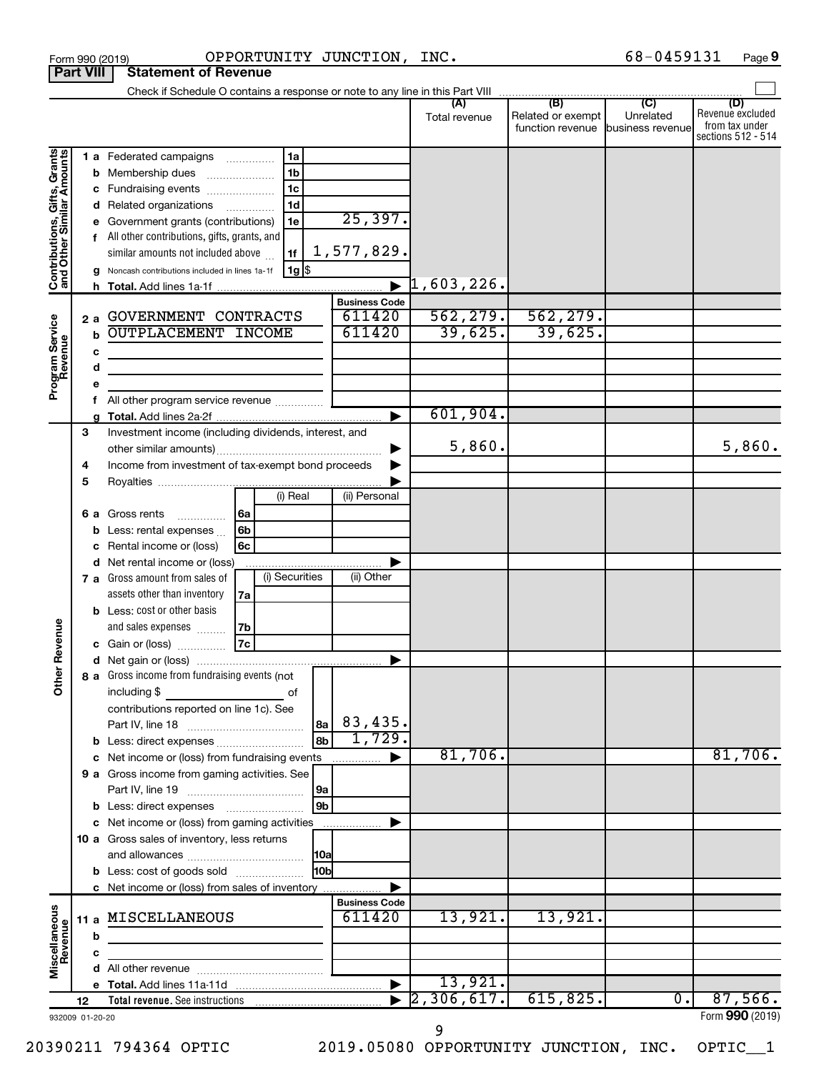|                                                           |    |      | Form 990 (2019)                                                            |                | OPPORTUNITY JUNCTION, INC. |                       |                                                               | 68-0459131       | Page 9                                                          |
|-----------------------------------------------------------|----|------|----------------------------------------------------------------------------|----------------|----------------------------|-----------------------|---------------------------------------------------------------|------------------|-----------------------------------------------------------------|
| <b>Part VIII</b>                                          |    |      | <b>Statement of Revenue</b>                                                |                |                            |                       |                                                               |                  |                                                                 |
|                                                           |    |      |                                                                            |                |                            |                       |                                                               |                  |                                                                 |
|                                                           |    |      |                                                                            |                |                            | (A)<br>Total revenue  | (B)<br>Related or exempt<br>function revenue business revenue | (C)<br>Unrelated | (D)<br>Revenue excluded<br>from tax under<br>sections 512 - 514 |
|                                                           |    |      | <b>1 a</b> Federated campaigns                                             | 1a             |                            |                       |                                                               |                  |                                                                 |
|                                                           |    |      | <b>b</b> Membership dues                                                   | 1 <sub>b</sub> |                            |                       |                                                               |                  |                                                                 |
|                                                           |    |      | c Fundraising events                                                       | 1 <sub>c</sub> |                            |                       |                                                               |                  |                                                                 |
|                                                           |    |      | d Related organizations                                                    | 1 <sub>d</sub> |                            |                       |                                                               |                  |                                                                 |
|                                                           |    |      | e Government grants (contributions)                                        | 1e             | 25,397.                    |                       |                                                               |                  |                                                                 |
|                                                           |    |      | f All other contributions, gifts, grants, and                              |                |                            |                       |                                                               |                  |                                                                 |
| Contributions, Gifts, Grants<br>and Other Similar Amounts |    |      | similar amounts not included above                                         | 1f             | 1,577,829.                 |                       |                                                               |                  |                                                                 |
|                                                           |    |      | g Noncash contributions included in lines 1a-1f                            | 1g             |                            |                       |                                                               |                  |                                                                 |
|                                                           |    |      |                                                                            |                |                            | $\vert 1, 603, 226$ . |                                                               |                  |                                                                 |
|                                                           |    |      |                                                                            |                | <b>Business Code</b>       |                       |                                                               |                  |                                                                 |
|                                                           |    | 2a   | GOVERNMENT CONTRACTS                                                       |                | 611420                     | 562, 279.             | 562, 279.                                                     |                  |                                                                 |
| Program Service<br>Revenue                                |    | b    | OUTPLACEMENT INCOME                                                        |                | 611420                     | 39,625.               | 39,625.                                                       |                  |                                                                 |
|                                                           |    | c    | the control of the control of the control of the control of the control of |                |                            |                       |                                                               |                  |                                                                 |
|                                                           |    | d    |                                                                            |                |                            |                       |                                                               |                  |                                                                 |
|                                                           |    | е    |                                                                            |                |                            |                       |                                                               |                  |                                                                 |
|                                                           |    |      |                                                                            |                |                            | 601,904.              |                                                               |                  |                                                                 |
|                                                           | 3  | a    | Investment income (including dividends, interest, and                      |                |                            |                       |                                                               |                  |                                                                 |
|                                                           |    |      |                                                                            |                |                            | 5,860.                |                                                               |                  | 5,860.                                                          |
|                                                           | 4  |      | Income from investment of tax-exempt bond proceeds                         |                |                            |                       |                                                               |                  |                                                                 |
|                                                           | 5  |      |                                                                            |                |                            |                       |                                                               |                  |                                                                 |
|                                                           |    |      |                                                                            | (i) Real       | (ii) Personal              |                       |                                                               |                  |                                                                 |
|                                                           |    |      | 6 a Gross rents                                                            | 6a             |                            |                       |                                                               |                  |                                                                 |
|                                                           |    |      | <b>b</b> Less: rental expenses $\ldots$                                    | 6 <sub>b</sub> |                            |                       |                                                               |                  |                                                                 |
|                                                           |    | с    | Rental income or (loss)                                                    | 6c             |                            |                       |                                                               |                  |                                                                 |
|                                                           |    |      | d Net rental income or (loss)                                              |                |                            |                       |                                                               |                  |                                                                 |
|                                                           |    |      | 7 a Gross amount from sales of                                             | (i) Securities | (ii) Other                 |                       |                                                               |                  |                                                                 |
|                                                           |    |      | assets other than inventory                                                | 7a             |                            |                       |                                                               |                  |                                                                 |
|                                                           |    |      | <b>b</b> Less: cost or other basis                                         |                |                            |                       |                                                               |                  |                                                                 |
| evenue                                                    |    |      | and sales expenses                                                         | 7b             |                            |                       |                                                               |                  |                                                                 |
|                                                           |    |      | c Gain or (loss)                                                           | 7c             |                            |                       |                                                               |                  |                                                                 |
| Other R                                                   |    |      | 8 a Gross income from fundraising events (not                              |                |                            |                       |                                                               |                  |                                                                 |
|                                                           |    |      | including \$                                                               | of             |                            |                       |                                                               |                  |                                                                 |
|                                                           |    |      | contributions reported on line 1c). See                                    |                |                            |                       |                                                               |                  |                                                                 |
|                                                           |    |      |                                                                            |                | 83,435.<br> 8a             |                       |                                                               |                  |                                                                 |
|                                                           |    |      |                                                                            |                | 1,729.<br>8 <sub>b</sub>   |                       |                                                               |                  |                                                                 |
|                                                           |    |      | c Net income or (loss) from fundraising events                             |                |                            | 81,706.               |                                                               |                  | 81,706.                                                         |
|                                                           |    |      | 9 a Gross income from gaming activities. See                               |                |                            |                       |                                                               |                  |                                                                 |
|                                                           |    |      |                                                                            |                | 9a                         |                       |                                                               |                  |                                                                 |
|                                                           |    |      |                                                                            |                | 9 <sub>b</sub>             |                       |                                                               |                  |                                                                 |
|                                                           |    |      | c Net income or (loss) from gaming activities                              |                |                            |                       |                                                               |                  |                                                                 |
|                                                           |    |      | 10 a Gross sales of inventory, less returns                                |                |                            |                       |                                                               |                  |                                                                 |
|                                                           |    |      |                                                                            |                | 10a                        |                       |                                                               |                  |                                                                 |
|                                                           |    |      | <b>b</b> Less: cost of goods sold                                          |                | 10bl                       |                       |                                                               |                  |                                                                 |
|                                                           |    |      | c Net income or (loss) from sales of inventory                             |                | <b>Business Code</b>       |                       |                                                               |                  |                                                                 |
|                                                           |    | 11 a | MISCELLANEOUS                                                              |                | 611420                     | 13,921.               | 13,921.                                                       |                  |                                                                 |
|                                                           |    | b    |                                                                            |                |                            |                       |                                                               |                  |                                                                 |
|                                                           |    | c    |                                                                            |                |                            |                       |                                                               |                  |                                                                 |
| Miscellaneous<br>Revenue                                  |    |      |                                                                            |                |                            |                       |                                                               |                  |                                                                 |
|                                                           |    |      |                                                                            |                |                            | 13,921.               |                                                               |                  |                                                                 |
|                                                           | 12 |      |                                                                            |                |                            | 2,306,617.            | 615,825.                                                      | 0.               | 87,566.                                                         |
| 932009 01-20-20                                           |    |      |                                                                            |                |                            |                       |                                                               |                  | Form 990 (2019)                                                 |

### 20390211 794364 OPTIC 2019.05080 OPPORTUNITY JUNCTION, INC. OPTIC\_\_1

9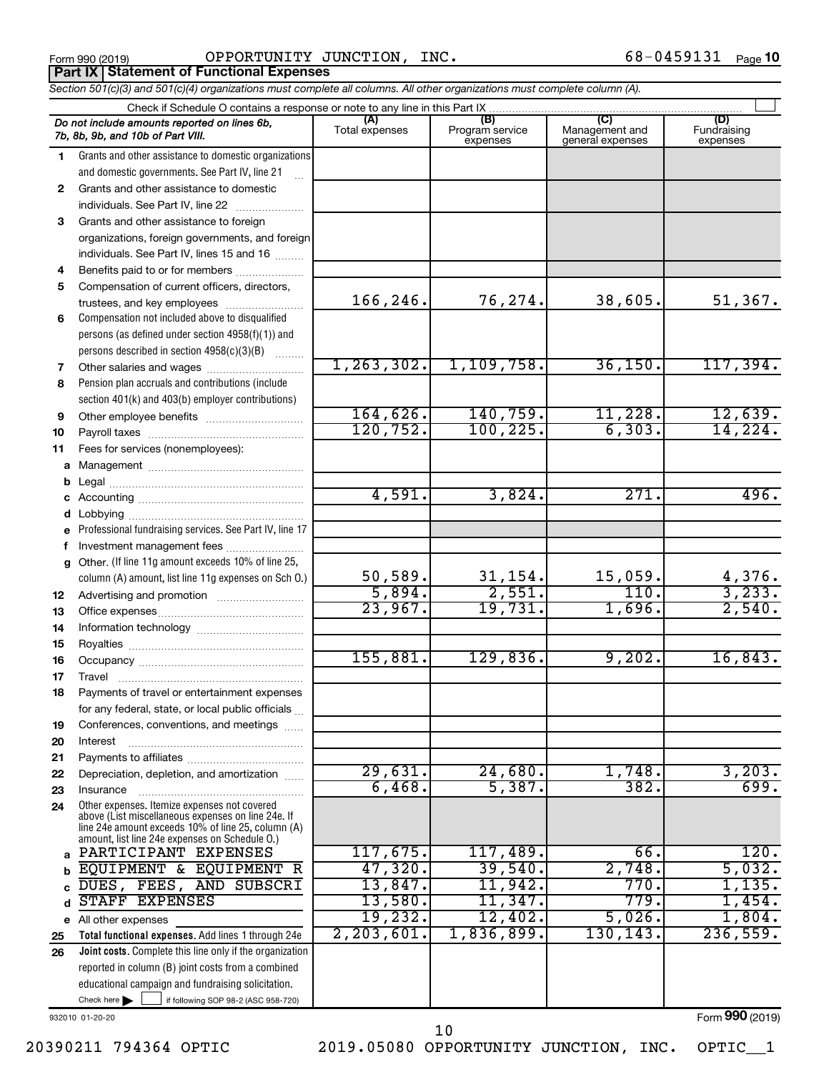Form 990 (2019)  $\qquad \qquad \text{OPPORTUNITY}$  JUNCTION, INC.  $\qquad \qquad \qquad \text{68--0459131}$   $_{\text{Page}}$ **Part IX Statement of Functional Expenses**

*Section 501(c)(3) and 501(c)(4) organizations must complete all columns. All other organizations must complete column (A).*

|              | Do not include amounts reported on lines 6b,<br>7b, 8b, 9b, and 10b of Part VIII.                    | (A)<br>Total expenses | (B)<br>Program service<br>expenses | (C)<br>Management and<br>general expenses | (D)<br>Fundraising<br>expenses |  |  |  |  |  |  |
|--------------|------------------------------------------------------------------------------------------------------|-----------------------|------------------------------------|-------------------------------------------|--------------------------------|--|--|--|--|--|--|
| 1.           | Grants and other assistance to domestic organizations                                                |                       |                                    |                                           |                                |  |  |  |  |  |  |
|              | and domestic governments. See Part IV, line 21                                                       |                       |                                    |                                           |                                |  |  |  |  |  |  |
| $\mathbf{2}$ | Grants and other assistance to domestic                                                              |                       |                                    |                                           |                                |  |  |  |  |  |  |
|              | individuals. See Part IV, line 22                                                                    |                       |                                    |                                           |                                |  |  |  |  |  |  |
| 3            | Grants and other assistance to foreign                                                               |                       |                                    |                                           |                                |  |  |  |  |  |  |
|              | organizations, foreign governments, and foreign                                                      |                       |                                    |                                           |                                |  |  |  |  |  |  |
|              | individuals. See Part IV, lines 15 and 16                                                            |                       |                                    |                                           |                                |  |  |  |  |  |  |
| 4            | Benefits paid to or for members                                                                      |                       |                                    |                                           |                                |  |  |  |  |  |  |
| 5            | Compensation of current officers, directors,                                                         |                       |                                    |                                           |                                |  |  |  |  |  |  |
|              | trustees, and key employees                                                                          | 166,246.              | 76,274.                            | 38,605.                                   | 51,367.                        |  |  |  |  |  |  |
| 6            | Compensation not included above to disqualified                                                      |                       |                                    |                                           |                                |  |  |  |  |  |  |
|              | persons (as defined under section 4958(f)(1)) and                                                    |                       |                                    |                                           |                                |  |  |  |  |  |  |
|              | persons described in section 4958(c)(3)(B)                                                           |                       |                                    |                                           |                                |  |  |  |  |  |  |
| 7            | Other salaries and wages                                                                             | 1, 263, 302.          | 1,109,758.                         | 36, 150.                                  | 117,394.                       |  |  |  |  |  |  |
| 8            | Pension plan accruals and contributions (include                                                     |                       |                                    |                                           |                                |  |  |  |  |  |  |
|              | section 401(k) and 403(b) employer contributions)                                                    |                       |                                    |                                           |                                |  |  |  |  |  |  |
| 9            | Other employee benefits                                                                              | 164,626.              | 140,759.                           | 11,228.                                   | 12,639.                        |  |  |  |  |  |  |
| 10           |                                                                                                      | 120, 752.             | 100, 225.                          | 6, 303.                                   | 14,224.                        |  |  |  |  |  |  |
| 11           | Fees for services (nonemployees):                                                                    |                       |                                    |                                           |                                |  |  |  |  |  |  |
|              |                                                                                                      |                       |                                    |                                           |                                |  |  |  |  |  |  |
| b            |                                                                                                      |                       |                                    |                                           |                                |  |  |  |  |  |  |
|              |                                                                                                      | 4,591.                | 3,824.                             | 271.                                      | 496.                           |  |  |  |  |  |  |
|              |                                                                                                      |                       |                                    |                                           |                                |  |  |  |  |  |  |
| е            | Professional fundraising services. See Part IV, line 17                                              |                       |                                    |                                           |                                |  |  |  |  |  |  |
| f            | Investment management fees                                                                           |                       |                                    |                                           |                                |  |  |  |  |  |  |
|              | g Other. (If line 11g amount exceeds 10% of line 25,                                                 |                       |                                    |                                           |                                |  |  |  |  |  |  |
|              | column (A) amount, list line 11g expenses on Sch O.)                                                 | 50,589.<br>5,894.     | 31,154.<br>2,551.                  | 15,059.<br>110.                           | $\frac{4,376}{3,233}$ .        |  |  |  |  |  |  |
| 12           |                                                                                                      | 23,967.               | 19,731.                            | 1,696.                                    | 2,540.                         |  |  |  |  |  |  |
| 13           |                                                                                                      |                       |                                    |                                           |                                |  |  |  |  |  |  |
| 14           |                                                                                                      |                       |                                    |                                           |                                |  |  |  |  |  |  |
| 15           |                                                                                                      | 155,881.              | 129,836.                           | 9,202.                                    | 16,843.                        |  |  |  |  |  |  |
| 16           |                                                                                                      |                       |                                    |                                           |                                |  |  |  |  |  |  |
| 17           | Travel                                                                                               |                       |                                    |                                           |                                |  |  |  |  |  |  |
| 18           | Payments of travel or entertainment expenses                                                         |                       |                                    |                                           |                                |  |  |  |  |  |  |
|              | for any federal, state, or local public officials                                                    |                       |                                    |                                           |                                |  |  |  |  |  |  |
| 19           | Conferences, conventions, and meetings                                                               |                       |                                    |                                           |                                |  |  |  |  |  |  |
| 20           | Interest                                                                                             |                       |                                    |                                           |                                |  |  |  |  |  |  |
| 21<br>22     | Depreciation, depletion, and amortization                                                            | 29,631.               | 24,680.                            | 1,748.                                    | 3,203.                         |  |  |  |  |  |  |
| 23           | Insurance                                                                                            | 6,468.                | 5,387.                             | 382.                                      | 699.                           |  |  |  |  |  |  |
| 24           | Other expenses. Itemize expenses not covered                                                         |                       |                                    |                                           |                                |  |  |  |  |  |  |
|              | above (List miscellaneous expenses on line 24e. If                                                   |                       |                                    |                                           |                                |  |  |  |  |  |  |
|              | line 24e amount exceeds 10% of line 25, column (A)<br>amount, list line 24e expenses on Schedule O.) |                       |                                    |                                           |                                |  |  |  |  |  |  |
| a            | PARTICIPANT EXPENSES                                                                                 | 117,675.              | 117,489.                           | 66.                                       | 120.                           |  |  |  |  |  |  |
| b            | EQUIPMENT &<br><b>EQUIPMENT R</b>                                                                    | 47,320.               | 39,540.                            | 2,748.                                    | 5,032.                         |  |  |  |  |  |  |
|              | AND SUBSCRI<br>DUES, FEES,                                                                           | 13,847.               | 11,942.                            | 770.                                      | 1,135.                         |  |  |  |  |  |  |
| d            | STAFF EXPENSES                                                                                       | 13,580.               | 11,347.                            | 779.                                      | 1,454.                         |  |  |  |  |  |  |
|              | e All other expenses                                                                                 | 19,232.               | 12,402.                            | 5,026.                                    | 1,804.                         |  |  |  |  |  |  |
| 25           | Total functional expenses. Add lines 1 through 24e                                                   | 2, 203, 601.          | 1,836,899.                         | 130, 143.                                 | 236,559.                       |  |  |  |  |  |  |
| 26           | <b>Joint costs.</b> Complete this line only if the organization                                      |                       |                                    |                                           |                                |  |  |  |  |  |  |
|              | reported in column (B) joint costs from a combined                                                   |                       |                                    |                                           |                                |  |  |  |  |  |  |
|              | educational campaign and fundraising solicitation.                                                   |                       |                                    |                                           |                                |  |  |  |  |  |  |
|              | Check here $\blacktriangleright$<br>if following SOP 98-2 (ASC 958-720)                              |                       |                                    |                                           |                                |  |  |  |  |  |  |

932010 01-20-20

Form (2019) **990**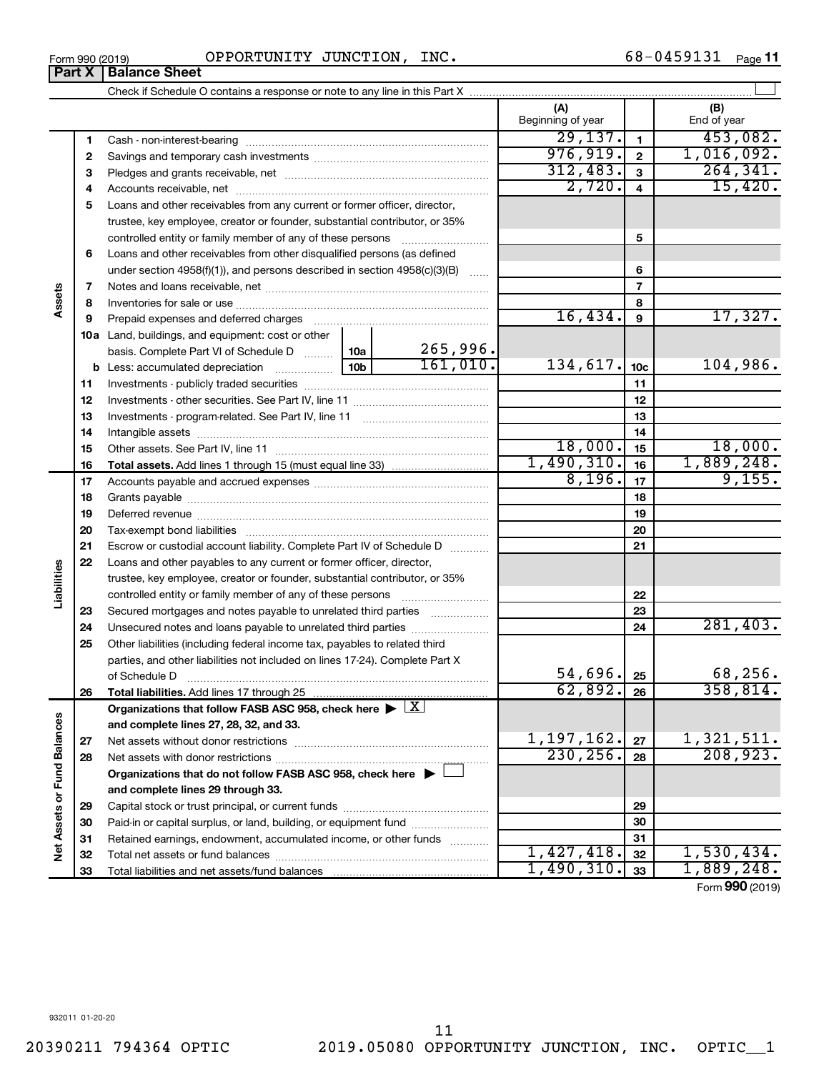| Form 990 (2019) | INC.<br>OPPORTUNITY JUNCTION, | 68-0459131<br>Page 11 |
|-----------------|-------------------------------|-----------------------|
|-----------------|-------------------------------|-----------------------|

|                             | Part X | <b>Balance Sheet</b>                                                                                   |                 |          |                          |                 |                    |
|-----------------------------|--------|--------------------------------------------------------------------------------------------------------|-----------------|----------|--------------------------|-----------------|--------------------|
|                             |        |                                                                                                        |                 |          |                          |                 |                    |
|                             |        |                                                                                                        |                 |          | (A)<br>Beginning of year |                 | (B)<br>End of year |
|                             | 1      |                                                                                                        |                 |          | 29,137.                  | $\mathbf{1}$    | 453,082.           |
|                             | 2      |                                                                                                        |                 |          | 976, 919.                | $\mathbf{2}$    | 1,016,092.         |
|                             | З      |                                                                                                        |                 |          | 312,483.                 | 3               | 264, 341.          |
|                             | 4      |                                                                                                        |                 |          | 2,720.                   | 4               | 15,420.            |
|                             | 5      | Loans and other receivables from any current or former officer, director,                              |                 |          |                          |                 |                    |
|                             |        | trustee, key employee, creator or founder, substantial contributor, or 35%                             |                 |          |                          |                 |                    |
|                             |        | controlled entity or family member of any of these persons                                             |                 |          |                          | 5               |                    |
|                             | 6      | Loans and other receivables from other disqualified persons (as defined                                |                 |          |                          |                 |                    |
|                             |        | under section $4958(f)(1)$ , and persons described in section $4958(c)(3)(B)$                          |                 | 6        |                          |                 |                    |
|                             | 7      |                                                                                                        |                 |          | $\overline{7}$           |                 |                    |
| Assets                      | 8      |                                                                                                        |                 |          | 8                        |                 |                    |
|                             | 9      | Prepaid expenses and deferred charges                                                                  |                 |          | 16,434.                  | 9               | 17,327.            |
|                             |        | <b>10a</b> Land, buildings, and equipment: cost or other                                               |                 |          |                          |                 |                    |
|                             |        | basis. Complete Part VI of Schedule D  [10a]                                                           |                 | 265,996. |                          |                 |                    |
|                             |        | <b>b</b> Less: accumulated depreciation                                                                | 10 <sub>b</sub> | 161,010. | 134,617.                 | 10 <sub>c</sub> | 104,986.           |
|                             | 11     |                                                                                                        |                 |          |                          | 11              |                    |
|                             | 12     |                                                                                                        |                 | 12       |                          |                 |                    |
|                             | 13     |                                                                                                        |                 | 13       |                          |                 |                    |
|                             | 14     |                                                                                                        |                 |          | 14                       |                 |                    |
|                             | 15     |                                                                                                        |                 |          | 18,000.                  | 15              | 18,000.            |
|                             | 16     |                                                                                                        |                 |          | 1,490,310.               | 16              | 1,889,248.         |
|                             | 17     |                                                                                                        |                 |          | 8,196.                   | 17              | 9,155.             |
|                             | 18     |                                                                                                        |                 | 18       |                          |                 |                    |
|                             | 19     |                                                                                                        |                 |          | 19                       |                 |                    |
|                             | 20     |                                                                                                        |                 |          | 20                       |                 |                    |
|                             | 21     | Escrow or custodial account liability. Complete Part IV of Schedule D                                  |                 |          |                          | 21              |                    |
|                             | 22     | Loans and other payables to any current or former officer, director,                                   |                 |          |                          |                 |                    |
| Liabilities                 |        | trustee, key employee, creator or founder, substantial contributor, or 35%                             |                 |          |                          |                 |                    |
|                             |        | controlled entity or family member of any of these persons                                             |                 |          |                          | 22              |                    |
|                             | 23     | Secured mortgages and notes payable to unrelated third parties                                         |                 |          |                          | 23              |                    |
|                             | 24     | Unsecured notes and loans payable to unrelated third parties                                           |                 |          |                          | 24              | 281,403.           |
|                             | 25     | Other liabilities (including federal income tax, payables to related third                             |                 |          |                          |                 |                    |
|                             |        | parties, and other liabilities not included on lines 17-24). Complete Part X                           |                 |          |                          |                 |                    |
|                             |        | of Schedule D                                                                                          |                 |          | 54,696.                  | 25              | 68,256.            |
|                             | 26     | Total liabilities. Add lines 17 through 25                                                             |                 |          | 62,892.                  | 26              | 358,814.           |
|                             |        | Organizations that follow FASB ASC 958, check here $\blacktriangleright \lfloor \underline{X} \rfloor$ |                 |          |                          |                 |                    |
|                             |        | and complete lines 27, 28, 32, and 33.                                                                 |                 |          |                          |                 |                    |
|                             | 27     |                                                                                                        | 1,197,162.      | 27       | 1,321,511.               |                 |                    |
|                             | 28     |                                                                                                        | 230, 256.       | 28       | 208,923.                 |                 |                    |
|                             |        | Organizations that do not follow FASB ASC 958, check here $\blacktriangleright \bot$                   |                 |          |                          |                 |                    |
|                             |        | and complete lines 29 through 33.                                                                      |                 |          |                          |                 |                    |
|                             | 29     |                                                                                                        |                 |          |                          | 29              |                    |
|                             | 30     | Paid-in or capital surplus, or land, building, or equipment fund                                       |                 |          |                          | 30              |                    |
| Net Assets or Fund Balances | 31     | Retained earnings, endowment, accumulated income, or other funds                                       |                 |          |                          | 31              |                    |
|                             | 32     |                                                                                                        |                 |          | 1,427,418.               | 32              | 1,530,434.         |
|                             | 33     |                                                                                                        |                 |          | 1,490,310.               | 33              | 1,889,248.         |

Form (2019) **990**

932011 01-20-20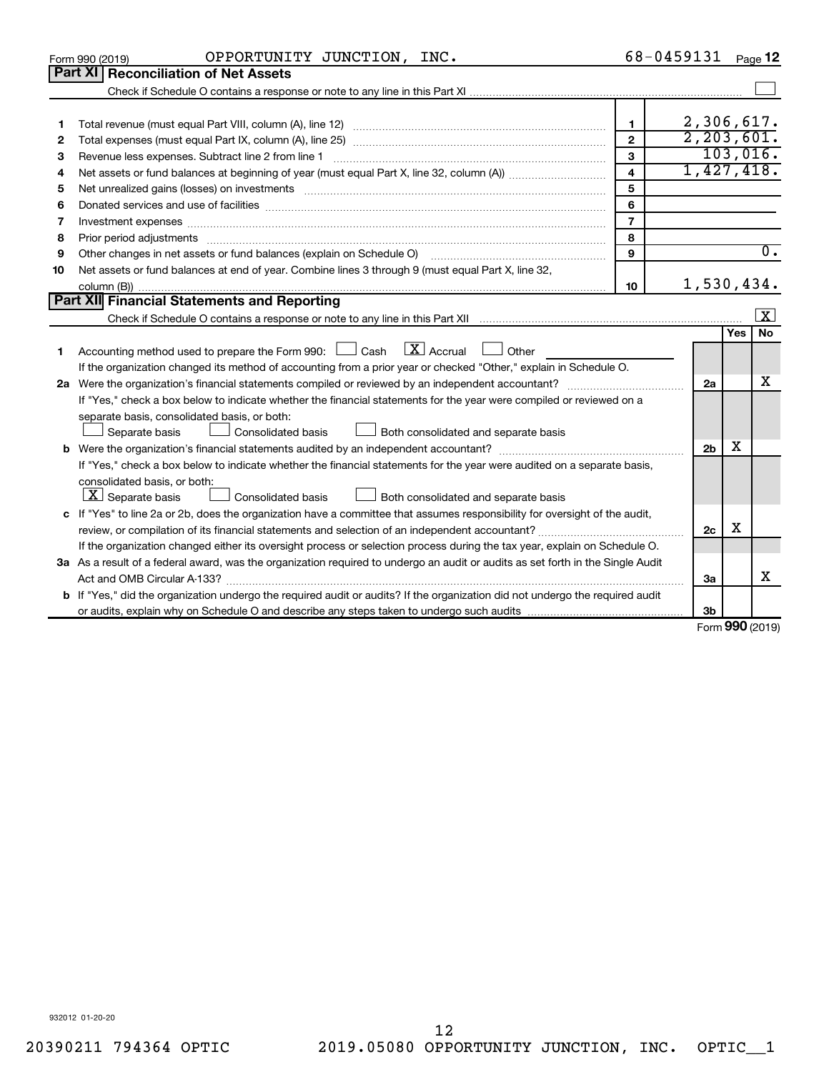| <b>Part XI   Reconciliation of Net Assets</b><br>2,306,617.<br>1<br>1<br>2, 203, 601.<br>$\overline{2}$<br>2<br>103,016.<br>3<br>Revenue less expenses. Subtract line 2 from line 1<br>з<br>1,427,418.<br>$\overline{\mathbf{4}}$<br>4<br>5<br>5<br>6<br>Donated services and use of facilities [[111][12] matter is a series and service in the services and use of facilities [[11][11] matter is a service of facilities [[11] matter is a service of the service of the service of<br>6<br>$\overline{7}$<br>7<br>8<br>8<br>$\overline{0}$ .<br>$\mathbf{9}$<br>Other changes in net assets or fund balances (explain on Schedule O)<br>9<br>Net assets or fund balances at end of year. Combine lines 3 through 9 (must equal Part X, line 32,<br>10<br>1,530,434.<br>10<br>Part XII Financial Statements and Reporting<br>$\vert$ X $\vert$<br><b>No</b><br>Yes<br>$\lfloor \mathbf{X} \rfloor$ Accrual<br>Accounting method used to prepare the Form 990: $\Box$ Cash<br>Other<br>$\Box$<br>1<br>If the organization changed its method of accounting from a prior year or checked "Other," explain in Schedule O.<br>x<br>2a<br>If "Yes," check a box below to indicate whether the financial statements for the year were compiled or reviewed on a<br>separate basis, consolidated basis, or both:<br>Both consolidated and separate basis<br>Separate basis<br>Consolidated basis<br>x<br>2 <sub>b</sub><br>If "Yes," check a box below to indicate whether the financial statements for the year were audited on a separate basis,<br>consolidated basis, or both:<br>$ \mathbf{X} $ Separate basis<br>Consolidated basis<br>Both consolidated and separate basis<br>c If "Yes" to line 2a or 2b, does the organization have a committee that assumes responsibility for oversight of the audit,<br>X<br>2c<br>If the organization changed either its oversight process or selection process during the tax year, explain on Schedule O.<br>3a As a result of a federal award, was the organization required to undergo an audit or audits as set forth in the Single Audit<br>x<br>3a | OPPORTUNITY JUNCTION, INC.<br>Form 990 (2019) | 68-0459131 | Page 12 |
|----------------------------------------------------------------------------------------------------------------------------------------------------------------------------------------------------------------------------------------------------------------------------------------------------------------------------------------------------------------------------------------------------------------------------------------------------------------------------------------------------------------------------------------------------------------------------------------------------------------------------------------------------------------------------------------------------------------------------------------------------------------------------------------------------------------------------------------------------------------------------------------------------------------------------------------------------------------------------------------------------------------------------------------------------------------------------------------------------------------------------------------------------------------------------------------------------------------------------------------------------------------------------------------------------------------------------------------------------------------------------------------------------------------------------------------------------------------------------------------------------------------------------------------------------------------------------------------------------------------------------------------------------------------------------------------------------------------------------------------------------------------------------------------------------------------------------------------------------------------------------------------------------------------------------------------------------------------------------------------------------------------------------------------------------------------------------------------------------|-----------------------------------------------|------------|---------|
|                                                                                                                                                                                                                                                                                                                                                                                                                                                                                                                                                                                                                                                                                                                                                                                                                                                                                                                                                                                                                                                                                                                                                                                                                                                                                                                                                                                                                                                                                                                                                                                                                                                                                                                                                                                                                                                                                                                                                                                                                                                                                                    |                                               |            |         |
|                                                                                                                                                                                                                                                                                                                                                                                                                                                                                                                                                                                                                                                                                                                                                                                                                                                                                                                                                                                                                                                                                                                                                                                                                                                                                                                                                                                                                                                                                                                                                                                                                                                                                                                                                                                                                                                                                                                                                                                                                                                                                                    |                                               |            |         |
|                                                                                                                                                                                                                                                                                                                                                                                                                                                                                                                                                                                                                                                                                                                                                                                                                                                                                                                                                                                                                                                                                                                                                                                                                                                                                                                                                                                                                                                                                                                                                                                                                                                                                                                                                                                                                                                                                                                                                                                                                                                                                                    |                                               |            |         |
|                                                                                                                                                                                                                                                                                                                                                                                                                                                                                                                                                                                                                                                                                                                                                                                                                                                                                                                                                                                                                                                                                                                                                                                                                                                                                                                                                                                                                                                                                                                                                                                                                                                                                                                                                                                                                                                                                                                                                                                                                                                                                                    |                                               |            |         |
|                                                                                                                                                                                                                                                                                                                                                                                                                                                                                                                                                                                                                                                                                                                                                                                                                                                                                                                                                                                                                                                                                                                                                                                                                                                                                                                                                                                                                                                                                                                                                                                                                                                                                                                                                                                                                                                                                                                                                                                                                                                                                                    |                                               |            |         |
|                                                                                                                                                                                                                                                                                                                                                                                                                                                                                                                                                                                                                                                                                                                                                                                                                                                                                                                                                                                                                                                                                                                                                                                                                                                                                                                                                                                                                                                                                                                                                                                                                                                                                                                                                                                                                                                                                                                                                                                                                                                                                                    |                                               |            |         |
|                                                                                                                                                                                                                                                                                                                                                                                                                                                                                                                                                                                                                                                                                                                                                                                                                                                                                                                                                                                                                                                                                                                                                                                                                                                                                                                                                                                                                                                                                                                                                                                                                                                                                                                                                                                                                                                                                                                                                                                                                                                                                                    |                                               |            |         |
|                                                                                                                                                                                                                                                                                                                                                                                                                                                                                                                                                                                                                                                                                                                                                                                                                                                                                                                                                                                                                                                                                                                                                                                                                                                                                                                                                                                                                                                                                                                                                                                                                                                                                                                                                                                                                                                                                                                                                                                                                                                                                                    |                                               |            |         |
|                                                                                                                                                                                                                                                                                                                                                                                                                                                                                                                                                                                                                                                                                                                                                                                                                                                                                                                                                                                                                                                                                                                                                                                                                                                                                                                                                                                                                                                                                                                                                                                                                                                                                                                                                                                                                                                                                                                                                                                                                                                                                                    |                                               |            |         |
|                                                                                                                                                                                                                                                                                                                                                                                                                                                                                                                                                                                                                                                                                                                                                                                                                                                                                                                                                                                                                                                                                                                                                                                                                                                                                                                                                                                                                                                                                                                                                                                                                                                                                                                                                                                                                                                                                                                                                                                                                                                                                                    |                                               |            |         |
|                                                                                                                                                                                                                                                                                                                                                                                                                                                                                                                                                                                                                                                                                                                                                                                                                                                                                                                                                                                                                                                                                                                                                                                                                                                                                                                                                                                                                                                                                                                                                                                                                                                                                                                                                                                                                                                                                                                                                                                                                                                                                                    |                                               |            |         |
|                                                                                                                                                                                                                                                                                                                                                                                                                                                                                                                                                                                                                                                                                                                                                                                                                                                                                                                                                                                                                                                                                                                                                                                                                                                                                                                                                                                                                                                                                                                                                                                                                                                                                                                                                                                                                                                                                                                                                                                                                                                                                                    |                                               |            |         |
|                                                                                                                                                                                                                                                                                                                                                                                                                                                                                                                                                                                                                                                                                                                                                                                                                                                                                                                                                                                                                                                                                                                                                                                                                                                                                                                                                                                                                                                                                                                                                                                                                                                                                                                                                                                                                                                                                                                                                                                                                                                                                                    |                                               |            |         |
|                                                                                                                                                                                                                                                                                                                                                                                                                                                                                                                                                                                                                                                                                                                                                                                                                                                                                                                                                                                                                                                                                                                                                                                                                                                                                                                                                                                                                                                                                                                                                                                                                                                                                                                                                                                                                                                                                                                                                                                                                                                                                                    |                                               |            |         |
|                                                                                                                                                                                                                                                                                                                                                                                                                                                                                                                                                                                                                                                                                                                                                                                                                                                                                                                                                                                                                                                                                                                                                                                                                                                                                                                                                                                                                                                                                                                                                                                                                                                                                                                                                                                                                                                                                                                                                                                                                                                                                                    |                                               |            |         |
|                                                                                                                                                                                                                                                                                                                                                                                                                                                                                                                                                                                                                                                                                                                                                                                                                                                                                                                                                                                                                                                                                                                                                                                                                                                                                                                                                                                                                                                                                                                                                                                                                                                                                                                                                                                                                                                                                                                                                                                                                                                                                                    |                                               |            |         |
|                                                                                                                                                                                                                                                                                                                                                                                                                                                                                                                                                                                                                                                                                                                                                                                                                                                                                                                                                                                                                                                                                                                                                                                                                                                                                                                                                                                                                                                                                                                                                                                                                                                                                                                                                                                                                                                                                                                                                                                                                                                                                                    |                                               |            |         |
|                                                                                                                                                                                                                                                                                                                                                                                                                                                                                                                                                                                                                                                                                                                                                                                                                                                                                                                                                                                                                                                                                                                                                                                                                                                                                                                                                                                                                                                                                                                                                                                                                                                                                                                                                                                                                                                                                                                                                                                                                                                                                                    |                                               |            |         |
|                                                                                                                                                                                                                                                                                                                                                                                                                                                                                                                                                                                                                                                                                                                                                                                                                                                                                                                                                                                                                                                                                                                                                                                                                                                                                                                                                                                                                                                                                                                                                                                                                                                                                                                                                                                                                                                                                                                                                                                                                                                                                                    |                                               |            |         |
|                                                                                                                                                                                                                                                                                                                                                                                                                                                                                                                                                                                                                                                                                                                                                                                                                                                                                                                                                                                                                                                                                                                                                                                                                                                                                                                                                                                                                                                                                                                                                                                                                                                                                                                                                                                                                                                                                                                                                                                                                                                                                                    |                                               |            |         |
|                                                                                                                                                                                                                                                                                                                                                                                                                                                                                                                                                                                                                                                                                                                                                                                                                                                                                                                                                                                                                                                                                                                                                                                                                                                                                                                                                                                                                                                                                                                                                                                                                                                                                                                                                                                                                                                                                                                                                                                                                                                                                                    |                                               |            |         |
|                                                                                                                                                                                                                                                                                                                                                                                                                                                                                                                                                                                                                                                                                                                                                                                                                                                                                                                                                                                                                                                                                                                                                                                                                                                                                                                                                                                                                                                                                                                                                                                                                                                                                                                                                                                                                                                                                                                                                                                                                                                                                                    |                                               |            |         |
|                                                                                                                                                                                                                                                                                                                                                                                                                                                                                                                                                                                                                                                                                                                                                                                                                                                                                                                                                                                                                                                                                                                                                                                                                                                                                                                                                                                                                                                                                                                                                                                                                                                                                                                                                                                                                                                                                                                                                                                                                                                                                                    |                                               |            |         |
|                                                                                                                                                                                                                                                                                                                                                                                                                                                                                                                                                                                                                                                                                                                                                                                                                                                                                                                                                                                                                                                                                                                                                                                                                                                                                                                                                                                                                                                                                                                                                                                                                                                                                                                                                                                                                                                                                                                                                                                                                                                                                                    |                                               |            |         |
|                                                                                                                                                                                                                                                                                                                                                                                                                                                                                                                                                                                                                                                                                                                                                                                                                                                                                                                                                                                                                                                                                                                                                                                                                                                                                                                                                                                                                                                                                                                                                                                                                                                                                                                                                                                                                                                                                                                                                                                                                                                                                                    |                                               |            |         |
|                                                                                                                                                                                                                                                                                                                                                                                                                                                                                                                                                                                                                                                                                                                                                                                                                                                                                                                                                                                                                                                                                                                                                                                                                                                                                                                                                                                                                                                                                                                                                                                                                                                                                                                                                                                                                                                                                                                                                                                                                                                                                                    |                                               |            |         |
|                                                                                                                                                                                                                                                                                                                                                                                                                                                                                                                                                                                                                                                                                                                                                                                                                                                                                                                                                                                                                                                                                                                                                                                                                                                                                                                                                                                                                                                                                                                                                                                                                                                                                                                                                                                                                                                                                                                                                                                                                                                                                                    |                                               |            |         |
|                                                                                                                                                                                                                                                                                                                                                                                                                                                                                                                                                                                                                                                                                                                                                                                                                                                                                                                                                                                                                                                                                                                                                                                                                                                                                                                                                                                                                                                                                                                                                                                                                                                                                                                                                                                                                                                                                                                                                                                                                                                                                                    |                                               |            |         |
|                                                                                                                                                                                                                                                                                                                                                                                                                                                                                                                                                                                                                                                                                                                                                                                                                                                                                                                                                                                                                                                                                                                                                                                                                                                                                                                                                                                                                                                                                                                                                                                                                                                                                                                                                                                                                                                                                                                                                                                                                                                                                                    |                                               |            |         |
|                                                                                                                                                                                                                                                                                                                                                                                                                                                                                                                                                                                                                                                                                                                                                                                                                                                                                                                                                                                                                                                                                                                                                                                                                                                                                                                                                                                                                                                                                                                                                                                                                                                                                                                                                                                                                                                                                                                                                                                                                                                                                                    |                                               |            |         |
|                                                                                                                                                                                                                                                                                                                                                                                                                                                                                                                                                                                                                                                                                                                                                                                                                                                                                                                                                                                                                                                                                                                                                                                                                                                                                                                                                                                                                                                                                                                                                                                                                                                                                                                                                                                                                                                                                                                                                                                                                                                                                                    |                                               |            |         |
|                                                                                                                                                                                                                                                                                                                                                                                                                                                                                                                                                                                                                                                                                                                                                                                                                                                                                                                                                                                                                                                                                                                                                                                                                                                                                                                                                                                                                                                                                                                                                                                                                                                                                                                                                                                                                                                                                                                                                                                                                                                                                                    |                                               |            |         |
| <b>b</b> If "Yes," did the organization undergo the required audit or audits? If the organization did not undergo the required audit                                                                                                                                                                                                                                                                                                                                                                                                                                                                                                                                                                                                                                                                                                                                                                                                                                                                                                                                                                                                                                                                                                                                                                                                                                                                                                                                                                                                                                                                                                                                                                                                                                                                                                                                                                                                                                                                                                                                                               |                                               |            |         |
| 3 <sub>b</sub><br>$\sim$                                                                                                                                                                                                                                                                                                                                                                                                                                                                                                                                                                                                                                                                                                                                                                                                                                                                                                                                                                                                                                                                                                                                                                                                                                                                                                                                                                                                                                                                                                                                                                                                                                                                                                                                                                                                                                                                                                                                                                                                                                                                           |                                               |            |         |

Form (2019) **990**

932012 01-20-20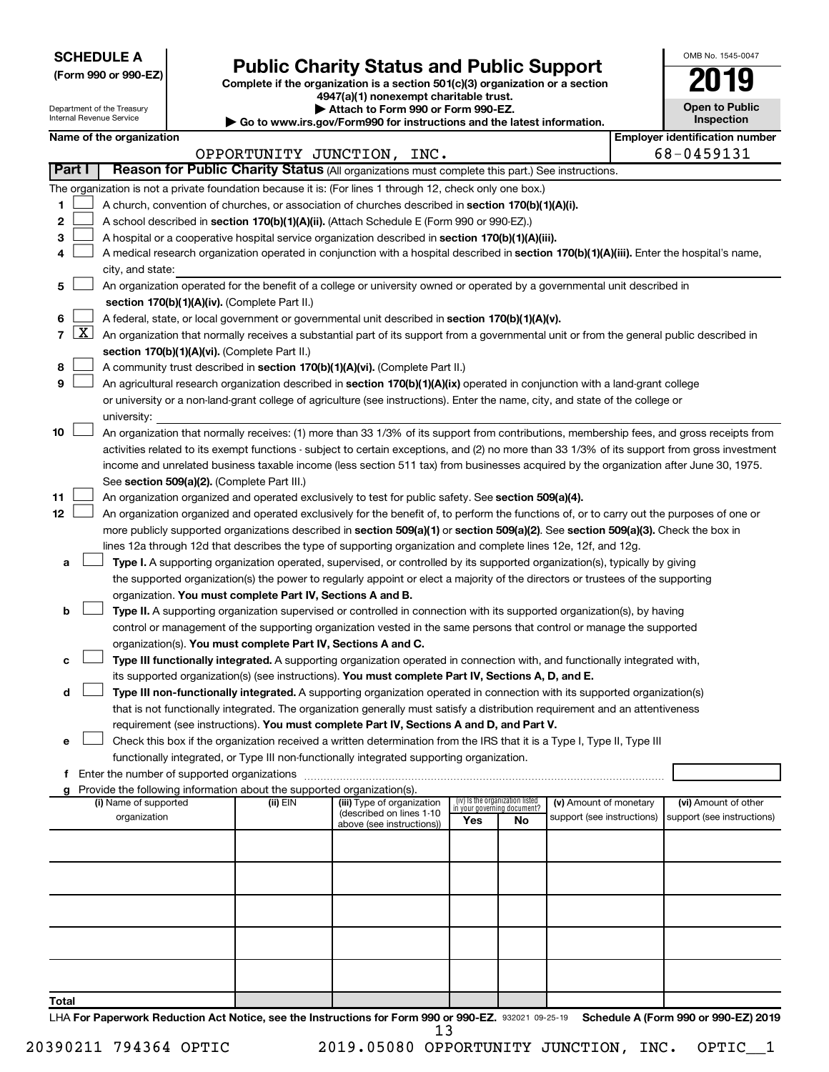**SCHEDULE A**

| (Form 990 or 990-EZ) |  |  |  |  |
|----------------------|--|--|--|--|
|----------------------|--|--|--|--|

## Form 990 or 990-EZ) **Public Charity Status and Public Support**<br>
Complete if the organization is a section 501(c)(3) organization or a section<br> **2019**

**4947(a)(1) nonexempt charitable trust.**

| OMB No. 1545-0047                   |
|-------------------------------------|
|                                     |
| <b>Open to Public</b><br>Inspection |
|                                     |

| Department of the Treasury<br>Attach to Form 990 or Form 990-EZ.<br>Internal Revenue Service<br>▶ Go to www.irs.gov/Form990 for instructions and the latest information. |               |                          | <b>Open to Public</b><br>Inspection                                    |                                                                                                                                                                                                                                                                                        |                                                                |    |                            |  |                                       |
|--------------------------------------------------------------------------------------------------------------------------------------------------------------------------|---------------|--------------------------|------------------------------------------------------------------------|----------------------------------------------------------------------------------------------------------------------------------------------------------------------------------------------------------------------------------------------------------------------------------------|----------------------------------------------------------------|----|----------------------------|--|---------------------------------------|
|                                                                                                                                                                          |               | Name of the organization |                                                                        |                                                                                                                                                                                                                                                                                        |                                                                |    |                            |  | <b>Employer identification number</b> |
|                                                                                                                                                                          |               |                          |                                                                        | OPPORTUNITY JUNCTION, INC.                                                                                                                                                                                                                                                             |                                                                |    |                            |  | 68-0459131                            |
|                                                                                                                                                                          | <b>Part I</b> |                          |                                                                        | Reason for Public Charity Status (All organizations must complete this part.) See instructions.                                                                                                                                                                                        |                                                                |    |                            |  |                                       |
|                                                                                                                                                                          |               |                          |                                                                        | The organization is not a private foundation because it is: (For lines 1 through 12, check only one box.)                                                                                                                                                                              |                                                                |    |                            |  |                                       |
| 1                                                                                                                                                                        |               |                          |                                                                        | A church, convention of churches, or association of churches described in section 170(b)(1)(A)(i).                                                                                                                                                                                     |                                                                |    |                            |  |                                       |
| 2                                                                                                                                                                        |               |                          |                                                                        | A school described in section 170(b)(1)(A)(ii). (Attach Schedule E (Form 990 or 990-EZ).)                                                                                                                                                                                              |                                                                |    |                            |  |                                       |
| 3                                                                                                                                                                        |               |                          |                                                                        | A hospital or a cooperative hospital service organization described in section 170(b)(1)(A)(iii).                                                                                                                                                                                      |                                                                |    |                            |  |                                       |
| 4                                                                                                                                                                        |               |                          |                                                                        | A medical research organization operated in conjunction with a hospital described in section 170(b)(1)(A)(iii). Enter the hospital's name,                                                                                                                                             |                                                                |    |                            |  |                                       |
|                                                                                                                                                                          |               | city, and state:         |                                                                        |                                                                                                                                                                                                                                                                                        |                                                                |    |                            |  |                                       |
| 5                                                                                                                                                                        |               |                          |                                                                        | An organization operated for the benefit of a college or university owned or operated by a governmental unit described in                                                                                                                                                              |                                                                |    |                            |  |                                       |
|                                                                                                                                                                          |               |                          | section 170(b)(1)(A)(iv). (Complete Part II.)                          |                                                                                                                                                                                                                                                                                        |                                                                |    |                            |  |                                       |
| 6                                                                                                                                                                        |               |                          |                                                                        | A federal, state, or local government or governmental unit described in section 170(b)(1)(A)(v).                                                                                                                                                                                       |                                                                |    |                            |  |                                       |
|                                                                                                                                                                          | $7 \times$    |                          |                                                                        | An organization that normally receives a substantial part of its support from a governmental unit or from the general public described in                                                                                                                                              |                                                                |    |                            |  |                                       |
|                                                                                                                                                                          |               |                          | section 170(b)(1)(A)(vi). (Complete Part II.)                          |                                                                                                                                                                                                                                                                                        |                                                                |    |                            |  |                                       |
| 8                                                                                                                                                                        |               |                          |                                                                        | A community trust described in section 170(b)(1)(A)(vi). (Complete Part II.)                                                                                                                                                                                                           |                                                                |    |                            |  |                                       |
| 9                                                                                                                                                                        |               |                          |                                                                        | An agricultural research organization described in section 170(b)(1)(A)(ix) operated in conjunction with a land-grant college                                                                                                                                                          |                                                                |    |                            |  |                                       |
|                                                                                                                                                                          |               |                          |                                                                        | or university or a non-land-grant college of agriculture (see instructions). Enter the name, city, and state of the college or                                                                                                                                                         |                                                                |    |                            |  |                                       |
|                                                                                                                                                                          |               | university:              |                                                                        |                                                                                                                                                                                                                                                                                        |                                                                |    |                            |  |                                       |
| 10                                                                                                                                                                       |               |                          |                                                                        | An organization that normally receives: (1) more than 33 1/3% of its support from contributions, membership fees, and gross receipts from                                                                                                                                              |                                                                |    |                            |  |                                       |
|                                                                                                                                                                          |               |                          |                                                                        | activities related to its exempt functions - subject to certain exceptions, and (2) no more than 33 1/3% of its support from gross investment<br>income and unrelated business taxable income (less section 511 tax) from businesses acquired by the organization after June 30, 1975. |                                                                |    |                            |  |                                       |
|                                                                                                                                                                          |               |                          | See section 509(a)(2). (Complete Part III.)                            |                                                                                                                                                                                                                                                                                        |                                                                |    |                            |  |                                       |
| 11                                                                                                                                                                       |               |                          |                                                                        | An organization organized and operated exclusively to test for public safety. See section 509(a)(4).                                                                                                                                                                                   |                                                                |    |                            |  |                                       |
| 12                                                                                                                                                                       |               |                          |                                                                        | An organization organized and operated exclusively for the benefit of, to perform the functions of, or to carry out the purposes of one or                                                                                                                                             |                                                                |    |                            |  |                                       |
|                                                                                                                                                                          |               |                          |                                                                        | more publicly supported organizations described in section 509(a)(1) or section 509(a)(2). See section 509(a)(3). Check the box in                                                                                                                                                     |                                                                |    |                            |  |                                       |
|                                                                                                                                                                          |               |                          |                                                                        | lines 12a through 12d that describes the type of supporting organization and complete lines 12e, 12f, and 12g.                                                                                                                                                                         |                                                                |    |                            |  |                                       |
| а                                                                                                                                                                        |               |                          |                                                                        | Type I. A supporting organization operated, supervised, or controlled by its supported organization(s), typically by giving                                                                                                                                                            |                                                                |    |                            |  |                                       |
|                                                                                                                                                                          |               |                          |                                                                        | the supported organization(s) the power to regularly appoint or elect a majority of the directors or trustees of the supporting                                                                                                                                                        |                                                                |    |                            |  |                                       |
|                                                                                                                                                                          |               |                          | organization. You must complete Part IV, Sections A and B.             |                                                                                                                                                                                                                                                                                        |                                                                |    |                            |  |                                       |
| b                                                                                                                                                                        |               |                          |                                                                        | Type II. A supporting organization supervised or controlled in connection with its supported organization(s), by having                                                                                                                                                                |                                                                |    |                            |  |                                       |
|                                                                                                                                                                          |               |                          |                                                                        | control or management of the supporting organization vested in the same persons that control or manage the supported                                                                                                                                                                   |                                                                |    |                            |  |                                       |
|                                                                                                                                                                          |               |                          | organization(s). You must complete Part IV, Sections A and C.          |                                                                                                                                                                                                                                                                                        |                                                                |    |                            |  |                                       |
| c                                                                                                                                                                        |               |                          |                                                                        | Type III functionally integrated. A supporting organization operated in connection with, and functionally integrated with,                                                                                                                                                             |                                                                |    |                            |  |                                       |
|                                                                                                                                                                          |               |                          |                                                                        | its supported organization(s) (see instructions). You must complete Part IV, Sections A, D, and E.                                                                                                                                                                                     |                                                                |    |                            |  |                                       |
| d                                                                                                                                                                        |               |                          |                                                                        | Type III non-functionally integrated. A supporting organization operated in connection with its supported organization(s)                                                                                                                                                              |                                                                |    |                            |  |                                       |
|                                                                                                                                                                          |               |                          |                                                                        | that is not functionally integrated. The organization generally must satisfy a distribution requirement and an attentiveness<br>requirement (see instructions). You must complete Part IV, Sections A and D, and Part V.                                                               |                                                                |    |                            |  |                                       |
|                                                                                                                                                                          |               |                          |                                                                        | Check this box if the organization received a written determination from the IRS that it is a Type I, Type II, Type III                                                                                                                                                                |                                                                |    |                            |  |                                       |
|                                                                                                                                                                          |               |                          |                                                                        | functionally integrated, or Type III non-functionally integrated supporting organization.                                                                                                                                                                                              |                                                                |    |                            |  |                                       |
|                                                                                                                                                                          |               |                          |                                                                        |                                                                                                                                                                                                                                                                                        |                                                                |    |                            |  |                                       |
|                                                                                                                                                                          |               |                          | Provide the following information about the supported organization(s). |                                                                                                                                                                                                                                                                                        |                                                                |    |                            |  |                                       |
|                                                                                                                                                                          |               | (i) Name of supported    | (ii) EIN                                                               | (iii) Type of organization                                                                                                                                                                                                                                                             | (iv) Is the organization listed<br>in vour aoverning document? |    | (v) Amount of monetary     |  | (vi) Amount of other                  |
|                                                                                                                                                                          |               | organization             |                                                                        | (described on lines 1-10<br>above (see instructions))                                                                                                                                                                                                                                  | Yes                                                            | No | support (see instructions) |  | support (see instructions)            |
|                                                                                                                                                                          |               |                          |                                                                        |                                                                                                                                                                                                                                                                                        |                                                                |    |                            |  |                                       |
|                                                                                                                                                                          |               |                          |                                                                        |                                                                                                                                                                                                                                                                                        |                                                                |    |                            |  |                                       |
|                                                                                                                                                                          |               |                          |                                                                        |                                                                                                                                                                                                                                                                                        |                                                                |    |                            |  |                                       |
|                                                                                                                                                                          |               |                          |                                                                        |                                                                                                                                                                                                                                                                                        |                                                                |    |                            |  |                                       |
|                                                                                                                                                                          |               |                          |                                                                        |                                                                                                                                                                                                                                                                                        |                                                                |    |                            |  |                                       |
|                                                                                                                                                                          |               |                          |                                                                        |                                                                                                                                                                                                                                                                                        |                                                                |    |                            |  |                                       |
|                                                                                                                                                                          |               |                          |                                                                        |                                                                                                                                                                                                                                                                                        |                                                                |    |                            |  |                                       |
|                                                                                                                                                                          |               |                          |                                                                        |                                                                                                                                                                                                                                                                                        |                                                                |    |                            |  |                                       |
|                                                                                                                                                                          |               |                          |                                                                        |                                                                                                                                                                                                                                                                                        |                                                                |    |                            |  |                                       |
| Total                                                                                                                                                                    |               |                          |                                                                        |                                                                                                                                                                                                                                                                                        |                                                                |    |                            |  |                                       |

LHA For Paperwork Reduction Act Notice, see the Instructions for Form 990 or 990-EZ. 932021 09-25-19 Schedule A (Form 990 or 990-EZ) 2019 13

20390211 794364 OPTIC 2019.05080 OPPORTUNITY JUNCTION, INC. OPTIC\_\_1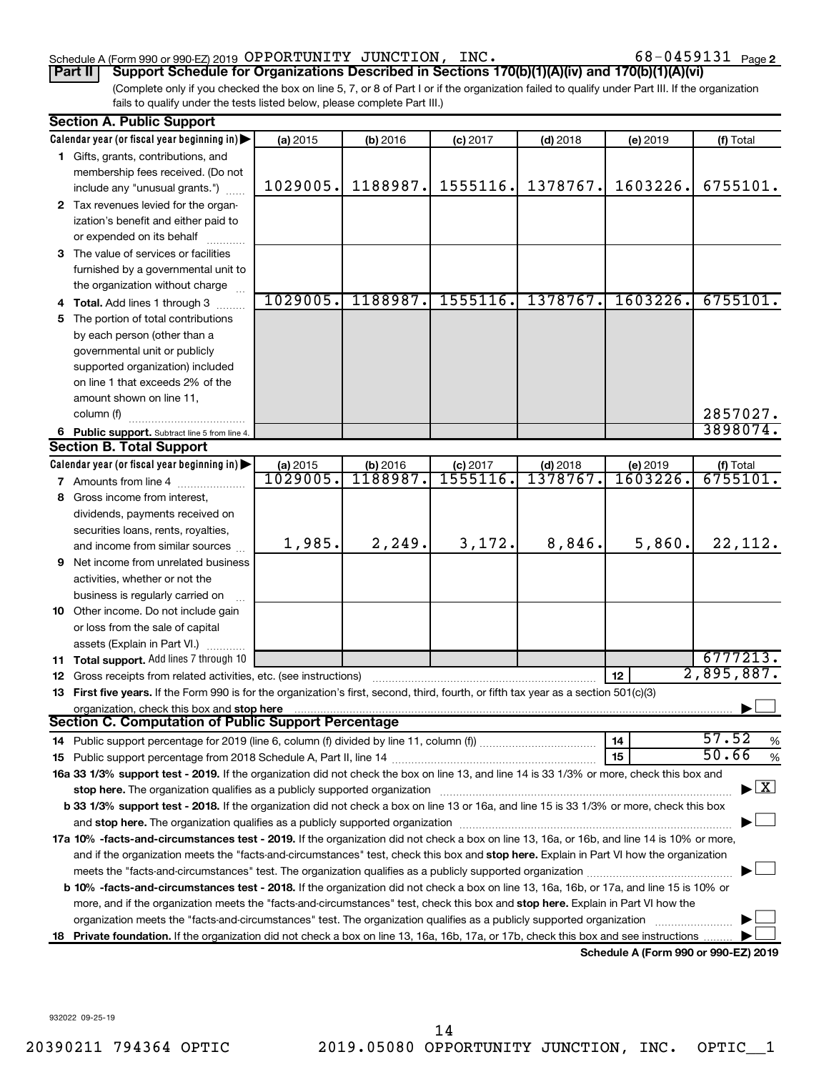### Schedule A (Form 990 or 990-EZ) 2019 Page OPPORTUNITY JUNCTION, INC. 68-0459131

68-0459131 Page 2

(Complete only if you checked the box on line 5, 7, or 8 of Part I or if the organization failed to qualify under Part III. If the organization fails to qualify under the tests listed below, please complete Part III.) **Part II Support Schedule for Organizations Described in Sections 170(b)(1)(A)(iv) and 170(b)(1)(A)(vi)**

|    | <b>Section A. Public Support</b>                                                                                                                                                                                                                                                      |          |                  |            |            |                                      |                                    |
|----|---------------------------------------------------------------------------------------------------------------------------------------------------------------------------------------------------------------------------------------------------------------------------------------|----------|------------------|------------|------------|--------------------------------------|------------------------------------|
|    | Calendar year (or fiscal year beginning in)                                                                                                                                                                                                                                           | (a) 2015 | (b) 2016         | $(c)$ 2017 | $(d)$ 2018 | (e) 2019                             | (f) Total                          |
|    | 1 Gifts, grants, contributions, and                                                                                                                                                                                                                                                   |          |                  |            |            |                                      |                                    |
|    | membership fees received. (Do not                                                                                                                                                                                                                                                     |          |                  |            |            |                                      |                                    |
|    | include any "unusual grants.")                                                                                                                                                                                                                                                        | 1029005. | 1188987.         | 1555116.   | 1378767.   | 1603226.                             | 6755101.                           |
|    | 2 Tax revenues levied for the organ-                                                                                                                                                                                                                                                  |          |                  |            |            |                                      |                                    |
|    | ization's benefit and either paid to                                                                                                                                                                                                                                                  |          |                  |            |            |                                      |                                    |
|    | or expended on its behalf                                                                                                                                                                                                                                                             |          |                  |            |            |                                      |                                    |
|    | 3 The value of services or facilities                                                                                                                                                                                                                                                 |          |                  |            |            |                                      |                                    |
|    | furnished by a governmental unit to                                                                                                                                                                                                                                                   |          |                  |            |            |                                      |                                    |
|    | the organization without charge                                                                                                                                                                                                                                                       |          |                  |            |            |                                      |                                    |
|    | 4 Total. Add lines 1 through 3                                                                                                                                                                                                                                                        | 1029005. | 1188987.         | 1555116.   | 1378767.   | 1603226.                             | 6755101.                           |
|    | 5 The portion of total contributions                                                                                                                                                                                                                                                  |          |                  |            |            |                                      |                                    |
|    | by each person (other than a                                                                                                                                                                                                                                                          |          |                  |            |            |                                      |                                    |
|    | governmental unit or publicly                                                                                                                                                                                                                                                         |          |                  |            |            |                                      |                                    |
|    | supported organization) included                                                                                                                                                                                                                                                      |          |                  |            |            |                                      |                                    |
|    | on line 1 that exceeds 2% of the                                                                                                                                                                                                                                                      |          |                  |            |            |                                      |                                    |
|    | amount shown on line 11,                                                                                                                                                                                                                                                              |          |                  |            |            |                                      |                                    |
|    | column (f)                                                                                                                                                                                                                                                                            |          |                  |            |            |                                      | 2857027.                           |
|    | 6 Public support. Subtract line 5 from line 4.                                                                                                                                                                                                                                        |          |                  |            |            |                                      | 3898074.                           |
|    | <b>Section B. Total Support</b>                                                                                                                                                                                                                                                       |          |                  |            |            |                                      |                                    |
|    | Calendar year (or fiscal year beginning in)                                                                                                                                                                                                                                           | (a) 2015 | (b) 2016         | $(c)$ 2017 | $(d)$ 2018 | (e) 2019                             | (f) Total                          |
|    | <b>7</b> Amounts from line 4                                                                                                                                                                                                                                                          | 1029005. | <u> 1188987.</u> | 1555116    | 1378767    | 1603226.                             | 6755101.                           |
|    | 8 Gross income from interest,                                                                                                                                                                                                                                                         |          |                  |            |            |                                      |                                    |
|    | dividends, payments received on                                                                                                                                                                                                                                                       |          |                  |            |            |                                      |                                    |
|    | securities loans, rents, royalties,                                                                                                                                                                                                                                                   |          |                  |            |            |                                      |                                    |
|    | and income from similar sources                                                                                                                                                                                                                                                       | 1,985.   | 2, 249.          | 3,172.     | 8,846.     | 5,860.                               | 22, 112.                           |
| 9. | Net income from unrelated business                                                                                                                                                                                                                                                    |          |                  |            |            |                                      |                                    |
|    | activities, whether or not the                                                                                                                                                                                                                                                        |          |                  |            |            |                                      |                                    |
|    | business is regularly carried on                                                                                                                                                                                                                                                      |          |                  |            |            |                                      |                                    |
|    | 10 Other income. Do not include gain                                                                                                                                                                                                                                                  |          |                  |            |            |                                      |                                    |
|    | or loss from the sale of capital                                                                                                                                                                                                                                                      |          |                  |            |            |                                      |                                    |
|    | assets (Explain in Part VI.)                                                                                                                                                                                                                                                          |          |                  |            |            |                                      |                                    |
|    | 11 Total support. Add lines 7 through 10                                                                                                                                                                                                                                              |          |                  |            |            |                                      | 6777213.                           |
|    | 12 Gross receipts from related activities, etc. (see instructions)                                                                                                                                                                                                                    |          |                  |            |            | 12                                   | 2,895,887.                         |
|    | 13 First five years. If the Form 990 is for the organization's first, second, third, fourth, or fifth tax year as a section 501(c)(3)                                                                                                                                                 |          |                  |            |            |                                      |                                    |
|    | organization, check this box and stop here<br><b>Section C. Computation of Public Support Percentage</b>                                                                                                                                                                              |          |                  |            |            |                                      |                                    |
|    |                                                                                                                                                                                                                                                                                       |          |                  |            |            |                                      | 57.52                              |
|    |                                                                                                                                                                                                                                                                                       |          |                  |            |            | 14                                   | %<br>50.66                         |
|    |                                                                                                                                                                                                                                                                                       |          |                  |            |            | 15                                   | $\%$                               |
|    | 16a 33 1/3% support test - 2019. If the organization did not check the box on line 13, and line 14 is 33 1/3% or more, check this box and                                                                                                                                             |          |                  |            |            |                                      | $\blacktriangleright$ $\mathbf{X}$ |
|    |                                                                                                                                                                                                                                                                                       |          |                  |            |            |                                      |                                    |
|    | b 33 1/3% support test - 2018. If the organization did not check a box on line 13 or 16a, and line 15 is 33 1/3% or more, check this box                                                                                                                                              |          |                  |            |            |                                      |                                    |
|    |                                                                                                                                                                                                                                                                                       |          |                  |            |            |                                      |                                    |
|    | 17a 10% -facts-and-circumstances test - 2019. If the organization did not check a box on line 13, 16a, or 16b, and line 14 is 10% or more,<br>and if the organization meets the "facts-and-circumstances" test, check this box and stop here. Explain in Part VI how the organization |          |                  |            |            |                                      |                                    |
|    |                                                                                                                                                                                                                                                                                       |          |                  |            |            |                                      |                                    |
|    | <b>b 10%</b> -facts-and-circumstances test - 2018. If the organization did not check a box on line 13, 16a, 16b, or 17a, and line 15 is 10% or                                                                                                                                        |          |                  |            |            |                                      |                                    |
|    | more, and if the organization meets the "facts-and-circumstances" test, check this box and stop here. Explain in Part VI how the                                                                                                                                                      |          |                  |            |            |                                      |                                    |
|    | organization meets the "facts-and-circumstances" test. The organization qualifies as a publicly supported organization                                                                                                                                                                |          |                  |            |            |                                      |                                    |
| 18 | Private foundation. If the organization did not check a box on line 13, 16a, 16b, 17a, or 17b, check this box and see instructions.                                                                                                                                                   |          |                  |            |            |                                      |                                    |
|    |                                                                                                                                                                                                                                                                                       |          |                  |            |            | Schedule A (Form 990 or 990-EZ) 2019 |                                    |

932022 09-25-19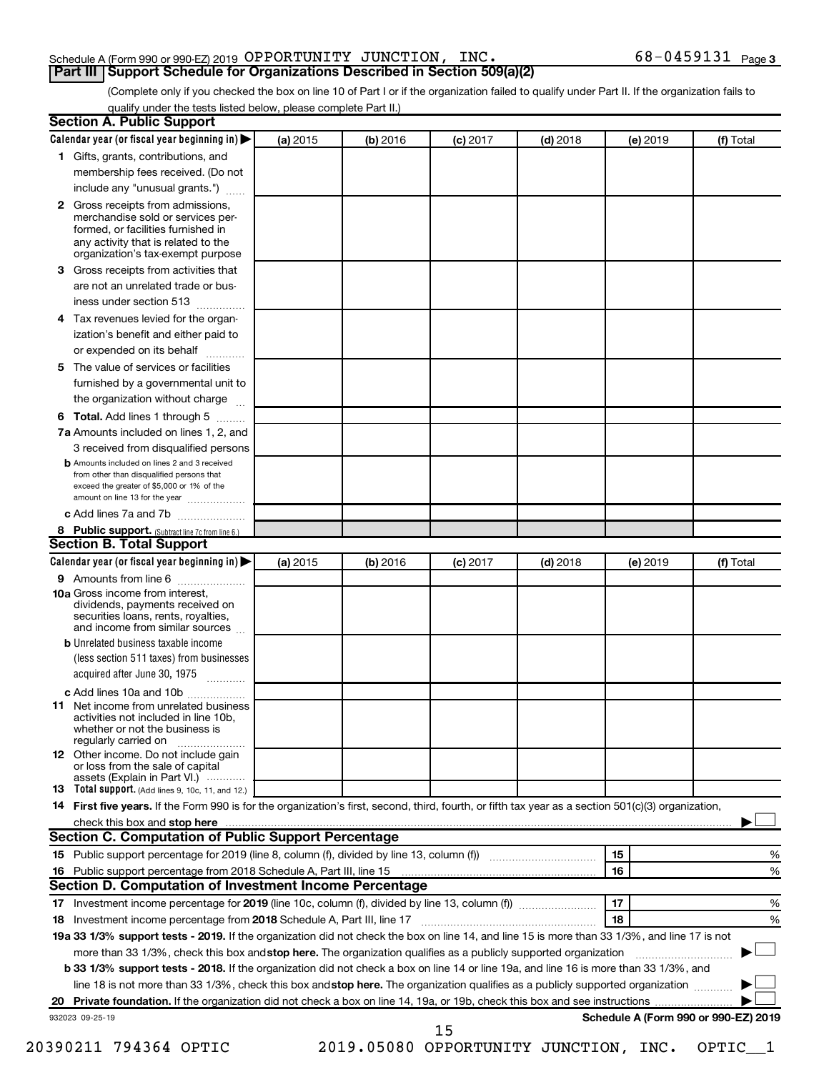### Schedule A (Form 990 or 990-EZ) 2019 Page OPPORTUNITY JUNCTION, INC. 68-0459131

(Complete only if you checked the box on line 10 of Part I or if the organization failed to qualify under Part II. If the organization fails to **Part III Support Schedule for Organizations Described in Section 509(a)(2)** 

qualify under the tests listed below, please complete Part II.)

| Calendar year (or fiscal year beginning in)                                                                                                                                                                                    | (a) 2015 | (b) 2016 | $(c)$ 2017 | $(d)$ 2018                            |    | (e) 2019 | (f) Total                            |       |
|--------------------------------------------------------------------------------------------------------------------------------------------------------------------------------------------------------------------------------|----------|----------|------------|---------------------------------------|----|----------|--------------------------------------|-------|
| 1 Gifts, grants, contributions, and                                                                                                                                                                                            |          |          |            |                                       |    |          |                                      |       |
| membership fees received. (Do not                                                                                                                                                                                              |          |          |            |                                       |    |          |                                      |       |
| include any "unusual grants.")                                                                                                                                                                                                 |          |          |            |                                       |    |          |                                      |       |
| Gross receipts from admissions,<br>$\mathbf{2}$<br>merchandise sold or services per-<br>formed, or facilities furnished in<br>any activity that is related to the                                                              |          |          |            |                                       |    |          |                                      |       |
| organization's tax-exempt purpose                                                                                                                                                                                              |          |          |            |                                       |    |          |                                      |       |
| Gross receipts from activities that<br>3.                                                                                                                                                                                      |          |          |            |                                       |    |          |                                      |       |
| are not an unrelated trade or bus-<br>iness under section 513                                                                                                                                                                  |          |          |            |                                       |    |          |                                      |       |
| Tax revenues levied for the organ-<br>4                                                                                                                                                                                        |          |          |            |                                       |    |          |                                      |       |
| ization's benefit and either paid to<br>or expended on its behalf<br>.                                                                                                                                                         |          |          |            |                                       |    |          |                                      |       |
| The value of services or facilities<br>5                                                                                                                                                                                       |          |          |            |                                       |    |          |                                      |       |
| furnished by a governmental unit to<br>the organization without charge                                                                                                                                                         |          |          |            |                                       |    |          |                                      |       |
| Total. Add lines 1 through 5<br>6                                                                                                                                                                                              |          |          |            |                                       |    |          |                                      |       |
| 7a Amounts included on lines 1, 2, and                                                                                                                                                                                         |          |          |            |                                       |    |          |                                      |       |
| 3 received from disqualified persons                                                                                                                                                                                           |          |          |            |                                       |    |          |                                      |       |
| <b>b</b> Amounts included on lines 2 and 3 received                                                                                                                                                                            |          |          |            |                                       |    |          |                                      |       |
| from other than disqualified persons that<br>exceed the greater of \$5,000 or 1% of the<br>amount on line 13 for the year                                                                                                      |          |          |            |                                       |    |          |                                      |       |
| c Add lines 7a and 7b                                                                                                                                                                                                          |          |          |            |                                       |    |          |                                      |       |
| 8 Public support. (Subtract line 7c from line 6.)                                                                                                                                                                              |          |          |            |                                       |    |          |                                      |       |
| <b>Section B. Total Support</b>                                                                                                                                                                                                |          |          |            |                                       |    |          |                                      |       |
| Calendar year (or fiscal year beginning in)                                                                                                                                                                                    | (a) 2015 | (b) 2016 | $(c)$ 2017 | $(d)$ 2018                            |    | (e) 2019 | (f) Total                            |       |
| 9 Amounts from line 6                                                                                                                                                                                                          |          |          |            |                                       |    |          |                                      |       |
| <b>10a</b> Gross income from interest,<br>dividends, payments received on<br>securities loans, rents, royalties,<br>and income from similar sources                                                                            |          |          |            |                                       |    |          |                                      |       |
| <b>b</b> Unrelated business taxable income                                                                                                                                                                                     |          |          |            |                                       |    |          |                                      |       |
| (less section 511 taxes) from businesses<br>acquired after June 30, 1975                                                                                                                                                       |          |          |            |                                       |    |          |                                      |       |
| c Add lines 10a and 10b                                                                                                                                                                                                        |          |          |            |                                       |    |          |                                      |       |
| Net income from unrelated business<br>11<br>activities not included in line 10b.<br>whether or not the business is<br>regularly carried on                                                                                     |          |          |            |                                       |    |          |                                      |       |
| <b>12</b> Other income. Do not include gain<br>or loss from the sale of capital<br>assets (Explain in Part VI.)                                                                                                                |          |          |            |                                       |    |          |                                      |       |
| <b>13</b> Total support. (Add lines 9, 10c, 11, and 12.)                                                                                                                                                                       |          |          |            |                                       |    |          |                                      |       |
| 14 First five years. If the Form 990 is for the organization's first, second, third, fourth, or fifth tax year as a section 501(c)(3) organization,                                                                            |          |          |            |                                       |    |          |                                      |       |
| check this box and stop here measurements and stop here and stop here measurement and stop here measurement and stop here and stop here and stop here and stop here and stop here and stop here and stop here are all the stop |          |          |            |                                       |    |          |                                      |       |
| Section C. Computation of Public Support Percentage                                                                                                                                                                            |          |          |            |                                       |    |          |                                      |       |
|                                                                                                                                                                                                                                |          |          |            |                                       | 15 |          |                                      | %     |
|                                                                                                                                                                                                                                |          |          |            |                                       | 16 |          |                                      | %     |
| Section D. Computation of Investment Income Percentage                                                                                                                                                                         |          |          |            |                                       |    |          |                                      |       |
|                                                                                                                                                                                                                                |          |          |            |                                       | 17 |          |                                      | %     |
|                                                                                                                                                                                                                                |          |          |            |                                       | 18 |          |                                      | %     |
| 19a 33 1/3% support tests - 2019. If the organization did not check the box on line 14, and line 15 is more than 33 1/3%, and line 17 is not                                                                                   |          |          |            |                                       |    |          |                                      |       |
|                                                                                                                                                                                                                                |          |          |            |                                       |    |          |                                      |       |
| more than 33 1/3%, check this box and stop here. The organization qualifies as a publicly supported organization                                                                                                               |          |          |            |                                       |    |          |                                      |       |
| <b>b 33 1/3% support tests - 2018.</b> If the organization did not check a box on line 14 or line 19a, and line 16 is more than 33 1/3%, and                                                                                   |          |          |            |                                       |    |          |                                      |       |
| line 18 is not more than 33 1/3%, check this box and stop here. The organization qualifies as a publicly supported organization                                                                                                |          |          |            |                                       |    |          |                                      |       |
|                                                                                                                                                                                                                                |          |          |            |                                       |    |          |                                      |       |
| 932023 09-25-19                                                                                                                                                                                                                |          |          |            |                                       |    |          | Schedule A (Form 990 or 990-EZ) 2019 |       |
| 20390211 794364 OPTIC                                                                                                                                                                                                          |          |          | 15         | 2019.05080 OPPORTUNITY JUNCTION, INC. |    |          |                                      | OPTIC |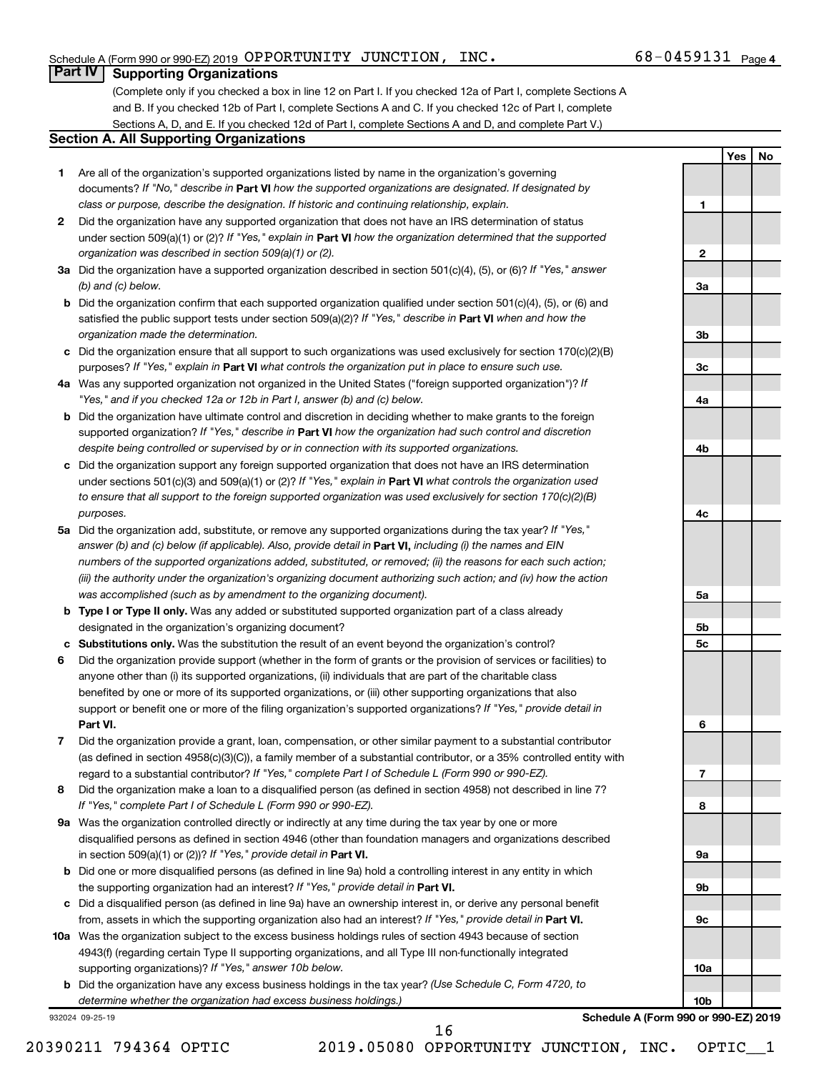**1**

**2**

**3a**

**3b**

**3c**

**4a**

**4b**

**4c**

**5a**

**5b 5c**

**6**

**7**

**8**

**9a**

**9b**

**9c**

**10a**

**10b**

**Yes No**

### **Part IV Supporting Organizations**

(Complete only if you checked a box in line 12 on Part I. If you checked 12a of Part I, complete Sections A and B. If you checked 12b of Part I, complete Sections A and C. If you checked 12c of Part I, complete Sections A, D, and E. If you checked 12d of Part I, complete Sections A and D, and complete Part V.)

### **Section A. All Supporting Organizations**

- **1** Are all of the organization's supported organizations listed by name in the organization's governing documents? If "No," describe in Part VI how the supported organizations are designated. If designated by *class or purpose, describe the designation. If historic and continuing relationship, explain.*
- **2** Did the organization have any supported organization that does not have an IRS determination of status under section 509(a)(1) or (2)? If "Yes," explain in Part **VI** how the organization determined that the supported *organization was described in section 509(a)(1) or (2).*
- **3a** Did the organization have a supported organization described in section 501(c)(4), (5), or (6)? If "Yes," answer *(b) and (c) below.*
- **b** Did the organization confirm that each supported organization qualified under section 501(c)(4), (5), or (6) and satisfied the public support tests under section 509(a)(2)? If "Yes," describe in Part VI when and how the *organization made the determination.*
- **c** Did the organization ensure that all support to such organizations was used exclusively for section 170(c)(2)(B) purposes? If "Yes," explain in Part VI what controls the organization put in place to ensure such use.
- **4 a** *If* Was any supported organization not organized in the United States ("foreign supported organization")? *"Yes," and if you checked 12a or 12b in Part I, answer (b) and (c) below.*
- **b** Did the organization have ultimate control and discretion in deciding whether to make grants to the foreign supported organization? If "Yes," describe in Part VI how the organization had such control and discretion *despite being controlled or supervised by or in connection with its supported organizations.*
- **c** Did the organization support any foreign supported organization that does not have an IRS determination under sections 501(c)(3) and 509(a)(1) or (2)? If "Yes," explain in Part VI what controls the organization used *to ensure that all support to the foreign supported organization was used exclusively for section 170(c)(2)(B) purposes.*
- **5a** Did the organization add, substitute, or remove any supported organizations during the tax year? If "Yes," answer (b) and (c) below (if applicable). Also, provide detail in **Part VI,** including (i) the names and EIN *numbers of the supported organizations added, substituted, or removed; (ii) the reasons for each such action; (iii) the authority under the organization's organizing document authorizing such action; and (iv) how the action was accomplished (such as by amendment to the organizing document).*
- **b Type I or Type II only.** Was any added or substituted supported organization part of a class already designated in the organization's organizing document?
- **c Substitutions only.**  Was the substitution the result of an event beyond the organization's control?
- **6** Did the organization provide support (whether in the form of grants or the provision of services or facilities) to **Part VI.** support or benefit one or more of the filing organization's supported organizations? If "Yes," provide detail in anyone other than (i) its supported organizations, (ii) individuals that are part of the charitable class benefited by one or more of its supported organizations, or (iii) other supporting organizations that also
- **7** Did the organization provide a grant, loan, compensation, or other similar payment to a substantial contributor regard to a substantial contributor? If "Yes," complete Part I of Schedule L (Form 990 or 990-EZ). (as defined in section 4958(c)(3)(C)), a family member of a substantial contributor, or a 35% controlled entity with
- **8** Did the organization make a loan to a disqualified person (as defined in section 4958) not described in line 7? *If "Yes," complete Part I of Schedule L (Form 990 or 990-EZ).*
- **9 a** Was the organization controlled directly or indirectly at any time during the tax year by one or more in section 509(a)(1) or (2))? If "Yes," provide detail in **Part VI.** disqualified persons as defined in section 4946 (other than foundation managers and organizations described
- **b** Did one or more disqualified persons (as defined in line 9a) hold a controlling interest in any entity in which the supporting organization had an interest? If "Yes," provide detail in Part VI.
- **c** Did a disqualified person (as defined in line 9a) have an ownership interest in, or derive any personal benefit from, assets in which the supporting organization also had an interest? If "Yes," provide detail in Part VI.
- **10 a** Was the organization subject to the excess business holdings rules of section 4943 because of section supporting organizations)? If "Yes," answer 10b below. 4943(f) (regarding certain Type II supporting organizations, and all Type III non-functionally integrated
	- **b** Did the organization have any excess business holdings in the tax year? (Use Schedule C, Form 4720, to *determine whether the organization had excess business holdings.)*

932024 09-25-19

**Schedule A (Form 990 or 990-EZ) 2019**

16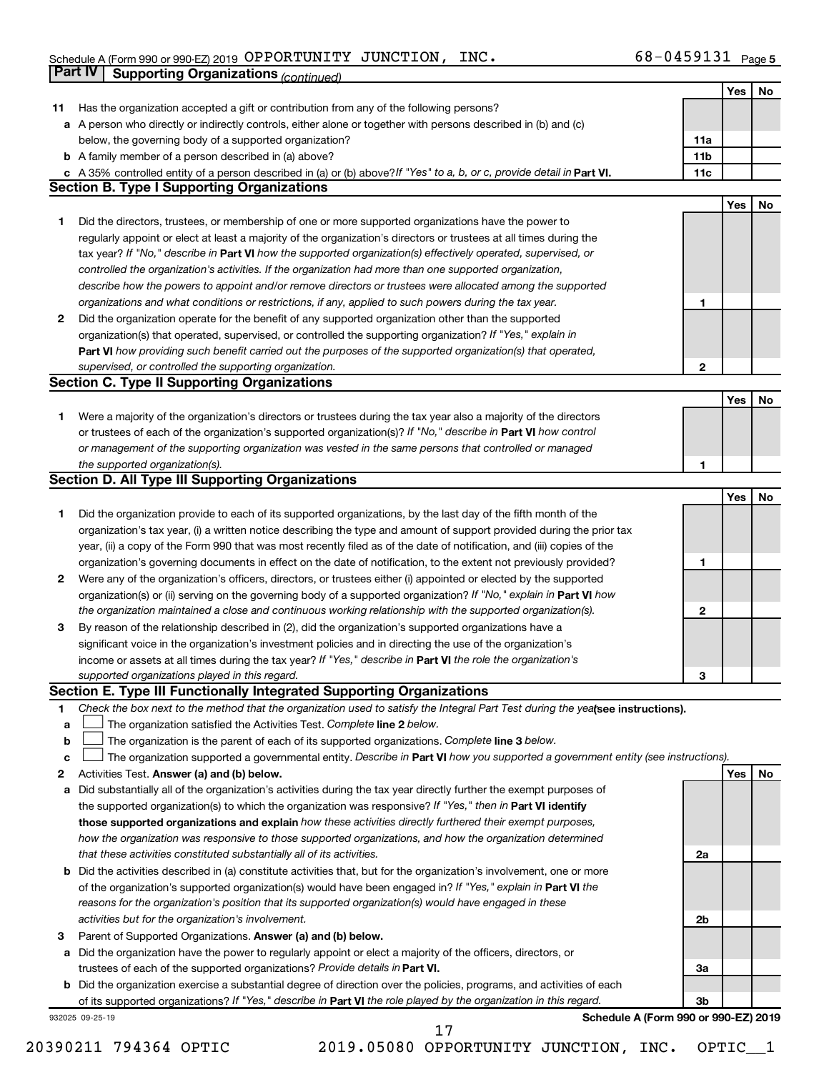### $S$ chedule A (Form 990 or 990-EZ) 2019  $\,$  OPPORTUNITY JUNCTION , INC .  $\,$ OPPORTUNITY JUNCTION, INC. 68-0459131

|    | Part IV<br><b>Supporting Organizations (continued)</b>                                                                                                                                                                                            |                 |     |    |
|----|---------------------------------------------------------------------------------------------------------------------------------------------------------------------------------------------------------------------------------------------------|-----------------|-----|----|
|    |                                                                                                                                                                                                                                                   |                 | Yes | No |
| 11 | Has the organization accepted a gift or contribution from any of the following persons?                                                                                                                                                           |                 |     |    |
|    | a A person who directly or indirectly controls, either alone or together with persons described in (b) and (c)                                                                                                                                    |                 |     |    |
|    | below, the governing body of a supported organization?                                                                                                                                                                                            | 11a             |     |    |
|    | <b>b</b> A family member of a person described in (a) above?                                                                                                                                                                                      | 11 <sub>b</sub> |     |    |
|    | c A 35% controlled entity of a person described in (a) or (b) above? If "Yes" to a, b, or c, provide detail in Part VI.                                                                                                                           | 11c             |     |    |
|    | <b>Section B. Type I Supporting Organizations</b>                                                                                                                                                                                                 |                 |     |    |
|    |                                                                                                                                                                                                                                                   |                 | Yes | No |
| 1  | Did the directors, trustees, or membership of one or more supported organizations have the power to                                                                                                                                               |                 |     |    |
|    | regularly appoint or elect at least a majority of the organization's directors or trustees at all times during the                                                                                                                                |                 |     |    |
|    | tax year? If "No," describe in Part VI how the supported organization(s) effectively operated, supervised, or                                                                                                                                     |                 |     |    |
|    | controlled the organization's activities. If the organization had more than one supported organization,                                                                                                                                           |                 |     |    |
|    | describe how the powers to appoint and/or remove directors or trustees were allocated among the supported                                                                                                                                         |                 |     |    |
|    | organizations and what conditions or restrictions, if any, applied to such powers during the tax year.                                                                                                                                            | 1               |     |    |
| 2  | Did the organization operate for the benefit of any supported organization other than the supported                                                                                                                                               |                 |     |    |
|    | organization(s) that operated, supervised, or controlled the supporting organization? If "Yes," explain in                                                                                                                                        |                 |     |    |
|    | Part VI how providing such benefit carried out the purposes of the supported organization(s) that operated,                                                                                                                                       |                 |     |    |
|    | supervised, or controlled the supporting organization.                                                                                                                                                                                            |                 |     |    |
|    | <b>Section C. Type II Supporting Organizations</b>                                                                                                                                                                                                | 2               |     |    |
|    |                                                                                                                                                                                                                                                   |                 |     |    |
|    |                                                                                                                                                                                                                                                   |                 | Yes | No |
| 1. | Were a majority of the organization's directors or trustees during the tax year also a majority of the directors                                                                                                                                  |                 |     |    |
|    | or trustees of each of the organization's supported organization(s)? If "No," describe in Part VI how control                                                                                                                                     |                 |     |    |
|    | or management of the supporting organization was vested in the same persons that controlled or managed                                                                                                                                            |                 |     |    |
|    | the supported organization(s).                                                                                                                                                                                                                    | 1               |     |    |
|    | <b>Section D. All Type III Supporting Organizations</b>                                                                                                                                                                                           |                 |     |    |
|    |                                                                                                                                                                                                                                                   |                 | Yes | No |
| 1  | Did the organization provide to each of its supported organizations, by the last day of the fifth month of the                                                                                                                                    |                 |     |    |
|    | organization's tax year, (i) a written notice describing the type and amount of support provided during the prior tax                                                                                                                             |                 |     |    |
|    | year, (ii) a copy of the Form 990 that was most recently filed as of the date of notification, and (iii) copies of the                                                                                                                            |                 |     |    |
|    | organization's governing documents in effect on the date of notification, to the extent not previously provided?                                                                                                                                  | 1               |     |    |
| 2  | Were any of the organization's officers, directors, or trustees either (i) appointed or elected by the supported                                                                                                                                  |                 |     |    |
|    | organization(s) or (ii) serving on the governing body of a supported organization? If "No," explain in Part VI how                                                                                                                                |                 |     |    |
|    | the organization maintained a close and continuous working relationship with the supported organization(s).                                                                                                                                       | 2               |     |    |
| 3  | By reason of the relationship described in (2), did the organization's supported organizations have a                                                                                                                                             |                 |     |    |
|    | significant voice in the organization's investment policies and in directing the use of the organization's                                                                                                                                        |                 |     |    |
|    | income or assets at all times during the tax year? If "Yes," describe in Part VI the role the organization's                                                                                                                                      |                 |     |    |
|    | supported organizations played in this regard.                                                                                                                                                                                                    | з               |     |    |
|    | Section E. Type III Functionally Integrated Supporting Organizations                                                                                                                                                                              |                 |     |    |
| 1  | Check the box next to the method that the organization used to satisfy the Integral Part Test during the yealsee instructions).                                                                                                                   |                 |     |    |
| a  | The organization satisfied the Activities Test. Complete line 2 below.                                                                                                                                                                            |                 |     |    |
| b  | The organization is the parent of each of its supported organizations. Complete line 3 below.                                                                                                                                                     |                 |     |    |
| с  | The organization supported a governmental entity. Describe in Part VI how you supported a government entity (see instructions).                                                                                                                   |                 |     |    |
| 2  | Activities Test. Answer (a) and (b) below.                                                                                                                                                                                                        |                 | Yes | No |
| а  | Did substantially all of the organization's activities during the tax year directly further the exempt purposes of                                                                                                                                |                 |     |    |
|    | the supported organization(s) to which the organization was responsive? If "Yes," then in Part VI identify                                                                                                                                        |                 |     |    |
|    | those supported organizations and explain how these activities directly furthered their exempt purposes,                                                                                                                                          |                 |     |    |
|    | how the organization was responsive to those supported organizations, and how the organization determined                                                                                                                                         |                 |     |    |
|    | that these activities constituted substantially all of its activities.                                                                                                                                                                            | 2a              |     |    |
| b  | Did the activities described in (a) constitute activities that, but for the organization's involvement, one or more                                                                                                                               |                 |     |    |
|    | of the organization's supported organization(s) would have been engaged in? If "Yes," explain in Part VI the                                                                                                                                      |                 |     |    |
|    | reasons for the organization's position that its supported organization(s) would have engaged in these                                                                                                                                            |                 |     |    |
|    | activities but for the organization's involvement.                                                                                                                                                                                                | 2b              |     |    |
| 3  | Parent of Supported Organizations. Answer (a) and (b) below.                                                                                                                                                                                      |                 |     |    |
| а  | Did the organization have the power to regularly appoint or elect a majority of the officers, directors, or                                                                                                                                       |                 |     |    |
|    | trustees of each of the supported organizations? Provide details in Part VI.                                                                                                                                                                      | За              |     |    |
|    | <b>b</b> Did the organization exercise a substantial degree of direction over the policies, programs, and activities of each<br>of its supported organizations? If "Yes," describe in Part VI the role played by the organization in this regard. | 3b              |     |    |
|    | Schedule A (Form 990 or 990-EZ) 2019<br>932025 09-25-19                                                                                                                                                                                           |                 |     |    |
|    |                                                                                                                                                                                                                                                   |                 |     |    |

20390211 794364 OPTIC 2019.05080 OPPORTUNITY JUNCTION, INC. OPTIC\_\_1 17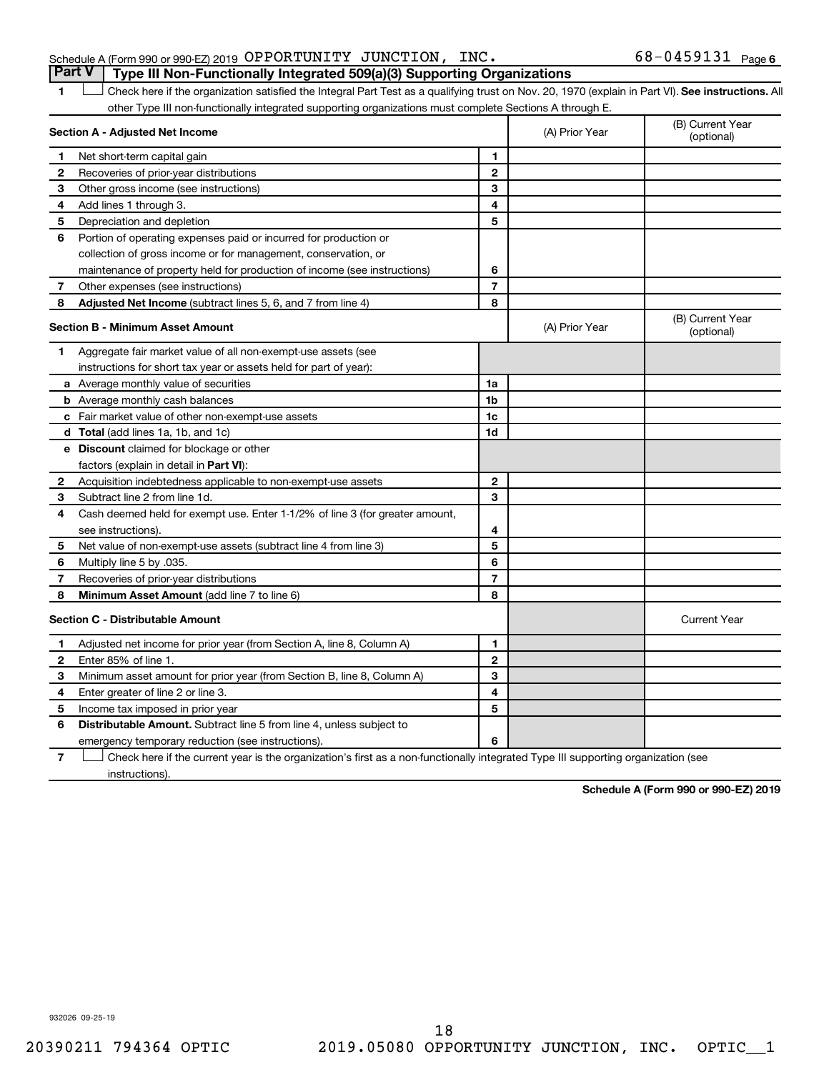### Schedule A (Form 990 or 990-EZ) 2019 Page OPPORTUNITY JUNCTION, INC. 68-0459131 **Part V Type III Non-Functionally Integrated 509(a)(3) Supporting Organizations**

1 **Letter See instructions.** All Check here if the organization satisfied the Integral Part Test as a qualifying trust on Nov. 20, 1970 (explain in Part VI). See instructions. All other Type III non-functionally integrated supporting organizations must complete Sections A through E.

|   | Section A - Adjusted Net Income                                              |                | (A) Prior Year | (B) Current Year<br>(optional) |
|---|------------------------------------------------------------------------------|----------------|----------------|--------------------------------|
| 1 | Net short-term capital gain                                                  | 1              |                |                                |
| 2 | Recoveries of prior-year distributions                                       | $\mathbf{2}$   |                |                                |
| 3 | Other gross income (see instructions)                                        | 3              |                |                                |
| 4 | Add lines 1 through 3.                                                       | 4              |                |                                |
| 5 | Depreciation and depletion                                                   | 5              |                |                                |
| 6 | Portion of operating expenses paid or incurred for production or             |                |                |                                |
|   | collection of gross income or for management, conservation, or               |                |                |                                |
|   | maintenance of property held for production of income (see instructions)     | 6              |                |                                |
| 7 | Other expenses (see instructions)                                            | $\overline{7}$ |                |                                |
| 8 | <b>Adjusted Net Income</b> (subtract lines 5, 6, and 7 from line 4)          | 8              |                |                                |
|   | <b>Section B - Minimum Asset Amount</b>                                      |                | (A) Prior Year | (B) Current Year<br>(optional) |
| 1 | Aggregate fair market value of all non-exempt-use assets (see                |                |                |                                |
|   | instructions for short tax year or assets held for part of year):            |                |                |                                |
|   | a Average monthly value of securities                                        | 1a             |                |                                |
|   | <b>b</b> Average monthly cash balances                                       | 1b             |                |                                |
|   | <b>c</b> Fair market value of other non-exempt-use assets                    | 1 <sub>c</sub> |                |                                |
|   | d Total (add lines 1a, 1b, and 1c)                                           | 1d             |                |                                |
|   | e Discount claimed for blockage or other                                     |                |                |                                |
|   | factors (explain in detail in Part VI):                                      |                |                |                                |
| 2 | Acquisition indebtedness applicable to non-exempt-use assets                 | $\mathbf{2}$   |                |                                |
| 3 | Subtract line 2 from line 1d.                                                | 3              |                |                                |
| 4 | Cash deemed held for exempt use. Enter 1-1/2% of line 3 (for greater amount, |                |                |                                |
|   | see instructions).                                                           | 4              |                |                                |
| 5 | Net value of non-exempt-use assets (subtract line 4 from line 3)             | 5              |                |                                |
| 6 | Multiply line 5 by .035.                                                     | 6              |                |                                |
| 7 | Recoveries of prior-year distributions                                       | $\overline{7}$ |                |                                |
| 8 | <b>Minimum Asset Amount (add line 7 to line 6)</b>                           | 8              |                |                                |
|   | <b>Section C - Distributable Amount</b>                                      |                |                | <b>Current Year</b>            |
| 1 | Adjusted net income for prior year (from Section A, line 8, Column A)        | 1              |                |                                |
| 2 | Enter 85% of line 1                                                          | $\mathbf{2}$   |                |                                |
| 3 | Minimum asset amount for prior year (from Section B, line 8, Column A)       | 3              |                |                                |
| 4 | Enter greater of line 2 or line 3.                                           | 4              |                |                                |
| 5 | Income tax imposed in prior year                                             | 5              |                |                                |
| 6 | <b>Distributable Amount.</b> Subtract line 5 from line 4, unless subject to  |                |                |                                |
|   | emergency temporary reduction (see instructions).                            | 6              |                |                                |
|   |                                                                              |                |                |                                |

**7** Check here if the current year is the organization's first as a non-functionally integrated Type III supporting organization (see † instructions).

**Schedule A (Form 990 or 990-EZ) 2019**

932026 09-25-19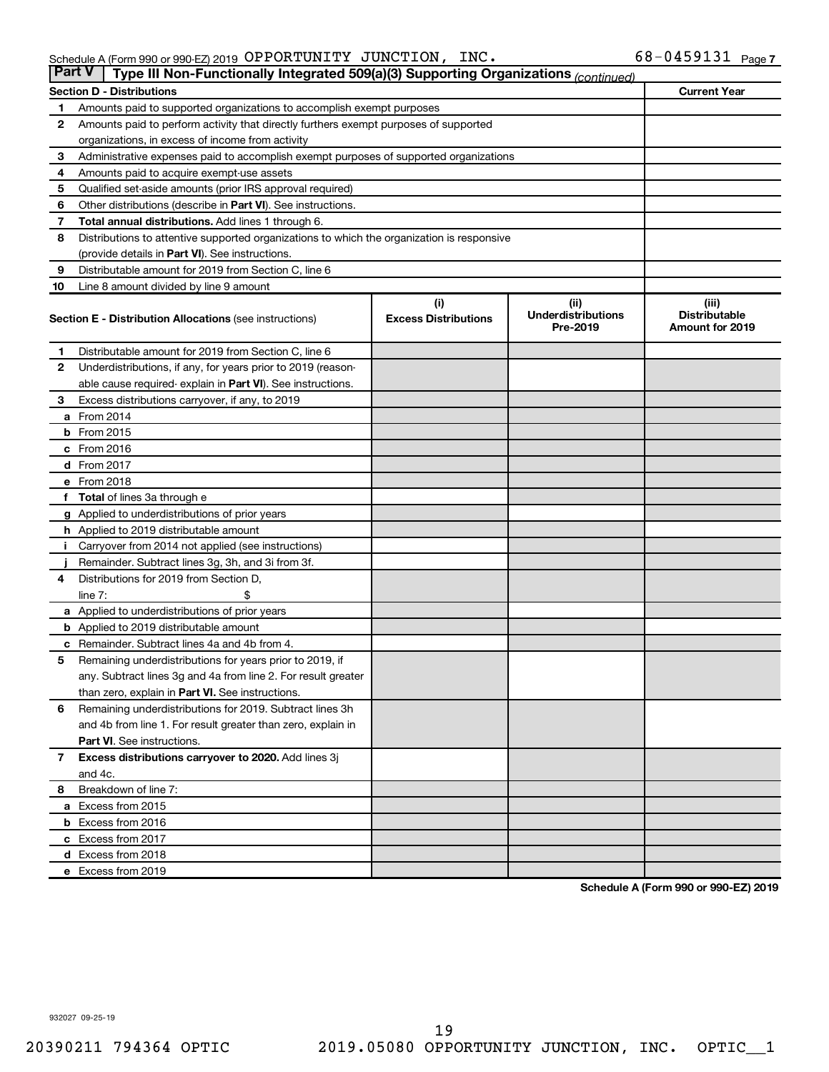| <b>Part V</b> | Type III Non-Functionally Integrated 509(a)(3) Supporting Organizations (continued)        |                             |                                       |                                                |
|---------------|--------------------------------------------------------------------------------------------|-----------------------------|---------------------------------------|------------------------------------------------|
|               | <b>Section D - Distributions</b>                                                           |                             |                                       | <b>Current Year</b>                            |
| 1             | Amounts paid to supported organizations to accomplish exempt purposes                      |                             |                                       |                                                |
| $\mathbf{2}$  | Amounts paid to perform activity that directly furthers exempt purposes of supported       |                             |                                       |                                                |
|               | organizations, in excess of income from activity                                           |                             |                                       |                                                |
| 3             | Administrative expenses paid to accomplish exempt purposes of supported organizations      |                             |                                       |                                                |
| 4             | Amounts paid to acquire exempt-use assets                                                  |                             |                                       |                                                |
| 5             | Qualified set-aside amounts (prior IRS approval required)                                  |                             |                                       |                                                |
| 6             | Other distributions (describe in <b>Part VI</b> ). See instructions.                       |                             |                                       |                                                |
| 7             | Total annual distributions. Add lines 1 through 6.                                         |                             |                                       |                                                |
| 8             | Distributions to attentive supported organizations to which the organization is responsive |                             |                                       |                                                |
|               | (provide details in Part VI). See instructions.                                            |                             |                                       |                                                |
| 9             | Distributable amount for 2019 from Section C, line 6                                       |                             |                                       |                                                |
| 10            | Line 8 amount divided by line 9 amount                                                     |                             |                                       |                                                |
|               |                                                                                            | (i)                         | (ii)                                  | (iii)                                          |
|               | <b>Section E - Distribution Allocations (see instructions)</b>                             | <b>Excess Distributions</b> | <b>Underdistributions</b><br>Pre-2019 | <b>Distributable</b><br><b>Amount for 2019</b> |
| 1             | Distributable amount for 2019 from Section C, line 6                                       |                             |                                       |                                                |
| $\mathbf{2}$  | Underdistributions, if any, for years prior to 2019 (reason-                               |                             |                                       |                                                |
|               | able cause required-explain in Part VI). See instructions.                                 |                             |                                       |                                                |
| 3             | Excess distributions carryover, if any, to 2019                                            |                             |                                       |                                                |
|               | a From 2014                                                                                |                             |                                       |                                                |
|               | <b>b</b> From 2015                                                                         |                             |                                       |                                                |
|               | c From 2016                                                                                |                             |                                       |                                                |
|               | <b>d</b> From 2017                                                                         |                             |                                       |                                                |
|               | e From 2018                                                                                |                             |                                       |                                                |
|               | f Total of lines 3a through e                                                              |                             |                                       |                                                |
|               | <b>g</b> Applied to underdistributions of prior years                                      |                             |                                       |                                                |
|               | h Applied to 2019 distributable amount                                                     |                             |                                       |                                                |
| Ť.            | Carryover from 2014 not applied (see instructions)                                         |                             |                                       |                                                |
|               | Remainder. Subtract lines 3g, 3h, and 3i from 3f.                                          |                             |                                       |                                                |
| 4             | Distributions for 2019 from Section D,                                                     |                             |                                       |                                                |
|               | line $7:$                                                                                  |                             |                                       |                                                |
|               | a Applied to underdistributions of prior years                                             |                             |                                       |                                                |
|               | <b>b</b> Applied to 2019 distributable amount                                              |                             |                                       |                                                |
| с             | Remainder. Subtract lines 4a and 4b from 4.                                                |                             |                                       |                                                |
| 5             | Remaining underdistributions for years prior to 2019, if                                   |                             |                                       |                                                |
|               | any. Subtract lines 3g and 4a from line 2. For result greater                              |                             |                                       |                                                |
|               | than zero, explain in Part VI. See instructions.                                           |                             |                                       |                                                |
| 6             | Remaining underdistributions for 2019. Subtract lines 3h                                   |                             |                                       |                                                |
|               | and 4b from line 1. For result greater than zero, explain in                               |                             |                                       |                                                |
|               | <b>Part VI.</b> See instructions.                                                          |                             |                                       |                                                |
| $\mathbf{7}$  | Excess distributions carryover to 2020. Add lines 3j                                       |                             |                                       |                                                |
|               | and 4c.                                                                                    |                             |                                       |                                                |
| 8             | Breakdown of line 7:                                                                       |                             |                                       |                                                |
|               | a Excess from 2015                                                                         |                             |                                       |                                                |
|               | <b>b</b> Excess from 2016                                                                  |                             |                                       |                                                |
|               | c Excess from 2017                                                                         |                             |                                       |                                                |
|               | d Excess from 2018                                                                         |                             |                                       |                                                |
|               | e Excess from 2019                                                                         |                             |                                       |                                                |

**Schedule A (Form 990 or 990-EZ) 2019**

932027 09-25-19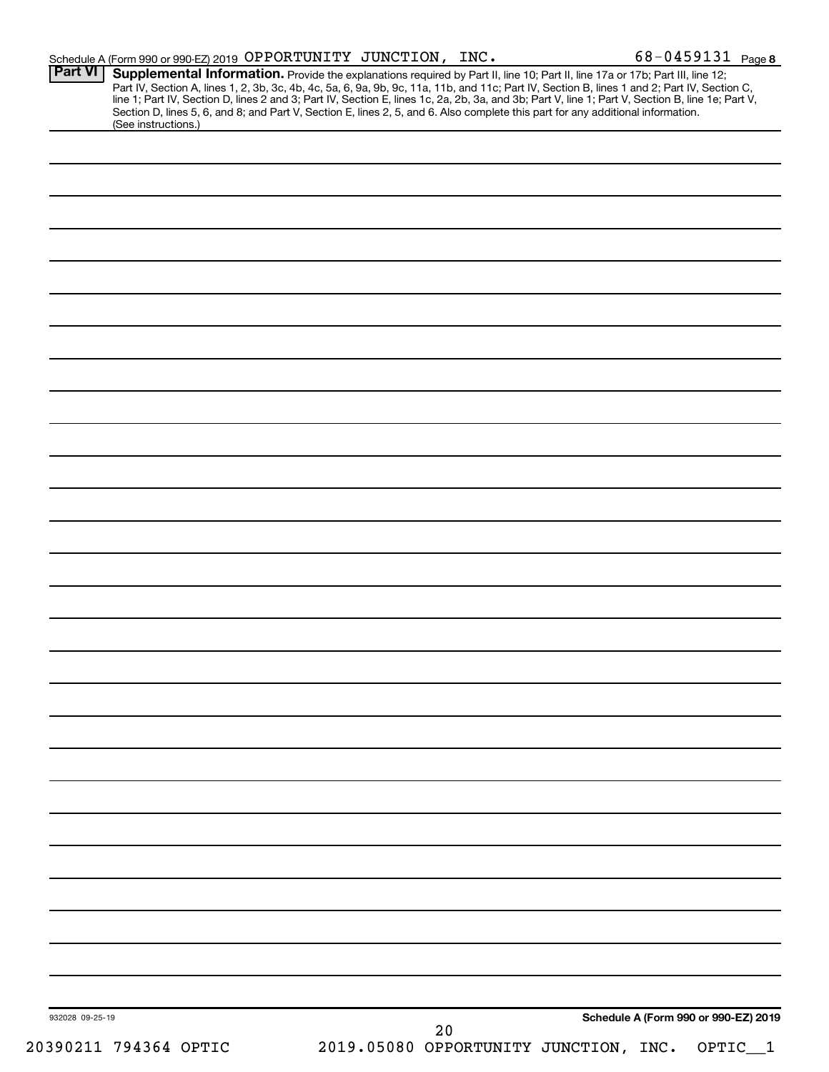| <b>Part VI</b>  | Schedule A (Form 990 or 990-EZ) 2019 OPPORTUNITY JUNCTION, INC.<br>Supplemental Information. Provide the explanations required by Part II, line 10; Part II, line 17a or 17b; Part III, line 12;                                                                                                 |  |      |                                             | 68-0459131 Page 8                    |
|-----------------|--------------------------------------------------------------------------------------------------------------------------------------------------------------------------------------------------------------------------------------------------------------------------------------------------|--|------|---------------------------------------------|--------------------------------------|
|                 | Part IV, Section A, lines 1, 2, 3b, 3c, 4b, 4c, 5a, 6, 9a, 9b, 9c, 11a, 11b, and 11c; Part IV, Section B, lines 1 and 2; Part IV, Section C,<br>line 1; Part IV, Section D, lines 2 and 3; Part IV, Section E, lines 1c, 2a, 2b, 3a, and 3b; Part V, line 1; Part V, Section B, line 1e; Part V, |  |      |                                             |                                      |
|                 | Section D, lines 5, 6, and 8; and Part V, Section E, lines 2, 5, and 6. Also complete this part for any additional information.<br>(See instructions.)                                                                                                                                           |  |      |                                             |                                      |
|                 |                                                                                                                                                                                                                                                                                                  |  |      |                                             |                                      |
|                 |                                                                                                                                                                                                                                                                                                  |  |      |                                             |                                      |
|                 |                                                                                                                                                                                                                                                                                                  |  |      |                                             |                                      |
|                 |                                                                                                                                                                                                                                                                                                  |  |      |                                             |                                      |
|                 |                                                                                                                                                                                                                                                                                                  |  |      |                                             |                                      |
|                 |                                                                                                                                                                                                                                                                                                  |  |      |                                             |                                      |
|                 |                                                                                                                                                                                                                                                                                                  |  |      |                                             |                                      |
|                 |                                                                                                                                                                                                                                                                                                  |  |      |                                             |                                      |
|                 |                                                                                                                                                                                                                                                                                                  |  |      |                                             |                                      |
|                 |                                                                                                                                                                                                                                                                                                  |  |      |                                             |                                      |
|                 |                                                                                                                                                                                                                                                                                                  |  |      |                                             |                                      |
|                 |                                                                                                                                                                                                                                                                                                  |  |      |                                             |                                      |
|                 |                                                                                                                                                                                                                                                                                                  |  |      |                                             |                                      |
|                 |                                                                                                                                                                                                                                                                                                  |  |      |                                             |                                      |
|                 |                                                                                                                                                                                                                                                                                                  |  |      |                                             |                                      |
|                 |                                                                                                                                                                                                                                                                                                  |  |      |                                             |                                      |
|                 |                                                                                                                                                                                                                                                                                                  |  |      |                                             |                                      |
|                 |                                                                                                                                                                                                                                                                                                  |  |      |                                             |                                      |
|                 |                                                                                                                                                                                                                                                                                                  |  |      |                                             |                                      |
|                 |                                                                                                                                                                                                                                                                                                  |  |      |                                             |                                      |
|                 |                                                                                                                                                                                                                                                                                                  |  |      |                                             |                                      |
|                 |                                                                                                                                                                                                                                                                                                  |  |      |                                             |                                      |
|                 |                                                                                                                                                                                                                                                                                                  |  |      |                                             |                                      |
|                 |                                                                                                                                                                                                                                                                                                  |  |      |                                             |                                      |
|                 |                                                                                                                                                                                                                                                                                                  |  |      |                                             |                                      |
|                 |                                                                                                                                                                                                                                                                                                  |  |      |                                             |                                      |
|                 |                                                                                                                                                                                                                                                                                                  |  |      |                                             |                                      |
|                 |                                                                                                                                                                                                                                                                                                  |  |      |                                             |                                      |
|                 |                                                                                                                                                                                                                                                                                                  |  |      |                                             |                                      |
|                 |                                                                                                                                                                                                                                                                                                  |  |      |                                             |                                      |
|                 |                                                                                                                                                                                                                                                                                                  |  |      |                                             |                                      |
|                 |                                                                                                                                                                                                                                                                                                  |  |      |                                             |                                      |
|                 |                                                                                                                                                                                                                                                                                                  |  |      |                                             |                                      |
|                 |                                                                                                                                                                                                                                                                                                  |  |      |                                             |                                      |
|                 |                                                                                                                                                                                                                                                                                                  |  |      |                                             |                                      |
|                 |                                                                                                                                                                                                                                                                                                  |  |      |                                             |                                      |
|                 |                                                                                                                                                                                                                                                                                                  |  |      |                                             |                                      |
|                 |                                                                                                                                                                                                                                                                                                  |  |      |                                             |                                      |
|                 |                                                                                                                                                                                                                                                                                                  |  |      |                                             |                                      |
|                 |                                                                                                                                                                                                                                                                                                  |  |      |                                             |                                      |
|                 |                                                                                                                                                                                                                                                                                                  |  |      |                                             |                                      |
|                 |                                                                                                                                                                                                                                                                                                  |  |      |                                             |                                      |
| 932028 09-25-19 |                                                                                                                                                                                                                                                                                                  |  |      |                                             | Schedule A (Form 990 or 990-EZ) 2019 |
|                 |                                                                                                                                                                                                                                                                                                  |  | $20$ |                                             |                                      |
|                 | 20390211 794364 OPTIC                                                                                                                                                                                                                                                                            |  |      | 2019.05080 OPPORTUNITY JUNCTION, INC. OPTIC |                                      |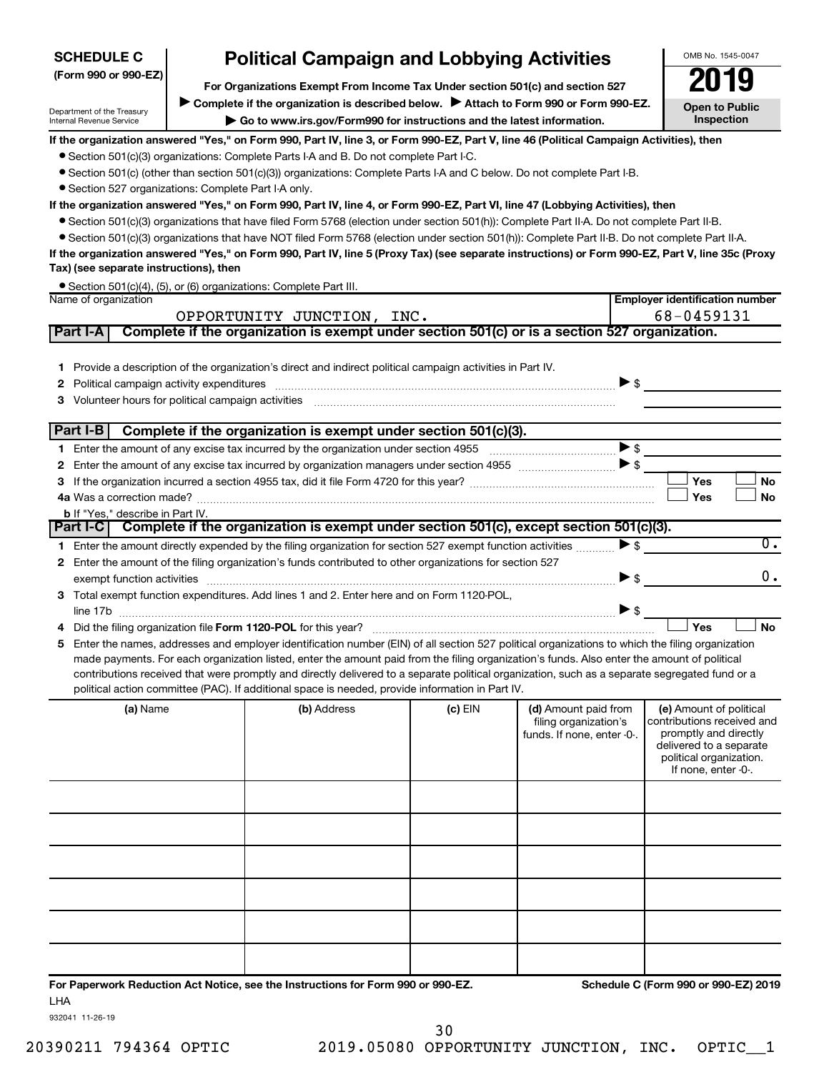| <b>SCHEDULE C</b>                                      | <b>Political Campaign and Lobbying Activities</b>                                                                                                                                                                                                                                             |         |                            | OMB No. 1545-0047                                  |
|--------------------------------------------------------|-----------------------------------------------------------------------------------------------------------------------------------------------------------------------------------------------------------------------------------------------------------------------------------------------|---------|----------------------------|----------------------------------------------------|
| (Form 990 or 990-EZ)                                   | For Organizations Exempt From Income Tax Under section 501(c) and section 527                                                                                                                                                                                                                 |         |                            | 2019                                               |
|                                                        | Complete if the organization is described below.<br>Attach to Form 990 or Form 990-EZ.                                                                                                                                                                                                        |         |                            |                                                    |
| Department of the Treasury<br>Internal Revenue Service | Go to www.irs.gov/Form990 for instructions and the latest information.                                                                                                                                                                                                                        |         |                            | <b>Open to Public</b><br>Inspection                |
|                                                        | If the organization answered "Yes," on Form 990, Part IV, line 3, or Form 990-EZ, Part V, line 46 (Political Campaign Activities), then                                                                                                                                                       |         |                            |                                                    |
|                                                        | • Section 501(c)(3) organizations: Complete Parts I-A and B. Do not complete Part I-C.                                                                                                                                                                                                        |         |                            |                                                    |
|                                                        | • Section 501(c) (other than section 501(c)(3)) organizations: Complete Parts I-A and C below. Do not complete Part I-B.                                                                                                                                                                      |         |                            |                                                    |
| • Section 527 organizations: Complete Part I-A only.   |                                                                                                                                                                                                                                                                                               |         |                            |                                                    |
|                                                        | If the organization answered "Yes," on Form 990, Part IV, line 4, or Form 990-EZ, Part VI, line 47 (Lobbying Activities), then<br>● Section 501(c)(3) organizations that have filed Form 5768 (election under section 501(h)): Complete Part II-A. Do not complete Part II-B.                 |         |                            |                                                    |
|                                                        | • Section 501(c)(3) organizations that have NOT filed Form 5768 (election under section 501(h)): Complete Part II-B. Do not complete Part II-A.                                                                                                                                               |         |                            |                                                    |
|                                                        | If the organization answered "Yes," on Form 990, Part IV, line 5 (Proxy Tax) (see separate instructions) or Form 990-EZ, Part V, line 35c (Proxy                                                                                                                                              |         |                            |                                                    |
| Tax) (see separate instructions), then                 |                                                                                                                                                                                                                                                                                               |         |                            |                                                    |
|                                                        | • Section 501(c)(4), (5), or (6) organizations: Complete Part III.                                                                                                                                                                                                                            |         |                            |                                                    |
| Name of organization                                   |                                                                                                                                                                                                                                                                                               |         |                            | <b>Employer identification number</b>              |
|                                                        | OPPORTUNITY JUNCTION, INC.                                                                                                                                                                                                                                                                    |         |                            | 68-0459131                                         |
| Part I-A                                               | Complete if the organization is exempt under section 501(c) or is a section 527 organization.                                                                                                                                                                                                 |         |                            |                                                    |
|                                                        |                                                                                                                                                                                                                                                                                               |         |                            |                                                    |
| 1.                                                     | Provide a description of the organization's direct and indirect political campaign activities in Part IV.                                                                                                                                                                                     |         |                            |                                                    |
| 2                                                      |                                                                                                                                                                                                                                                                                               |         | $\triangleright$ \$        |                                                    |
| 3.                                                     |                                                                                                                                                                                                                                                                                               |         |                            |                                                    |
| Part I-B                                               | Complete if the organization is exempt under section 501(c)(3).                                                                                                                                                                                                                               |         |                            |                                                    |
|                                                        |                                                                                                                                                                                                                                                                                               |         | $\blacktriangleright$ \$   |                                                    |
| 2                                                      |                                                                                                                                                                                                                                                                                               |         |                            |                                                    |
| 3.                                                     |                                                                                                                                                                                                                                                                                               |         |                            | Yes<br>No                                          |
|                                                        |                                                                                                                                                                                                                                                                                               |         |                            | Yes<br><b>No</b>                                   |
| <b>b</b> If "Yes," describe in Part IV.                |                                                                                                                                                                                                                                                                                               |         |                            |                                                    |
|                                                        | Part I-C Complete if the organization is exempt under section 501(c), except section 501(c)(3).                                                                                                                                                                                               |         |                            |                                                    |
|                                                        | 1 Enter the amount directly expended by the filing organization for section 527 exempt function activities                                                                                                                                                                                    |         | $\blacktriangleright$ \$   | $\overline{0}$ .                                   |
|                                                        | 2 Enter the amount of the filing organization's funds contributed to other organizations for section 527                                                                                                                                                                                      |         |                            |                                                    |
|                                                        |                                                                                                                                                                                                                                                                                               |         | $\blacktriangleright$ \$   | 0.                                                 |
|                                                        | 3 Total exempt function expenditures. Add lines 1 and 2. Enter here and on Form 1120-POL,                                                                                                                                                                                                     |         |                            |                                                    |
|                                                        |                                                                                                                                                                                                                                                                                               |         | $\triangleright$ \$        |                                                    |
|                                                        |                                                                                                                                                                                                                                                                                               |         |                            | Yes<br><b>No</b>                                   |
| 5                                                      | Enter the names, addresses and employer identification number (EIN) of all section 527 political organizations to which the filing organization                                                                                                                                               |         |                            |                                                    |
|                                                        | made payments. For each organization listed, enter the amount paid from the filing organization's funds. Also enter the amount of political<br>contributions received that were promptly and directly delivered to a separate political organization, such as a separate segregated fund or a |         |                            |                                                    |
|                                                        | political action committee (PAC). If additional space is needed, provide information in Part IV.                                                                                                                                                                                              |         |                            |                                                    |
| (a) Name                                               | (b) Address                                                                                                                                                                                                                                                                                   | (c) EIN | (d) Amount paid from       | (e) Amount of political                            |
|                                                        |                                                                                                                                                                                                                                                                                               |         | filing organization's      | contributions received and                         |
|                                                        |                                                                                                                                                                                                                                                                                               |         | funds. If none, enter -0-. | promptly and directly                              |
|                                                        |                                                                                                                                                                                                                                                                                               |         |                            | delivered to a separate<br>political organization. |
|                                                        |                                                                                                                                                                                                                                                                                               |         |                            | If none, enter -0-.                                |
|                                                        |                                                                                                                                                                                                                                                                                               |         |                            |                                                    |
|                                                        |                                                                                                                                                                                                                                                                                               |         |                            |                                                    |
|                                                        |                                                                                                                                                                                                                                                                                               |         |                            |                                                    |
|                                                        |                                                                                                                                                                                                                                                                                               |         |                            |                                                    |
|                                                        |                                                                                                                                                                                                                                                                                               |         |                            |                                                    |
|                                                        |                                                                                                                                                                                                                                                                                               |         |                            |                                                    |
|                                                        |                                                                                                                                                                                                                                                                                               |         |                            |                                                    |

**For Paperwork Reduction Act Notice, see the Instructions for Form 990 or 990-EZ. Schedule C (Form 990 or 990-EZ) 2019** LHA

932041 11-26-19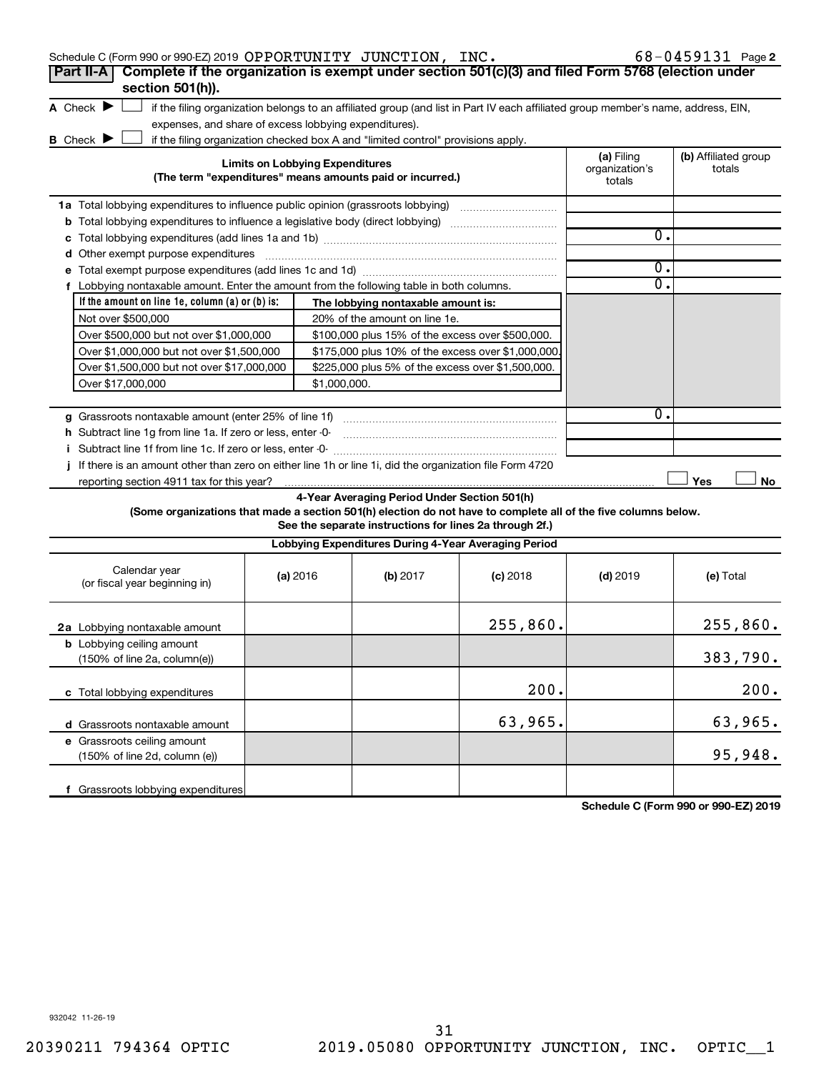| Schedule C (Form 990 or 990-EZ) 2019 OPPORTUNITY JUNCTION, INC.                                                                                                                                                                |                                        |                                                                                  |                                                                                                                                   |                                        | $68 - 0459131$ Page 2          |
|--------------------------------------------------------------------------------------------------------------------------------------------------------------------------------------------------------------------------------|----------------------------------------|----------------------------------------------------------------------------------|-----------------------------------------------------------------------------------------------------------------------------------|----------------------------------------|--------------------------------|
| Complete if the organization is exempt under section 501(c)(3) and filed Form 5768 (election under<br>Part II-A                                                                                                                |                                        |                                                                                  |                                                                                                                                   |                                        |                                |
| section 501(h)).                                                                                                                                                                                                               |                                        |                                                                                  |                                                                                                                                   |                                        |                                |
| A Check $\blacktriangleright$                                                                                                                                                                                                  |                                        |                                                                                  | if the filing organization belongs to an affiliated group (and list in Part IV each affiliated group member's name, address, EIN, |                                        |                                |
| expenses, and share of excess lobbying expenditures).                                                                                                                                                                          |                                        |                                                                                  |                                                                                                                                   |                                        |                                |
| B Check P                                                                                                                                                                                                                      |                                        | if the filing organization checked box A and "limited control" provisions apply. |                                                                                                                                   |                                        |                                |
|                                                                                                                                                                                                                                | <b>Limits on Lobbying Expenditures</b> | (The term "expenditures" means amounts paid or incurred.)                        |                                                                                                                                   | (a) Filing<br>organization's<br>totals | (b) Affiliated group<br>totals |
| 1a Total lobbying expenditures to influence public opinion (grassroots lobbying) [111] [12] Total lobbying [12] [12] Total and an allowing the Total and Total and Total and Total and Total and Total and Total and Total and |                                        |                                                                                  |                                                                                                                                   |                                        |                                |
| <b>b</b> Total lobbying expenditures to influence a legislative body (direct lobbying) <i>manumumumum</i>                                                                                                                      |                                        |                                                                                  |                                                                                                                                   |                                        |                                |
|                                                                                                                                                                                                                                |                                        |                                                                                  |                                                                                                                                   | 0.                                     |                                |
|                                                                                                                                                                                                                                |                                        |                                                                                  |                                                                                                                                   |                                        |                                |
|                                                                                                                                                                                                                                |                                        |                                                                                  |                                                                                                                                   | $\mathbf{0}$ .                         |                                |
| f Lobbying nontaxable amount. Enter the amount from the following table in both columns.                                                                                                                                       |                                        |                                                                                  |                                                                                                                                   | 0.                                     |                                |
| If the amount on line 1e, column $(a)$ or $(b)$ is:                                                                                                                                                                            |                                        | The lobbying nontaxable amount is:                                               |                                                                                                                                   |                                        |                                |
| Not over \$500,000                                                                                                                                                                                                             |                                        | 20% of the amount on line 1e.                                                    |                                                                                                                                   |                                        |                                |
| Over \$500,000 but not over \$1,000,000                                                                                                                                                                                        |                                        | \$100,000 plus 15% of the excess over \$500,000.                                 |                                                                                                                                   |                                        |                                |
| Over \$1,000,000 but not over \$1,500,000                                                                                                                                                                                      |                                        | \$175,000 plus 10% of the excess over \$1,000,000                                |                                                                                                                                   |                                        |                                |
| Over \$1,500,000 but not over \$17,000,000                                                                                                                                                                                     |                                        | \$225,000 plus 5% of the excess over \$1,500,000.                                |                                                                                                                                   |                                        |                                |
| Over \$17,000,000                                                                                                                                                                                                              | \$1,000,000.                           |                                                                                  |                                                                                                                                   |                                        |                                |
|                                                                                                                                                                                                                                |                                        |                                                                                  |                                                                                                                                   |                                        |                                |
|                                                                                                                                                                                                                                |                                        |                                                                                  |                                                                                                                                   | 0.                                     |                                |
| h Subtract line 1g from line 1a. If zero or less, enter -0-                                                                                                                                                                    |                                        |                                                                                  |                                                                                                                                   |                                        |                                |
|                                                                                                                                                                                                                                |                                        |                                                                                  |                                                                                                                                   |                                        |                                |
| If there is an amount other than zero on either line 1h or line 1i, did the organization file Form 4720                                                                                                                        |                                        |                                                                                  |                                                                                                                                   |                                        |                                |
|                                                                                                                                                                                                                                |                                        |                                                                                  |                                                                                                                                   |                                        | Yes<br>No                      |
|                                                                                                                                                                                                                                |                                        | 4-Year Averaging Period Under Section 501(h)                                     |                                                                                                                                   |                                        |                                |
| (Some organizations that made a section 501(h) election do not have to complete all of the five columns below.                                                                                                                 |                                        |                                                                                  |                                                                                                                                   |                                        |                                |
|                                                                                                                                                                                                                                |                                        | See the separate instructions for lines 2a through 2f.)                          |                                                                                                                                   |                                        |                                |
|                                                                                                                                                                                                                                |                                        | Lobbying Expenditures During 4-Year Averaging Period                             |                                                                                                                                   |                                        |                                |
| Calendar year<br>(or fiscal year beginning in)                                                                                                                                                                                 | (a) 2016                               | (b) 2017                                                                         | $(c)$ 2018                                                                                                                        | $(d)$ 2019                             | (e) Total                      |
| 2a Lobbying nontaxable amount                                                                                                                                                                                                  |                                        |                                                                                  | 255,860.                                                                                                                          |                                        | 255,860.                       |
| <b>b</b> Lobbying ceiling amount<br>(150% of line 2a, column(e))                                                                                                                                                               |                                        |                                                                                  |                                                                                                                                   |                                        | 383,790.                       |
| c Total lobbying expenditures                                                                                                                                                                                                  |                                        |                                                                                  | 200.                                                                                                                              |                                        | 200.                           |
| d Grassroots nontaxable amount                                                                                                                                                                                                 |                                        |                                                                                  | 63,965.                                                                                                                           |                                        | 63,965.                        |
| e Grassroots ceiling amount<br>(150% of line 2d, column (e))                                                                                                                                                                   |                                        |                                                                                  |                                                                                                                                   |                                        | 95,948.                        |
| f Grassroots lobbying expenditures                                                                                                                                                                                             |                                        |                                                                                  |                                                                                                                                   |                                        |                                |

**Schedule C (Form 990 or 990-EZ) 2019**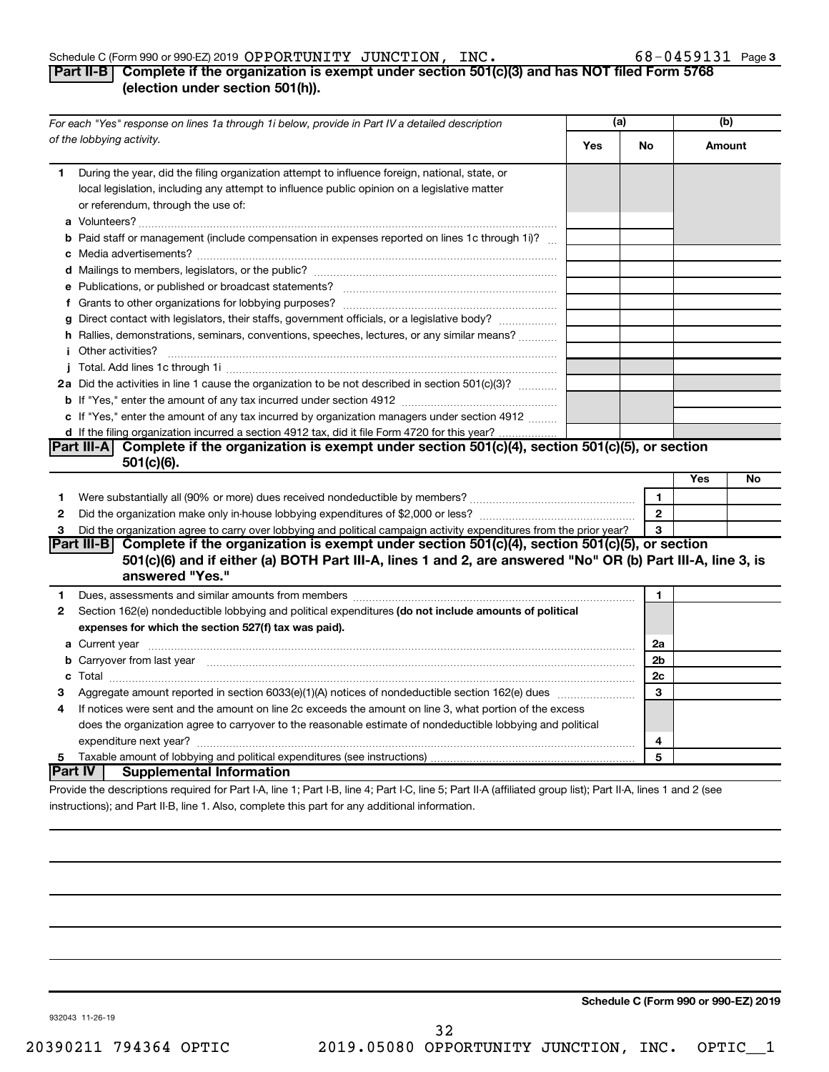### Schedule C (Form 990 or 990-EZ) 2019  ${\tt OPTWITY}$   ${\tt JUNCTION}$  ,  ${\tt INC.}$  68  $-$  0459131 Page

### 68-0459131 Page 3

### **Part II-B Complete if the organization is exempt under section 501(c)(3) and has NOT filed Form 5768 (election under section 501(h)).**

|              | For each "Yes" response on lines 1a through 1i below, provide in Part IV a detailed description                                                                                                                                                  | (a) |                | (b)    |    |
|--------------|--------------------------------------------------------------------------------------------------------------------------------------------------------------------------------------------------------------------------------------------------|-----|----------------|--------|----|
|              | of the lobbying activity.                                                                                                                                                                                                                        | Yes | No             | Amount |    |
| 1            | During the year, did the filing organization attempt to influence foreign, national, state, or<br>local legislation, including any attempt to influence public opinion on a legislative matter<br>or referendum, through the use of:             |     |                |        |    |
|              | <b>b</b> Paid staff or management (include compensation in expenses reported on lines 1c through 1i)?                                                                                                                                            |     |                |        |    |
|              |                                                                                                                                                                                                                                                  |     |                |        |    |
|              |                                                                                                                                                                                                                                                  |     |                |        |    |
|              |                                                                                                                                                                                                                                                  |     |                |        |    |
|              | g Direct contact with legislators, their staffs, government officials, or a legislative body?                                                                                                                                                    |     |                |        |    |
|              | h Rallies, demonstrations, seminars, conventions, speeches, lectures, or any similar means?                                                                                                                                                      |     |                |        |    |
|              | <i>i</i> Other activities?                                                                                                                                                                                                                       |     |                |        |    |
|              |                                                                                                                                                                                                                                                  |     |                |        |    |
|              | 2a Did the activities in line 1 cause the organization to be not described in section 501(c)(3)?                                                                                                                                                 |     |                |        |    |
|              |                                                                                                                                                                                                                                                  |     |                |        |    |
|              | c If "Yes," enter the amount of any tax incurred by organization managers under section 4912                                                                                                                                                     |     |                |        |    |
|              | d If the filing organization incurred a section 4912 tax, did it file Form 4720 for this year?                                                                                                                                                   |     |                |        |    |
|              | Part III-A Complete if the organization is exempt under section 501(c)(4), section 501(c)(5), or section                                                                                                                                         |     |                |        |    |
|              | $501(c)(6)$ .                                                                                                                                                                                                                                    |     |                |        |    |
|              |                                                                                                                                                                                                                                                  |     |                | Yes    | No |
| 1            |                                                                                                                                                                                                                                                  |     | $\mathbf{1}$   |        |    |
| $\mathbf{2}$ |                                                                                                                                                                                                                                                  |     | $\overline{2}$ |        |    |
| 3            | Did the organization agree to carry over lobbying and political campaign activity expenditures from the prior year?                                                                                                                              |     | 3              |        |    |
|              | Part III-B Complete if the organization is exempt under section $501(c)(4)$ , section $501(c)(5)$ , or section<br>501(c)(6) and if either (a) BOTH Part III-A, lines 1 and 2, are answered "No" OR (b) Part III-A, line 3, is<br>answered "Yes." |     |                |        |    |
| 1            | Dues, assessments and similar amounts from members [111] Dues, assessments and similar members [11] Dues, assessments and similar amounts from members [11] Dues, assessments and similar amounts from members [11] Dues and S                   |     | 1              |        |    |
| 2            | Section 162(e) nondeductible lobbying and political expenditures (do not include amounts of political                                                                                                                                            |     |                |        |    |
|              | expenses for which the section 527(f) tax was paid).                                                                                                                                                                                             |     |                |        |    |
|              |                                                                                                                                                                                                                                                  |     | 2a             |        |    |
|              | b Carryover from last year manufactured and continuum contracts and contracts and contracts and contracts and contracts and contracts and contracts and contracts and contracts and contracts and contracts and contracts and                    |     | 2 <sub>b</sub> |        |    |
|              |                                                                                                                                                                                                                                                  |     | 2c             |        |    |
| З            |                                                                                                                                                                                                                                                  |     | 3              |        |    |
| 4            | If notices were sent and the amount on line 2c exceeds the amount on line 3, what portion of the excess                                                                                                                                          |     |                |        |    |
|              | does the organization agree to carryover to the reasonable estimate of nondeductible lobbying and political                                                                                                                                      |     |                |        |    |
|              |                                                                                                                                                                                                                                                  |     | 4              |        |    |
| 5            |                                                                                                                                                                                                                                                  |     | 5              |        |    |
|              | ∣Part IV ⊺<br><b>Supplemental Information</b>                                                                                                                                                                                                    |     |                |        |    |
|              | Provide the descriptions required for Part I-A, line 1; Part I-B, line 4; Part I-C, line 5; Part II-A (affiliated group list); Part II-A, lines 1 and 2 (see                                                                                     |     |                |        |    |

instructions); and Part II-B, line 1. Also, complete this part for any additional information.

**Schedule C (Form 990 or 990-EZ) 2019**

932043 11-26-19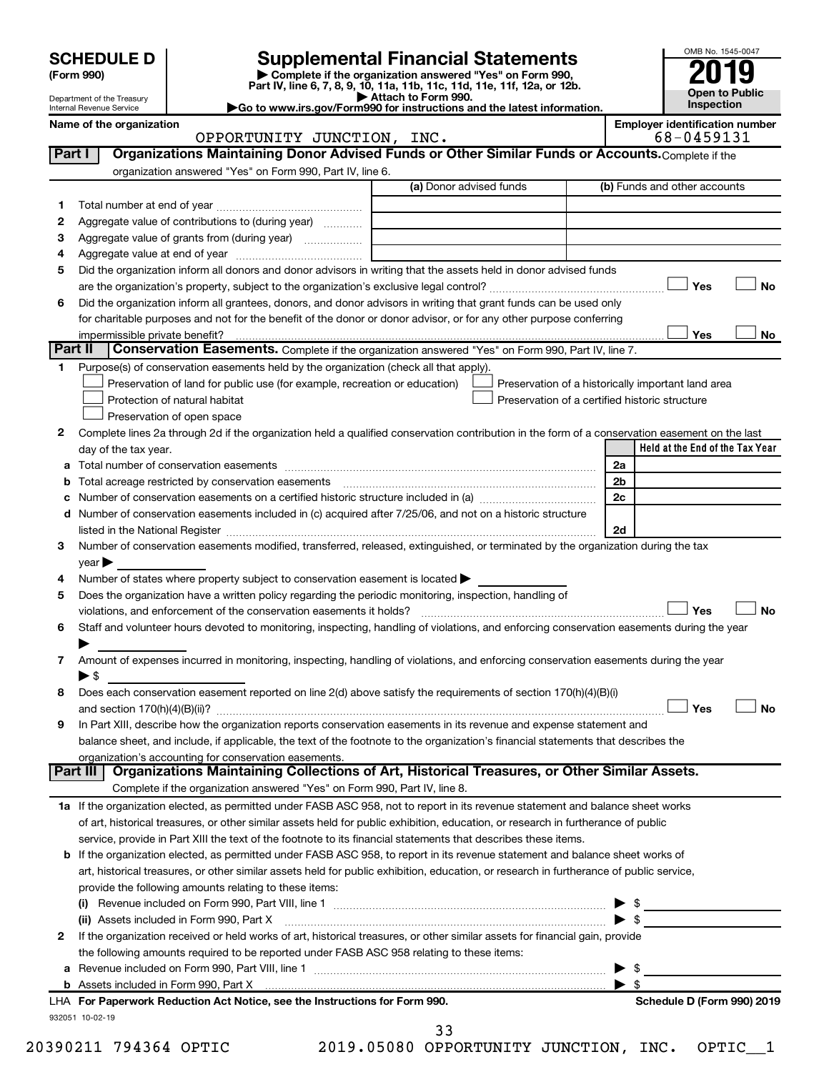| SCHEDULE D $ $ |  |
|----------------|--|
|----------------|--|

## **SCHEDULE D Supplemental Financial Statements**<br> **Form 990 2019**<br> **Part IV** line 6.7.8.9.10, 11a, 11b, 11d, 11d, 11d, 11d, 11d, 12a, 0r, 12b

**(Form 990) | Complete if the organization answered "Yes" on Form 990, Part IV, line 6, 7, 8, 9, 10, 11a, 11b, 11c, 11d, 11e, 11f, 12a, or 12b.**

**| Attach to Form 990. |Go to www.irs.gov/Form990 for instructions and the latest information.**



Department of the Treasury Internal Revenue Service

Name of the organization<br> **Employer identification number**<br> **Employer identification number**<br> **Employer identification number**<br> **Employer identification number**<br> **Employer identification number** OPPORTUNITY JUNCTION, INC.

|    |                                                                                                                                                | (a) Donor advised funds                     | (b) Funds and other accounts                       |
|----|------------------------------------------------------------------------------------------------------------------------------------------------|---------------------------------------------|----------------------------------------------------|
| 1  |                                                                                                                                                |                                             |                                                    |
| 2  | Aggregate value of contributions to (during year)                                                                                              |                                             |                                                    |
| З  |                                                                                                                                                |                                             |                                                    |
| 4  |                                                                                                                                                |                                             |                                                    |
| 5  | Did the organization inform all donors and donor advisors in writing that the assets held in donor advised funds                               |                                             |                                                    |
|    |                                                                                                                                                |                                             | Yes<br>No                                          |
| 6  | Did the organization inform all grantees, donors, and donor advisors in writing that grant funds can be used only                              |                                             |                                                    |
|    | for charitable purposes and not for the benefit of the donor or donor advisor, or for any other purpose conferring                             |                                             |                                                    |
|    |                                                                                                                                                |                                             | Yes<br>No                                          |
|    | Part II<br>Conservation Easements. Complete if the organization answered "Yes" on Form 990, Part IV, line 7.                                   |                                             |                                                    |
| 1. | Purpose(s) of conservation easements held by the organization (check all that apply).                                                          |                                             |                                                    |
|    | Preservation of land for public use (for example, recreation or education)                                                                     |                                             | Preservation of a historically important land area |
|    | Protection of natural habitat                                                                                                                  |                                             | Preservation of a certified historic structure     |
|    | Preservation of open space                                                                                                                     |                                             |                                                    |
| 2  | Complete lines 2a through 2d if the organization held a qualified conservation contribution in the form of a conservation easement on the last |                                             |                                                    |
|    | day of the tax year.                                                                                                                           |                                             | Held at the End of the Tax Year                    |
| а  |                                                                                                                                                |                                             | 2a                                                 |
|    | Total acreage restricted by conservation easements                                                                                             |                                             | 2 <sub>b</sub>                                     |
|    |                                                                                                                                                |                                             | 2c                                                 |
| d  | Number of conservation easements included in (c) acquired after 7/25/06, and not on a historic structure                                       |                                             |                                                    |
|    | listed in the National Register [11, 2003] March 2014 The National Register [11, 2014] March 2014 The National                                 |                                             | 2d                                                 |
| 3  | Number of conservation easements modified, transferred, released, extinguished, or terminated by the organization during the tax               |                                             |                                                    |
|    | $year \blacktriangleright$                                                                                                                     |                                             |                                                    |
| 4  | Number of states where property subject to conservation easement is located >                                                                  |                                             |                                                    |
| 5  | Does the organization have a written policy regarding the periodic monitoring, inspection, handling of                                         |                                             |                                                    |
|    | violations, and enforcement of the conservation easements it holds?                                                                            |                                             | Yes<br>No                                          |
| 6  | Staff and volunteer hours devoted to monitoring, inspecting, handling of violations, and enforcing conservation easements during the year      |                                             |                                                    |
|    |                                                                                                                                                |                                             |                                                    |
| 7  | Amount of expenses incurred in monitoring, inspecting, handling of violations, and enforcing conservation easements during the year            |                                             |                                                    |
|    | $\blacktriangleright$ \$                                                                                                                       |                                             |                                                    |
| 8  | Does each conservation easement reported on line 2(d) above satisfy the requirements of section 170(h)(4)(B)(i)                                |                                             |                                                    |
|    |                                                                                                                                                |                                             | Yes<br>No                                          |
| 9  | In Part XIII, describe how the organization reports conservation easements in its revenue and expense statement and                            |                                             |                                                    |
|    | balance sheet, and include, if applicable, the text of the footnote to the organization's financial statements that describes the              |                                             |                                                    |
|    | organization's accounting for conservation easements.                                                                                          |                                             |                                                    |
|    | Organizations Maintaining Collections of Art, Historical Treasures, or Other Similar Assets.<br>Part III                                       |                                             |                                                    |
|    | Complete if the organization answered "Yes" on Form 990, Part IV, line 8.                                                                      |                                             |                                                    |
|    | 1a If the organization elected, as permitted under FASB ASC 958, not to report in its revenue statement and balance sheet works                |                                             |                                                    |
|    | of art, historical treasures, or other similar assets held for public exhibition, education, or research in furtherance of public              |                                             |                                                    |
|    |                                                                                                                                                |                                             |                                                    |
|    | service, provide in Part XIII the text of the footnote to its financial statements that describes these items.                                 |                                             |                                                    |
|    | b If the organization elected, as permitted under FASB ASC 958, to report in its revenue statement and balance sheet works of                  |                                             |                                                    |
|    | art, historical treasures, or other similar assets held for public exhibition, education, or research in furtherance of public service,        |                                             |                                                    |
|    | provide the following amounts relating to these items:                                                                                         |                                             |                                                    |
|    |                                                                                                                                                |                                             |                                                    |
|    |                                                                                                                                                |                                             | $\blacktriangleright$ \$                           |
| 2  | If the organization received or held works of art, historical treasures, or other similar assets for financial gain, provide                   |                                             |                                                    |
|    | the following amounts required to be reported under FASB ASC 958 relating to these items:                                                      |                                             |                                                    |
| а  |                                                                                                                                                |                                             | $\blacktriangleright$ \$                           |
|    |                                                                                                                                                |                                             |                                                    |
|    | LHA For Paperwork Reduction Act Notice, see the Instructions for Form 990.                                                                     |                                             | Schedule D (Form 990) 2019                         |
|    | 932051 10-02-19                                                                                                                                |                                             |                                                    |
|    |                                                                                                                                                | 33<br>2019.05080 OPPORTUNITY JUNCTION, INC. |                                                    |
|    | 20390211 794364 OPTIC                                                                                                                          |                                             | OPTIC                                              |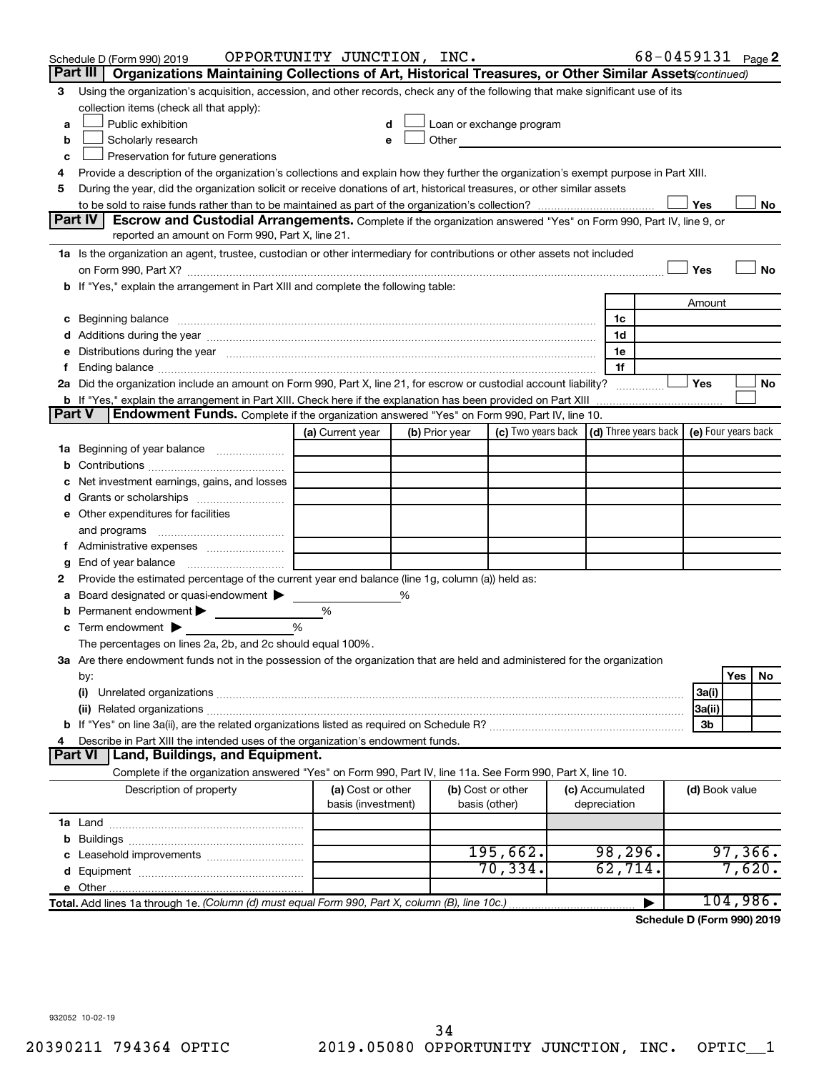|    | Schedule D (Form 990) 2019                                                                                                                                                                                                     | OPPORTUNITY JUNCTION, INC. |   |                |                                                                                                                                                                                                                               |                 |   | 68-0459131 Page 2                            |         |    |
|----|--------------------------------------------------------------------------------------------------------------------------------------------------------------------------------------------------------------------------------|----------------------------|---|----------------|-------------------------------------------------------------------------------------------------------------------------------------------------------------------------------------------------------------------------------|-----------------|---|----------------------------------------------|---------|----|
|    | Part III   Organizations Maintaining Collections of Art, Historical Treasures, or Other Similar Assets (continued)                                                                                                             |                            |   |                |                                                                                                                                                                                                                               |                 |   |                                              |         |    |
| 3. | Using the organization's acquisition, accession, and other records, check any of the following that make significant use of its                                                                                                |                            |   |                |                                                                                                                                                                                                                               |                 |   |                                              |         |    |
|    | collection items (check all that apply):                                                                                                                                                                                       |                            |   |                |                                                                                                                                                                                                                               |                 |   |                                              |         |    |
| a  | Public exhibition                                                                                                                                                                                                              |                            | d |                | Loan or exchange program                                                                                                                                                                                                      |                 |   |                                              |         |    |
| b  | Scholarly research                                                                                                                                                                                                             | e                          |   |                | Other and the contract of the contract of the contract of the contract of the contract of the contract of the contract of the contract of the contract of the contract of the contract of the contract of the contract of the |                 |   |                                              |         |    |
| c  | Preservation for future generations                                                                                                                                                                                            |                            |   |                |                                                                                                                                                                                                                               |                 |   |                                              |         |    |
| 4  | Provide a description of the organization's collections and explain how they further the organization's exempt purpose in Part XIII.                                                                                           |                            |   |                |                                                                                                                                                                                                                               |                 |   |                                              |         |    |
| 5  | During the year, did the organization solicit or receive donations of art, historical treasures, or other similar assets                                                                                                       |                            |   |                |                                                                                                                                                                                                                               |                 |   |                                              |         |    |
|    |                                                                                                                                                                                                                                |                            |   |                |                                                                                                                                                                                                                               |                 |   | Yes                                          |         | No |
|    | Part IV<br>Escrow and Custodial Arrangements. Complete if the organization answered "Yes" on Form 990, Part IV, line 9, or<br>reported an amount on Form 990, Part X, line 21.                                                 |                            |   |                |                                                                                                                                                                                                                               |                 |   |                                              |         |    |
|    |                                                                                                                                                                                                                                |                            |   |                |                                                                                                                                                                                                                               |                 |   |                                              |         |    |
|    | 1a Is the organization an agent, trustee, custodian or other intermediary for contributions or other assets not included                                                                                                       |                            |   |                |                                                                                                                                                                                                                               |                 |   | Yes                                          |         | No |
|    | b If "Yes," explain the arrangement in Part XIII and complete the following table:                                                                                                                                             |                            |   |                |                                                                                                                                                                                                                               |                 |   |                                              |         |    |
|    |                                                                                                                                                                                                                                |                            |   |                |                                                                                                                                                                                                                               |                 |   | Amount                                       |         |    |
|    | c Beginning balance measurements and the contract of the contract of the contract of the contract of the contract of the contract of the contract of the contract of the contract of the contract of the contract of the contr |                            |   |                |                                                                                                                                                                                                                               | 1c              |   |                                              |         |    |
|    |                                                                                                                                                                                                                                |                            |   |                |                                                                                                                                                                                                                               | 1d              |   |                                              |         |    |
| е  | Distributions during the year manufactured and an account of the year manufactured and the year manufactured and the year manufactured and the year manufactured and the year manufactured and the year manufactured and the y |                            |   |                |                                                                                                                                                                                                                               | 1e              |   |                                              |         |    |
| f. |                                                                                                                                                                                                                                |                            |   |                |                                                                                                                                                                                                                               | 1f              |   |                                              |         |    |
|    | 2a Did the organization include an amount on Form 990, Part X, line 21, for escrow or custodial account liability?                                                                                                             |                            |   |                |                                                                                                                                                                                                                               |                 |   | Yes                                          |         | No |
|    | <b>b</b> If "Yes," explain the arrangement in Part XIII. Check here if the explanation has been provided on Part XIII                                                                                                          |                            |   |                |                                                                                                                                                                                                                               |                 |   |                                              |         |    |
|    | Endowment Funds. Complete if the organization answered "Yes" on Form 990, Part IV, line 10.<br><b>Part V</b>                                                                                                                   |                            |   |                |                                                                                                                                                                                                                               |                 |   |                                              |         |    |
|    |                                                                                                                                                                                                                                | (a) Current year           |   | (b) Prior year | (c) Two years back                                                                                                                                                                                                            |                 |   | (d) Three years back $ $ (e) Four years back |         |    |
|    | 1a Beginning of year balance                                                                                                                                                                                                   |                            |   |                |                                                                                                                                                                                                                               |                 |   |                                              |         |    |
| b  |                                                                                                                                                                                                                                |                            |   |                |                                                                                                                                                                                                                               |                 |   |                                              |         |    |
| с  | Net investment earnings, gains, and losses                                                                                                                                                                                     |                            |   |                |                                                                                                                                                                                                                               |                 |   |                                              |         |    |
| d  |                                                                                                                                                                                                                                |                            |   |                |                                                                                                                                                                                                                               |                 |   |                                              |         |    |
|    | <b>e</b> Other expenditures for facilities                                                                                                                                                                                     |                            |   |                |                                                                                                                                                                                                                               |                 |   |                                              |         |    |
|    | and programs                                                                                                                                                                                                                   |                            |   |                |                                                                                                                                                                                                                               |                 |   |                                              |         |    |
| Ť. |                                                                                                                                                                                                                                |                            |   |                |                                                                                                                                                                                                                               |                 |   |                                              |         |    |
| g  |                                                                                                                                                                                                                                |                            |   |                |                                                                                                                                                                                                                               |                 |   |                                              |         |    |
| 2  | Provide the estimated percentage of the current year end balance (line 1g, column (a)) held as:                                                                                                                                |                            |   |                |                                                                                                                                                                                                                               |                 |   |                                              |         |    |
| а  | Board designated or quasi-endowment                                                                                                                                                                                            |                            | % |                |                                                                                                                                                                                                                               |                 |   |                                              |         |    |
| b  | Permanent endowment                                                                                                                                                                                                            | %                          |   |                |                                                                                                                                                                                                                               |                 |   |                                              |         |    |
| c  | Term endowment $\blacktriangleright$                                                                                                                                                                                           | %                          |   |                |                                                                                                                                                                                                                               |                 |   |                                              |         |    |
|    | The percentages on lines 2a, 2b, and 2c should equal 100%.<br>3a Are there endowment funds not in the possession of the organization that are held and administered for the organization                                       |                            |   |                |                                                                                                                                                                                                                               |                 |   |                                              |         |    |
|    |                                                                                                                                                                                                                                |                            |   |                |                                                                                                                                                                                                                               |                 |   |                                              | Yes     | No |
|    | by:<br>(i)                                                                                                                                                                                                                     |                            |   |                |                                                                                                                                                                                                                               |                 |   | 3a(i)                                        |         |    |
|    |                                                                                                                                                                                                                                |                            |   |                |                                                                                                                                                                                                                               |                 |   | 3a(ii)                                       |         |    |
|    |                                                                                                                                                                                                                                |                            |   |                |                                                                                                                                                                                                                               |                 |   | 3b                                           |         |    |
| 4  | Describe in Part XIII the intended uses of the organization's endowment funds.                                                                                                                                                 |                            |   |                |                                                                                                                                                                                                                               |                 |   |                                              |         |    |
|    | Part VI   Land, Buildings, and Equipment.                                                                                                                                                                                      |                            |   |                |                                                                                                                                                                                                                               |                 |   |                                              |         |    |
|    | Complete if the organization answered "Yes" on Form 990, Part IV, line 11a. See Form 990, Part X, line 10.                                                                                                                     |                            |   |                |                                                                                                                                                                                                                               |                 |   |                                              |         |    |
|    | Description of property                                                                                                                                                                                                        | (a) Cost or other          |   |                | (b) Cost or other                                                                                                                                                                                                             | (c) Accumulated |   | (d) Book value                               |         |    |
|    |                                                                                                                                                                                                                                | basis (investment)         |   |                | basis (other)                                                                                                                                                                                                                 | depreciation    |   |                                              |         |    |
|    |                                                                                                                                                                                                                                |                            |   |                |                                                                                                                                                                                                                               |                 |   |                                              |         |    |
|    |                                                                                                                                                                                                                                |                            |   |                |                                                                                                                                                                                                                               |                 |   |                                              |         |    |
|    |                                                                                                                                                                                                                                |                            |   |                | 195,662.                                                                                                                                                                                                                      | 98, 296.        |   |                                              | 97,366. |    |
|    |                                                                                                                                                                                                                                |                            |   |                | 70, 334.                                                                                                                                                                                                                      | 62,714.         |   |                                              | 7,620.  |    |
|    |                                                                                                                                                                                                                                |                            |   |                |                                                                                                                                                                                                                               |                 |   |                                              |         |    |
|    |                                                                                                                                                                                                                                |                            |   |                |                                                                                                                                                                                                                               |                 | ▶ | 104,986.                                     |         |    |

**Schedule D (Form 990) 2019**

932052 10-02-19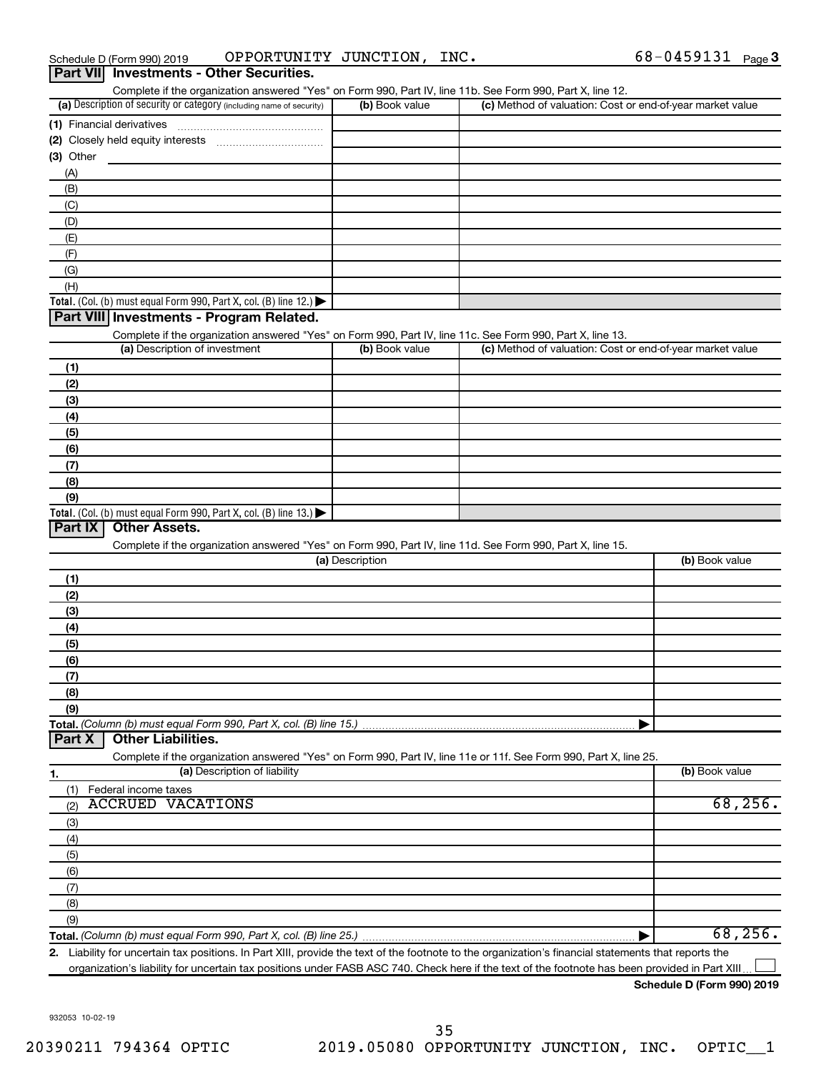| Schedule D (Form 990) 2019                      | OPPORTUNITY JUNCTION, INC. |  | 68-0459131 $_{Page}$ 3 |  |
|-------------------------------------------------|----------------------------|--|------------------------|--|
| <b>Part VII</b> Investments - Other Securities. |                            |  |                        |  |

| Complete if the organization answered "Yes" on Form 990, Part IV, line 11b. See Form 990, Part X, line 12.                                           |                 |                                                           |                |
|------------------------------------------------------------------------------------------------------------------------------------------------------|-----------------|-----------------------------------------------------------|----------------|
| (a) Description of security or category (including name of security)                                                                                 | (b) Book value  | (c) Method of valuation: Cost or end-of-year market value |                |
|                                                                                                                                                      |                 |                                                           |                |
|                                                                                                                                                      |                 |                                                           |                |
| $(3)$ Other                                                                                                                                          |                 |                                                           |                |
| (A)                                                                                                                                                  |                 |                                                           |                |
| (B)                                                                                                                                                  |                 |                                                           |                |
| (C)                                                                                                                                                  |                 |                                                           |                |
| (D)                                                                                                                                                  |                 |                                                           |                |
| (E)                                                                                                                                                  |                 |                                                           |                |
| (F)                                                                                                                                                  |                 |                                                           |                |
|                                                                                                                                                      |                 |                                                           |                |
| (G)                                                                                                                                                  |                 |                                                           |                |
| (H)                                                                                                                                                  |                 |                                                           |                |
| Total. (Col. (b) must equal Form 990, Part X, col. (B) line 12.)                                                                                     |                 |                                                           |                |
| Part VIII Investments - Program Related.                                                                                                             |                 |                                                           |                |
| Complete if the organization answered "Yes" on Form 990, Part IV, line 11c. See Form 990, Part X, line 13.                                           |                 |                                                           |                |
| (a) Description of investment                                                                                                                        | (b) Book value  | (c) Method of valuation: Cost or end-of-year market value |                |
| (1)                                                                                                                                                  |                 |                                                           |                |
| (2)                                                                                                                                                  |                 |                                                           |                |
| (3)                                                                                                                                                  |                 |                                                           |                |
| (4)                                                                                                                                                  |                 |                                                           |                |
| (5)                                                                                                                                                  |                 |                                                           |                |
| (6)                                                                                                                                                  |                 |                                                           |                |
| (7)                                                                                                                                                  |                 |                                                           |                |
| (8)                                                                                                                                                  |                 |                                                           |                |
| (9)                                                                                                                                                  |                 |                                                           |                |
| Total. (Col. (b) must equal Form 990, Part X, col. (B) line 13.)                                                                                     |                 |                                                           |                |
| Part IX<br><b>Other Assets.</b>                                                                                                                      |                 |                                                           |                |
| Complete if the organization answered "Yes" on Form 990, Part IV, line 11d. See Form 990, Part X, line 15.                                           |                 |                                                           |                |
|                                                                                                                                                      | (a) Description |                                                           | (b) Book value |
|                                                                                                                                                      |                 |                                                           |                |
| (1)                                                                                                                                                  |                 |                                                           |                |
| (2)                                                                                                                                                  |                 |                                                           |                |
| (3)                                                                                                                                                  |                 |                                                           |                |
| (4)                                                                                                                                                  |                 |                                                           |                |
| (5)                                                                                                                                                  |                 |                                                           |                |
| (6)                                                                                                                                                  |                 |                                                           |                |
| (7)                                                                                                                                                  |                 |                                                           |                |
| (8)                                                                                                                                                  |                 |                                                           |                |
| (9)                                                                                                                                                  |                 |                                                           |                |
| Total. (Column (b) must equal Form 990, Part X, col. (B) line 15.)                                                                                   |                 |                                                           |                |
| <b>Other Liabilities.</b><br>Part X                                                                                                                  |                 |                                                           |                |
| Complete if the organization answered "Yes" on Form 990, Part IV, line 11e or 11f. See Form 990, Part X, line 25.                                    |                 |                                                           |                |
| (a) Description of liability<br>1.                                                                                                                   |                 |                                                           | (b) Book value |
| Federal income taxes<br>(1)                                                                                                                          |                 |                                                           |                |
| <b>ACCRUED VACATIONS</b><br>(2)                                                                                                                      |                 |                                                           | 68, 256.       |
| (3)                                                                                                                                                  |                 |                                                           |                |
| (4)                                                                                                                                                  |                 |                                                           |                |
| (5)                                                                                                                                                  |                 |                                                           |                |
|                                                                                                                                                      |                 |                                                           |                |
| (6)                                                                                                                                                  |                 |                                                           |                |
| (7)                                                                                                                                                  |                 |                                                           |                |
| (8)                                                                                                                                                  |                 |                                                           |                |
| (9)                                                                                                                                                  |                 |                                                           |                |
|                                                                                                                                                      |                 |                                                           | 68, 256.       |
| 2. Liability for uncertain tax positions. In Part XIII, provide the text of the footnote to the organization's financial statements that reports the |                 |                                                           |                |

organization's liability for uncertain tax positions under FASB ASC 740. Check here if the text of the footnote has been provided in Part XIII.

**Schedule D (Form 990) 2019**

†

932053 10-02-19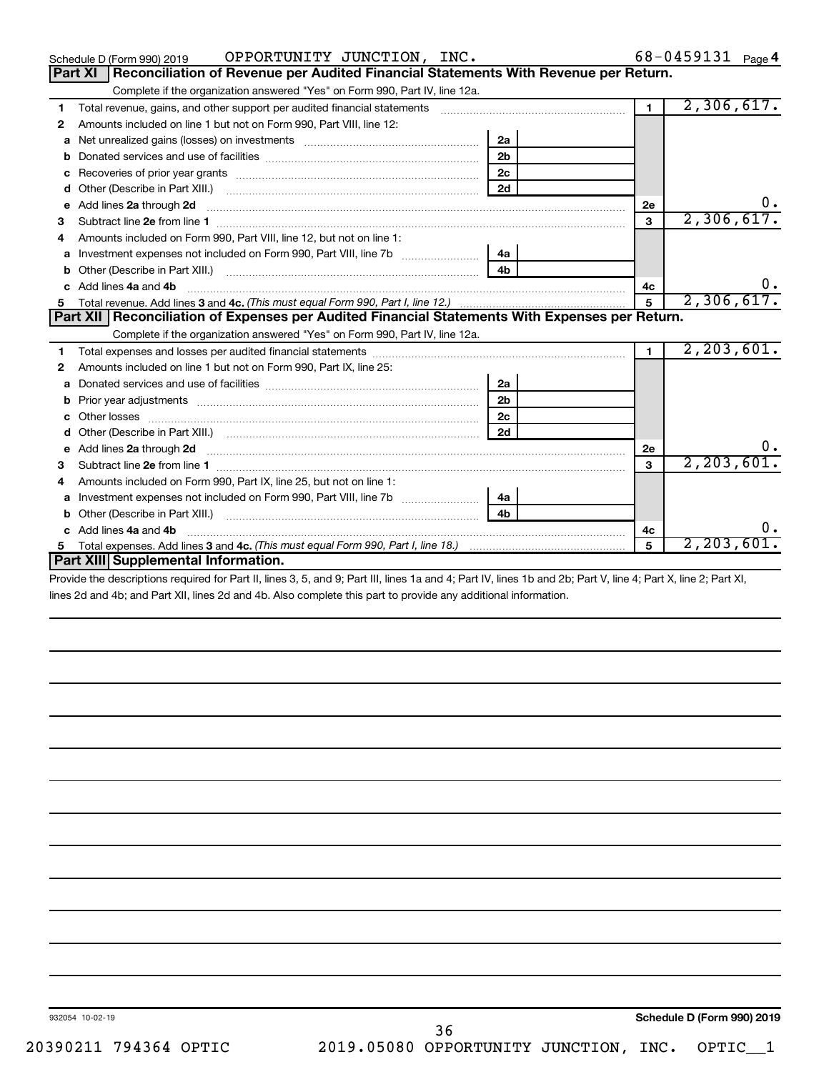| OPPORTUNITY JUNCTION, INC.<br>Schedule D (Form 990) 2019                                                                                                                                                                                  |                |                | 68-0459131 Page 4 |
|-------------------------------------------------------------------------------------------------------------------------------------------------------------------------------------------------------------------------------------------|----------------|----------------|-------------------|
| Reconciliation of Revenue per Audited Financial Statements With Revenue per Return.<br><b>Part XI</b>                                                                                                                                     |                |                |                   |
| Complete if the organization answered "Yes" on Form 990, Part IV, line 12a.                                                                                                                                                               |                |                |                   |
| 1                                                                                                                                                                                                                                         |                | $\blacksquare$ | 2,306,617.        |
| Amounts included on line 1 but not on Form 990, Part VIII, line 12:<br>2                                                                                                                                                                  |                |                |                   |
| a                                                                                                                                                                                                                                         | 2a             |                |                   |
| b                                                                                                                                                                                                                                         | 2 <sub>b</sub> |                |                   |
| с                                                                                                                                                                                                                                         | 2 <sub>c</sub> |                |                   |
| d                                                                                                                                                                                                                                         | 2d             |                |                   |
| Add lines 2a through 2d <b>Martin Martin Martin Martin Martin Martin Martin Martin Martin Martin Martin Martin Martin Martin Martin Martin Martin Martin Martin Martin Martin Martin Martin Martin Martin Martin Martin Martin M</b><br>е |                | 2е             | 0.                |
| з                                                                                                                                                                                                                                         |                | 3              | 2,306,617.        |
| Amounts included on Form 990, Part VIII, line 12, but not on line 1:<br>4                                                                                                                                                                 |                |                |                   |
|                                                                                                                                                                                                                                           | 4a             |                |                   |
| b                                                                                                                                                                                                                                         | 4 <sub>h</sub> |                |                   |
| Add lines 4a and 4b<br>c.                                                                                                                                                                                                                 |                | 4c             |                   |
|                                                                                                                                                                                                                                           |                | 5              | 2,306,617.        |
| Part XII   Reconciliation of Expenses per Audited Financial Statements With Expenses per Return.                                                                                                                                          |                |                |                   |
| Complete if the organization answered "Yes" on Form 990, Part IV, line 12a.                                                                                                                                                               |                |                |                   |
| 1                                                                                                                                                                                                                                         |                | $\blacksquare$ | 2, 203, 601.      |
| Amounts included on line 1 but not on Form 990, Part IX, line 25:<br>2                                                                                                                                                                    |                |                |                   |
| a                                                                                                                                                                                                                                         | 2a             |                |                   |
| b                                                                                                                                                                                                                                         | 2 <sub>b</sub> |                |                   |
|                                                                                                                                                                                                                                           |                |                |                   |
| Other losses                                                                                                                                                                                                                              | 2 <sub>c</sub> |                |                   |
| d                                                                                                                                                                                                                                         | 2d             |                |                   |
| Add lines 2a through 2d <b>contained a contained a contained a contained a</b> contained a contained a contained a contained a contained a contained a contained a contained a contained a contained a contained a contained a cont<br>e  |                | 2e             | 0.                |
| Subtract line 2e from line 1 <b>manufacture in the contract of the 2e</b> from line 1<br>з                                                                                                                                                |                | $\mathbf{a}$   | 2, 203, 601.      |
| Amounts included on Form 990, Part IX, line 25, but not on line 1:<br>4                                                                                                                                                                   |                |                |                   |
| a                                                                                                                                                                                                                                         | 4a             |                |                   |
| b                                                                                                                                                                                                                                         | 4 <sub>b</sub> |                |                   |
| Add lines 4a and 4b<br>c.                                                                                                                                                                                                                 |                | 4c             | 0.                |
| 5.<br>Part XIII Supplemental Information.                                                                                                                                                                                                 |                |                | 2, 203, 601.      |

Provide the descriptions required for Part II, lines 3, 5, and 9; Part III, lines 1a and 4; Part IV, lines 1b and 2b; Part V, line 4; Part X, line 2; Part XI, lines 2d and 4b; and Part XII, lines 2d and 4b. Also complete this part to provide any additional information.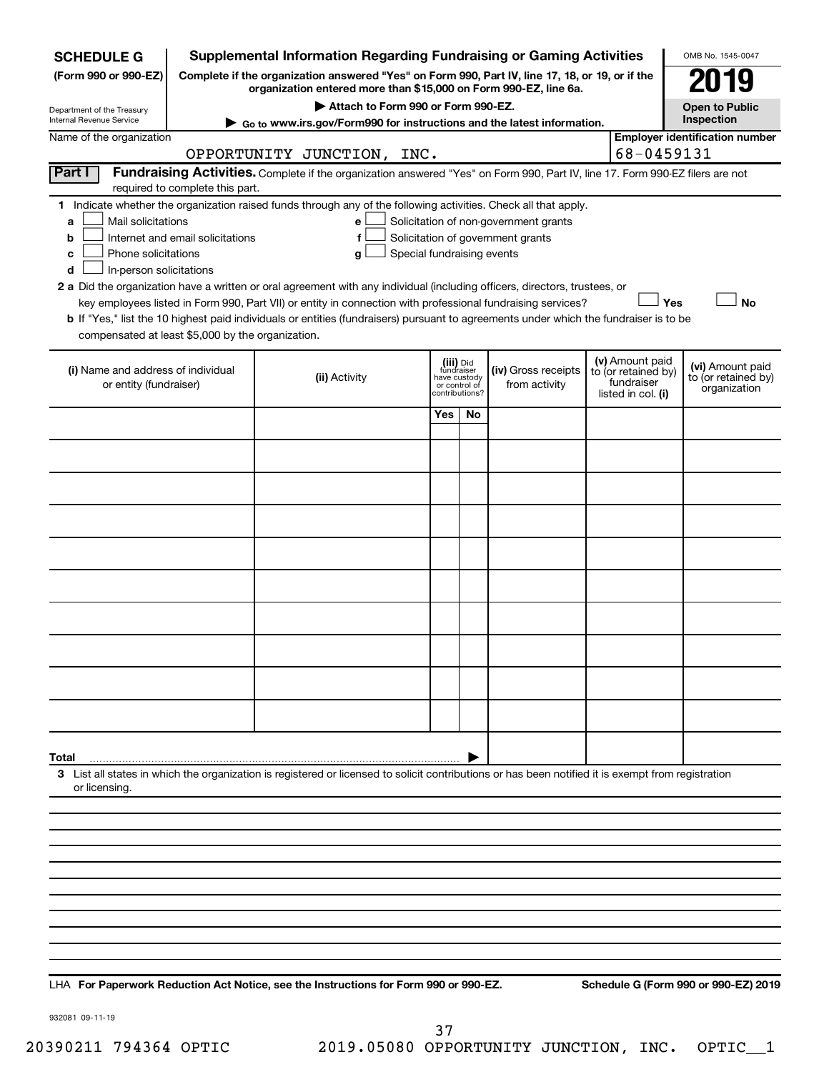| <b>SCHEDULE G</b>                                                                                                                     |                                                                                                                                                                                                                                                                                                                                                                                                                                                                                      | <b>Supplemental Information Regarding Fundraising or Gaming Activities</b>                                                                                  |                                         |                                 |                                      |  |                                                                            | OMB No. 1545-0047                                       |  |  |  |  |  |
|---------------------------------------------------------------------------------------------------------------------------------------|--------------------------------------------------------------------------------------------------------------------------------------------------------------------------------------------------------------------------------------------------------------------------------------------------------------------------------------------------------------------------------------------------------------------------------------------------------------------------------------|-------------------------------------------------------------------------------------------------------------------------------------------------------------|-----------------------------------------|---------------------------------|--------------------------------------|--|----------------------------------------------------------------------------|---------------------------------------------------------|--|--|--|--|--|
| (Form 990 or 990-EZ)                                                                                                                  | Complete if the organization answered "Yes" on Form 990, Part IV, line 17, 18, or 19, or if the<br>organization entered more than \$15,000 on Form 990-EZ, line 6a.                                                                                                                                                                                                                                                                                                                  |                                                                                                                                                             |                                         |                                 |                                      |  |                                                                            |                                                         |  |  |  |  |  |
| Department of the Treasury                                                                                                            |                                                                                                                                                                                                                                                                                                                                                                                                                                                                                      |                                                                                                                                                             | <b>Open to Public</b>                   |                                 |                                      |  |                                                                            |                                                         |  |  |  |  |  |
| Internal Revenue Service                                                                                                              | Go to www.irs.gov/Form990 for instructions and the latest information.                                                                                                                                                                                                                                                                                                                                                                                                               |                                                                                                                                                             | Inspection                              |                                 |                                      |  |                                                                            |                                                         |  |  |  |  |  |
| Name of the organization                                                                                                              |                                                                                                                                                                                                                                                                                                                                                                                                                                                                                      |                                                                                                                                                             |                                         |                                 |                                      |  | 68-0459131                                                                 | <b>Employer identification number</b>                   |  |  |  |  |  |
| Part I                                                                                                                                |                                                                                                                                                                                                                                                                                                                                                                                                                                                                                      | OPPORTUNITY JUNCTION, INC.<br>Fundraising Activities. Complete if the organization answered "Yes" on Form 990, Part IV, line 17. Form 990-EZ filers are not |                                         |                                 |                                      |  |                                                                            |                                                         |  |  |  |  |  |
|                                                                                                                                       | required to complete this part.                                                                                                                                                                                                                                                                                                                                                                                                                                                      |                                                                                                                                                             |                                         |                                 |                                      |  |                                                                            |                                                         |  |  |  |  |  |
| a<br>b<br>с<br>d                                                                                                                      | 1 Indicate whether the organization raised funds through any of the following activities. Check all that apply.<br>Mail solicitations<br>Solicitation of non-government grants<br>е<br>Internet and email solicitations<br>Solicitation of government grants<br>f<br>Phone solicitations<br>Special fundraising events<br>g<br>In-person solicitations<br>2 a Did the organization have a written or oral agreement with any individual (including officers, directors, trustees, or |                                                                                                                                                             |                                         |                                 |                                      |  |                                                                            |                                                         |  |  |  |  |  |
| key employees listed in Form 990, Part VII) or entity in connection with professional fundraising services?<br>Yes<br><b>No</b>       |                                                                                                                                                                                                                                                                                                                                                                                                                                                                                      |                                                                                                                                                             |                                         |                                 |                                      |  |                                                                            |                                                         |  |  |  |  |  |
| b If "Yes," list the 10 highest paid individuals or entities (fundraisers) pursuant to agreements under which the fundraiser is to be |                                                                                                                                                                                                                                                                                                                                                                                                                                                                                      |                                                                                                                                                             |                                         |                                 |                                      |  |                                                                            |                                                         |  |  |  |  |  |
| compensated at least \$5,000 by the organization.                                                                                     |                                                                                                                                                                                                                                                                                                                                                                                                                                                                                      |                                                                                                                                                             |                                         |                                 |                                      |  |                                                                            |                                                         |  |  |  |  |  |
| (i) Name and address of individual<br>or entity (fundraiser)                                                                          |                                                                                                                                                                                                                                                                                                                                                                                                                                                                                      | (ii) Activity                                                                                                                                               | (iii) Did<br>fundraiser<br>have custody | or control of<br>contributions? | (iv) Gross receipts<br>from activity |  | (v) Amount paid<br>to (or retained by)<br>fundraiser<br>listed in col. (i) | (vi) Amount paid<br>to (or retained by)<br>organization |  |  |  |  |  |
|                                                                                                                                       |                                                                                                                                                                                                                                                                                                                                                                                                                                                                                      |                                                                                                                                                             | Yes                                     | No                              |                                      |  |                                                                            |                                                         |  |  |  |  |  |
|                                                                                                                                       |                                                                                                                                                                                                                                                                                                                                                                                                                                                                                      |                                                                                                                                                             |                                         |                                 |                                      |  |                                                                            |                                                         |  |  |  |  |  |
|                                                                                                                                       |                                                                                                                                                                                                                                                                                                                                                                                                                                                                                      |                                                                                                                                                             |                                         |                                 |                                      |  |                                                                            |                                                         |  |  |  |  |  |
|                                                                                                                                       |                                                                                                                                                                                                                                                                                                                                                                                                                                                                                      |                                                                                                                                                             |                                         |                                 |                                      |  |                                                                            |                                                         |  |  |  |  |  |
|                                                                                                                                       |                                                                                                                                                                                                                                                                                                                                                                                                                                                                                      |                                                                                                                                                             |                                         |                                 |                                      |  |                                                                            |                                                         |  |  |  |  |  |
|                                                                                                                                       |                                                                                                                                                                                                                                                                                                                                                                                                                                                                                      |                                                                                                                                                             |                                         |                                 |                                      |  |                                                                            |                                                         |  |  |  |  |  |
|                                                                                                                                       |                                                                                                                                                                                                                                                                                                                                                                                                                                                                                      |                                                                                                                                                             |                                         |                                 |                                      |  |                                                                            |                                                         |  |  |  |  |  |
|                                                                                                                                       |                                                                                                                                                                                                                                                                                                                                                                                                                                                                                      |                                                                                                                                                             |                                         |                                 |                                      |  |                                                                            |                                                         |  |  |  |  |  |
|                                                                                                                                       |                                                                                                                                                                                                                                                                                                                                                                                                                                                                                      |                                                                                                                                                             |                                         |                                 |                                      |  |                                                                            |                                                         |  |  |  |  |  |
|                                                                                                                                       |                                                                                                                                                                                                                                                                                                                                                                                                                                                                                      |                                                                                                                                                             |                                         |                                 |                                      |  |                                                                            |                                                         |  |  |  |  |  |
|                                                                                                                                       |                                                                                                                                                                                                                                                                                                                                                                                                                                                                                      |                                                                                                                                                             |                                         |                                 |                                      |  |                                                                            |                                                         |  |  |  |  |  |
|                                                                                                                                       |                                                                                                                                                                                                                                                                                                                                                                                                                                                                                      |                                                                                                                                                             |                                         |                                 |                                      |  |                                                                            |                                                         |  |  |  |  |  |
| Total                                                                                                                                 |                                                                                                                                                                                                                                                                                                                                                                                                                                                                                      |                                                                                                                                                             |                                         |                                 |                                      |  |                                                                            |                                                         |  |  |  |  |  |
| or licensing.                                                                                                                         |                                                                                                                                                                                                                                                                                                                                                                                                                                                                                      | 3 List all states in which the organization is registered or licensed to solicit contributions or has been notified it is exempt from registration          |                                         |                                 |                                      |  |                                                                            |                                                         |  |  |  |  |  |
|                                                                                                                                       |                                                                                                                                                                                                                                                                                                                                                                                                                                                                                      |                                                                                                                                                             |                                         |                                 |                                      |  |                                                                            |                                                         |  |  |  |  |  |
|                                                                                                                                       |                                                                                                                                                                                                                                                                                                                                                                                                                                                                                      |                                                                                                                                                             |                                         |                                 |                                      |  |                                                                            |                                                         |  |  |  |  |  |
|                                                                                                                                       |                                                                                                                                                                                                                                                                                                                                                                                                                                                                                      |                                                                                                                                                             |                                         |                                 |                                      |  |                                                                            |                                                         |  |  |  |  |  |
|                                                                                                                                       |                                                                                                                                                                                                                                                                                                                                                                                                                                                                                      |                                                                                                                                                             |                                         |                                 |                                      |  |                                                                            |                                                         |  |  |  |  |  |
|                                                                                                                                       |                                                                                                                                                                                                                                                                                                                                                                                                                                                                                      |                                                                                                                                                             |                                         |                                 |                                      |  |                                                                            |                                                         |  |  |  |  |  |
|                                                                                                                                       |                                                                                                                                                                                                                                                                                                                                                                                                                                                                                      |                                                                                                                                                             |                                         |                                 |                                      |  |                                                                            |                                                         |  |  |  |  |  |
|                                                                                                                                       |                                                                                                                                                                                                                                                                                                                                                                                                                                                                                      |                                                                                                                                                             |                                         |                                 |                                      |  |                                                                            |                                                         |  |  |  |  |  |
|                                                                                                                                       |                                                                                                                                                                                                                                                                                                                                                                                                                                                                                      |                                                                                                                                                             |                                         |                                 |                                      |  |                                                                            |                                                         |  |  |  |  |  |

**For Paperwork Reduction Act Notice, see the Instructions for Form 990 or 990-EZ. Schedule G (Form 990 or 990-EZ) 2019** LHA

932081 09-11-19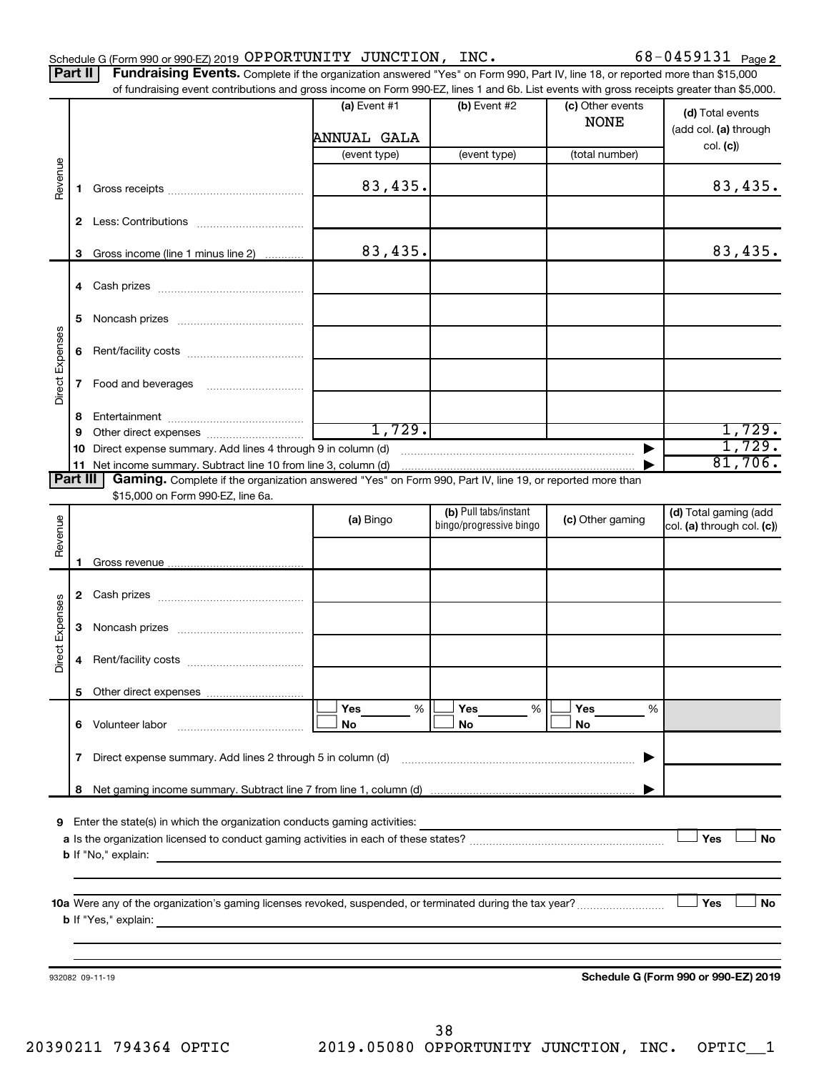Part II | Fundraising Events. Complete if the organization answered "Yes" on Form 990, Part IV, line 18, or reported more than \$15,000

|                 |    | of fundraising event contributions and gross income on Form 990-EZ, lines 1 and 6b. List events with gross receipts greater than \$5,000.     | (a) Event $#1$        | (b) Event #2                                                                                                                                                                                                                                                                                                                                                                                                                                                                                | (c) Other events |                                      |
|-----------------|----|-----------------------------------------------------------------------------------------------------------------------------------------------|-----------------------|---------------------------------------------------------------------------------------------------------------------------------------------------------------------------------------------------------------------------------------------------------------------------------------------------------------------------------------------------------------------------------------------------------------------------------------------------------------------------------------------|------------------|--------------------------------------|
|                 |    |                                                                                                                                               |                       |                                                                                                                                                                                                                                                                                                                                                                                                                                                                                             | <b>NONE</b>      | (d) Total events                     |
|                 |    |                                                                                                                                               | ANNUAL GALA           |                                                                                                                                                                                                                                                                                                                                                                                                                                                                                             |                  | (add col. (a) through<br>col. (c)    |
|                 |    |                                                                                                                                               | (event type)          | (event type)                                                                                                                                                                                                                                                                                                                                                                                                                                                                                | (total number)   |                                      |
| Revenue         | 1. |                                                                                                                                               | 83,435.               |                                                                                                                                                                                                                                                                                                                                                                                                                                                                                             |                  | 83,435.                              |
|                 |    |                                                                                                                                               |                       |                                                                                                                                                                                                                                                                                                                                                                                                                                                                                             |                  |                                      |
|                 | З  | Gross income (line 1 minus line 2)                                                                                                            | 83,435.               |                                                                                                                                                                                                                                                                                                                                                                                                                                                                                             |                  | 83,435.                              |
|                 | 4  |                                                                                                                                               |                       |                                                                                                                                                                                                                                                                                                                                                                                                                                                                                             |                  |                                      |
|                 | 5  |                                                                                                                                               |                       |                                                                                                                                                                                                                                                                                                                                                                                                                                                                                             |                  |                                      |
|                 | 6  |                                                                                                                                               |                       |                                                                                                                                                                                                                                                                                                                                                                                                                                                                                             |                  |                                      |
| Direct Expenses | 7  |                                                                                                                                               |                       |                                                                                                                                                                                                                                                                                                                                                                                                                                                                                             |                  |                                      |
|                 | 8  |                                                                                                                                               |                       |                                                                                                                                                                                                                                                                                                                                                                                                                                                                                             |                  |                                      |
|                 | 9  |                                                                                                                                               | 1,729.                |                                                                                                                                                                                                                                                                                                                                                                                                                                                                                             |                  | 1,729.                               |
|                 | 10 | Direct expense summary. Add lines 4 through 9 in column (d)                                                                                   |                       | $\begin{minipage}{.4\linewidth} \begin{tabular}{l} \hline \multicolumn{3}{l}{} & \multicolumn{3}{l}{} & \multicolumn{3}{l}{} \\ \multicolumn{3}{l}{} & \multicolumn{3}{l}{} & \multicolumn{3}{l}{} \\ \multicolumn{3}{l}{} & \multicolumn{3}{l}{} & \multicolumn{3}{l}{} \\ \multicolumn{3}{l}{} & \multicolumn{3}{l}{} & \multicolumn{3}{l}{} \\ \multicolumn{3}{l}{} & \multicolumn{3}{l}{} & \multicolumn{3}{l}{} \\ \multicolumn{3}{l}{} & \multicolumn{3}{l}{} & \multicolumn{3}{l}{}$ |                  | 1,729.                               |
|                 | 11 |                                                                                                                                               |                       |                                                                                                                                                                                                                                                                                                                                                                                                                                                                                             |                  | 81,706.                              |
| <b>Part III</b> |    | Gaming. Complete if the organization answered "Yes" on Form 990, Part IV, line 19, or reported more than<br>\$15,000 on Form 990-EZ, line 6a. |                       |                                                                                                                                                                                                                                                                                                                                                                                                                                                                                             |                  |                                      |
|                 |    |                                                                                                                                               |                       | (b) Pull tabs/instant                                                                                                                                                                                                                                                                                                                                                                                                                                                                       |                  | (d) Total gaming (add                |
| Revenue         |    |                                                                                                                                               | (a) Bingo             | bingo/progressive bingo                                                                                                                                                                                                                                                                                                                                                                                                                                                                     | (c) Other gaming | col. (a) through col. (c))           |
|                 | 1  |                                                                                                                                               |                       |                                                                                                                                                                                                                                                                                                                                                                                                                                                                                             |                  |                                      |
|                 |    |                                                                                                                                               |                       |                                                                                                                                                                                                                                                                                                                                                                                                                                                                                             |                  |                                      |
|                 | 2  |                                                                                                                                               |                       |                                                                                                                                                                                                                                                                                                                                                                                                                                                                                             |                  |                                      |
| Direct Expenses | З  |                                                                                                                                               |                       |                                                                                                                                                                                                                                                                                                                                                                                                                                                                                             |                  |                                      |
|                 | 4  |                                                                                                                                               |                       |                                                                                                                                                                                                                                                                                                                                                                                                                                                                                             |                  |                                      |
|                 |    |                                                                                                                                               |                       |                                                                                                                                                                                                                                                                                                                                                                                                                                                                                             |                  |                                      |
|                 |    |                                                                                                                                               | <b>Yes</b><br>%<br>No | Yes<br>%<br>No                                                                                                                                                                                                                                                                                                                                                                                                                                                                              | Yes<br>%<br>No   |                                      |
|                 | 7  | Direct expense summary. Add lines 2 through 5 in column (d)                                                                                   |                       |                                                                                                                                                                                                                                                                                                                                                                                                                                                                                             |                  |                                      |
|                 | 8  |                                                                                                                                               |                       |                                                                                                                                                                                                                                                                                                                                                                                                                                                                                             |                  |                                      |
|                 |    |                                                                                                                                               |                       |                                                                                                                                                                                                                                                                                                                                                                                                                                                                                             |                  |                                      |
|                 |    | 9 Enter the state(s) in which the organization conducts gaming activities:                                                                    |                       |                                                                                                                                                                                                                                                                                                                                                                                                                                                                                             |                  | Yes<br><b>No</b>                     |
|                 |    |                                                                                                                                               |                       |                                                                                                                                                                                                                                                                                                                                                                                                                                                                                             |                  |                                      |
|                 |    |                                                                                                                                               |                       |                                                                                                                                                                                                                                                                                                                                                                                                                                                                                             |                  |                                      |
|                 |    |                                                                                                                                               |                       |                                                                                                                                                                                                                                                                                                                                                                                                                                                                                             |                  |                                      |
|                 |    | 10a Were any of the organization's gaming licenses revoked, suspended, or terminated during the tax year?                                     |                       |                                                                                                                                                                                                                                                                                                                                                                                                                                                                                             |                  | Yes<br>No                            |
|                 |    |                                                                                                                                               |                       |                                                                                                                                                                                                                                                                                                                                                                                                                                                                                             |                  |                                      |
|                 |    |                                                                                                                                               |                       |                                                                                                                                                                                                                                                                                                                                                                                                                                                                                             |                  |                                      |
|                 |    | 932082 09-11-19                                                                                                                               |                       |                                                                                                                                                                                                                                                                                                                                                                                                                                                                                             |                  | Schedule G (Form 990 or 990-EZ) 2019 |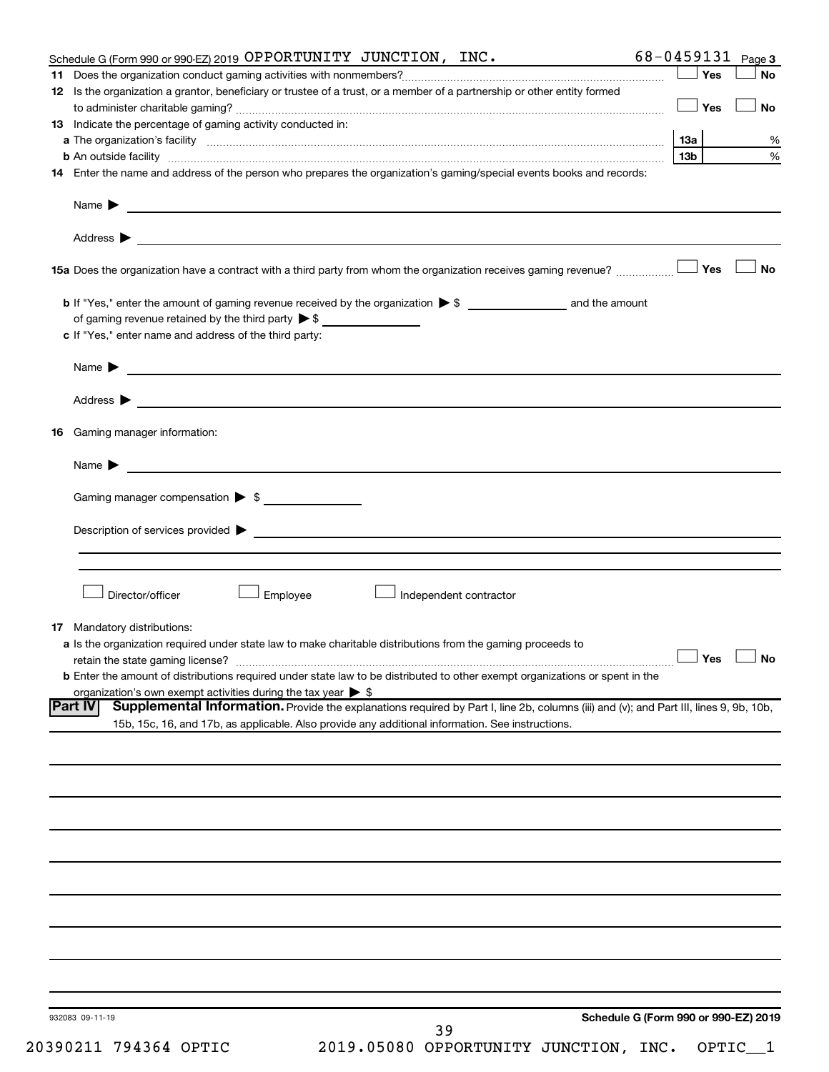| Schedule G (Form 990 or 990-EZ) 2019 OPPORTUNITY JUNCTION, INC.                                                                                                                                                                                              |                 |       | 68-0459131 $Page3$   |
|--------------------------------------------------------------------------------------------------------------------------------------------------------------------------------------------------------------------------------------------------------------|-----------------|-------|----------------------|
|                                                                                                                                                                                                                                                              |                 | Yes   | <b>No</b>            |
| 12 Is the organization a grantor, beneficiary or trustee of a trust, or a member of a partnership or other entity formed                                                                                                                                     |                 | ∣ Yes | <b>No</b>            |
| 13 Indicate the percentage of gaming activity conducted in:                                                                                                                                                                                                  |                 |       |                      |
|                                                                                                                                                                                                                                                              |                 |       | %                    |
|                                                                                                                                                                                                                                                              | 13 <sub>b</sub> |       | %                    |
| 14 Enter the name and address of the person who prepares the organization's gaming/special events books and records:                                                                                                                                         |                 |       |                      |
|                                                                                                                                                                                                                                                              |                 |       |                      |
|                                                                                                                                                                                                                                                              |                 |       |                      |
|                                                                                                                                                                                                                                                              |                 |       | No                   |
|                                                                                                                                                                                                                                                              |                 |       |                      |
| c If "Yes," enter name and address of the third party:                                                                                                                                                                                                       |                 |       |                      |
|                                                                                                                                                                                                                                                              |                 |       |                      |
|                                                                                                                                                                                                                                                              |                 |       |                      |
|                                                                                                                                                                                                                                                              |                 |       |                      |
| <b>16</b> Gaming manager information:                                                                                                                                                                                                                        |                 |       |                      |
|                                                                                                                                                                                                                                                              |                 |       |                      |
| Gaming manager compensation > \$                                                                                                                                                                                                                             |                 |       |                      |
|                                                                                                                                                                                                                                                              |                 |       |                      |
|                                                                                                                                                                                                                                                              |                 |       |                      |
|                                                                                                                                                                                                                                                              |                 |       |                      |
| Director/officer<br>Employee<br>Independent contractor                                                                                                                                                                                                       |                 |       |                      |
| <b>17</b> Mandatory distributions:                                                                                                                                                                                                                           |                 |       |                      |
| a Is the organization required under state law to make charitable distributions from the gaming proceeds to                                                                                                                                                  |                 |       |                      |
|                                                                                                                                                                                                                                                              |                 |       | $\Box$ Yes $\Box$ No |
| <b>b</b> Enter the amount of distributions required under state law to be distributed to other exempt organizations or spent in the                                                                                                                          |                 |       |                      |
| organization's own exempt activities during the tax year $\triangleright$ \$                                                                                                                                                                                 |                 |       |                      |
| Supplemental Information. Provide the explanations required by Part I, line 2b, columns (iii) and (v); and Part III, lines 9, 9b, 10b,<br><b>Part IV</b><br>15b, 15c, 16, and 17b, as applicable. Also provide any additional information. See instructions. |                 |       |                      |
|                                                                                                                                                                                                                                                              |                 |       |                      |
|                                                                                                                                                                                                                                                              |                 |       |                      |
|                                                                                                                                                                                                                                                              |                 |       |                      |
|                                                                                                                                                                                                                                                              |                 |       |                      |
|                                                                                                                                                                                                                                                              |                 |       |                      |
|                                                                                                                                                                                                                                                              |                 |       |                      |
|                                                                                                                                                                                                                                                              |                 |       |                      |
|                                                                                                                                                                                                                                                              |                 |       |                      |
|                                                                                                                                                                                                                                                              |                 |       |                      |
|                                                                                                                                                                                                                                                              |                 |       |                      |
| Schedule G (Form 990 or 990-EZ) 2019<br>932083 09-11-19<br>39                                                                                                                                                                                                |                 |       |                      |

20390211 794364 OPTIC 2019.05080 OPPORTUNITY JUNCTION, INC. OPTIC\_\_1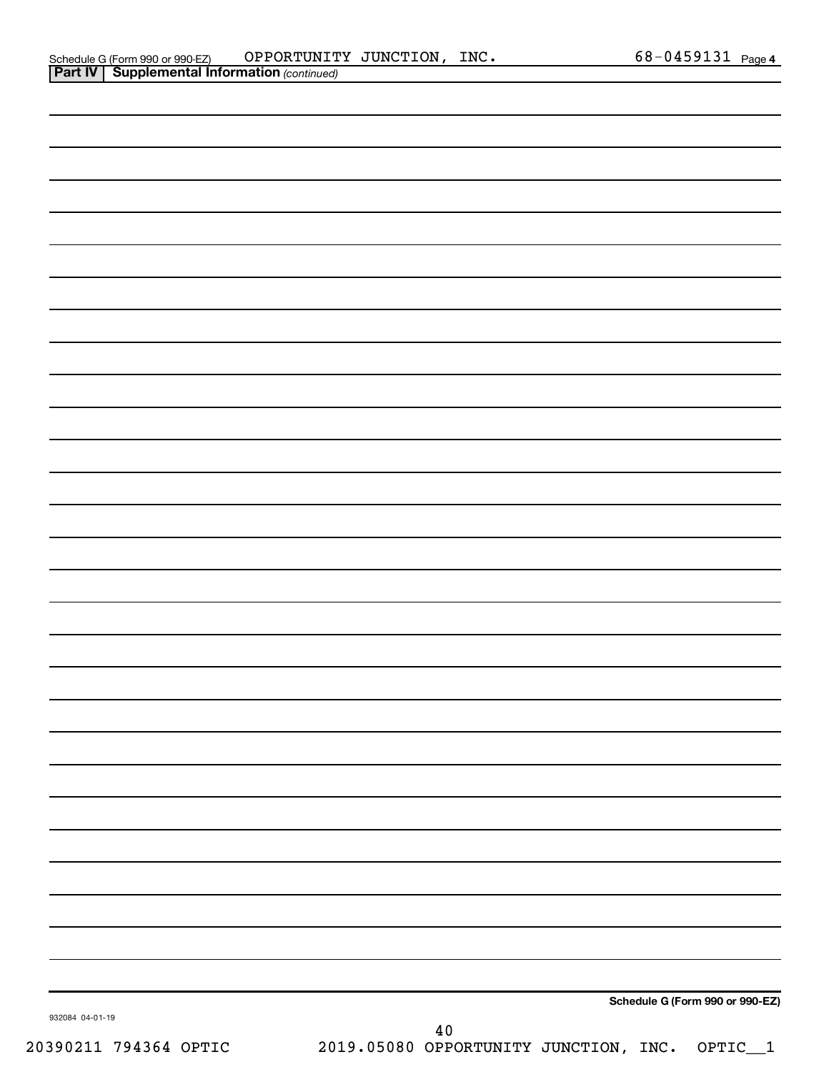| Schedule G (Form 990 or 990-EZ) | OPPORTUNITY JUNCTION,                                 | INC. | 68-0459131 $_{Page 4}$ |  |
|---------------------------------|-------------------------------------------------------|------|------------------------|--|
|                                 | <b>Part IV   Supplemental Information (continued)</b> |      |                        |  |

| 932084 04-01-19 | $40$ |                                 |
|-----------------|------|---------------------------------|
|                 |      | Schedule G (Form 990 or 990-EZ) |
|                 |      |                                 |
|                 |      |                                 |
|                 |      |                                 |
|                 |      |                                 |
|                 |      |                                 |
|                 |      |                                 |
|                 |      |                                 |
|                 |      |                                 |
|                 |      |                                 |
|                 |      |                                 |
|                 |      |                                 |
|                 |      |                                 |
|                 |      |                                 |
|                 |      |                                 |
|                 |      |                                 |
|                 |      |                                 |
|                 |      |                                 |
|                 |      |                                 |
|                 |      |                                 |
|                 |      |                                 |
|                 |      |                                 |
|                 |      |                                 |
|                 |      |                                 |
|                 |      |                                 |
|                 |      |                                 |
|                 |      |                                 |
|                 |      |                                 |
|                 |      |                                 |

20390211 794364 OPTIC 2019.05080 OPPORTUNITY JUNCTION, INC. OPTIC\_\_1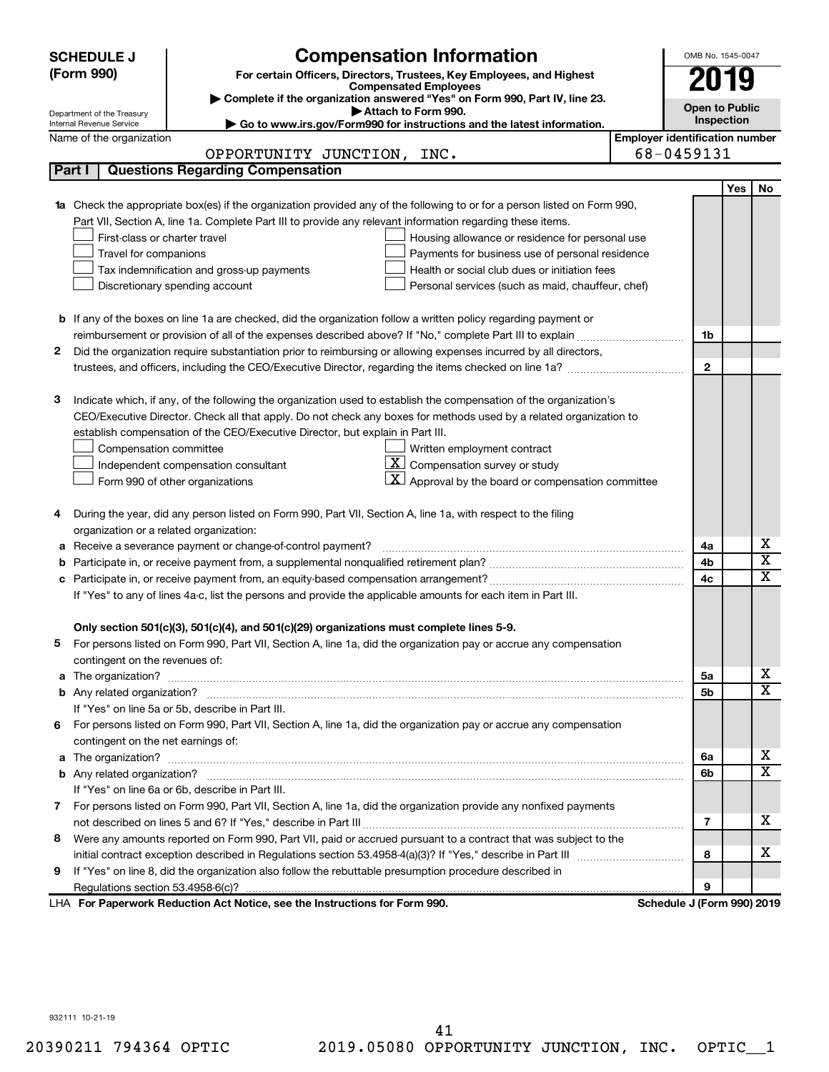|    | <b>SCHEDULE J</b>                       | <b>Compensation Information</b>                                                                                                               | OMB No. 1545-0047          |                                       |                              |  |  |  |
|----|-----------------------------------------|-----------------------------------------------------------------------------------------------------------------------------------------------|----------------------------|---------------------------------------|------------------------------|--|--|--|
|    | (Form 990)                              | For certain Officers, Directors, Trustees, Key Employees, and Highest                                                                         | 2019                       |                                       |                              |  |  |  |
|    |                                         | <b>Compensated Employees</b><br>Complete if the organization answered "Yes" on Form 990, Part IV, line 23.                                    |                            |                                       |                              |  |  |  |
|    | Department of the Treasury              | Attach to Form 990.                                                                                                                           | <b>Open to Public</b>      |                                       |                              |  |  |  |
|    | Internal Revenue Service                | Go to www.irs.gov/Form990 for instructions and the latest information.                                                                        |                            | <b>Inspection</b>                     |                              |  |  |  |
|    | Name of the organization                |                                                                                                                                               |                            | <b>Employer identification number</b> |                              |  |  |  |
|    |                                         | OPPORTUNITY JUNCTION, INC.                                                                                                                    | 68-0459131                 |                                       |                              |  |  |  |
|    | Part I                                  | <b>Questions Regarding Compensation</b>                                                                                                       |                            |                                       |                              |  |  |  |
|    |                                         |                                                                                                                                               |                            | Yes                                   | No                           |  |  |  |
|    |                                         | Check the appropriate box(es) if the organization provided any of the following to or for a person listed on Form 990,                        |                            |                                       |                              |  |  |  |
|    |                                         | Part VII, Section A, line 1a. Complete Part III to provide any relevant information regarding these items.                                    |                            |                                       |                              |  |  |  |
|    | First-class or charter travel           | Housing allowance or residence for personal use                                                                                               |                            |                                       |                              |  |  |  |
|    | Travel for companions                   | Payments for business use of personal residence<br>Health or social club dues or initiation fees<br>Tax indemnification and gross-up payments |                            |                                       |                              |  |  |  |
|    |                                         | Personal services (such as maid, chauffeur, chef)                                                                                             |                            |                                       |                              |  |  |  |
|    |                                         | Discretionary spending account                                                                                                                |                            |                                       |                              |  |  |  |
|    |                                         | <b>b</b> If any of the boxes on line 1a are checked, did the organization follow a written policy regarding payment or                        |                            |                                       |                              |  |  |  |
|    |                                         |                                                                                                                                               | 1b                         |                                       |                              |  |  |  |
| 2  |                                         | Did the organization require substantiation prior to reimbursing or allowing expenses incurred by all directors,                              |                            |                                       |                              |  |  |  |
|    |                                         |                                                                                                                                               | $\mathbf{2}$               |                                       |                              |  |  |  |
|    |                                         |                                                                                                                                               |                            |                                       |                              |  |  |  |
| 3  |                                         | Indicate which, if any, of the following the organization used to establish the compensation of the organization's                            |                            |                                       |                              |  |  |  |
|    |                                         | CEO/Executive Director. Check all that apply. Do not check any boxes for methods used by a related organization to                            |                            |                                       |                              |  |  |  |
|    |                                         | establish compensation of the CEO/Executive Director, but explain in Part III.                                                                |                            |                                       |                              |  |  |  |
|    | Compensation committee                  | Written employment contract                                                                                                                   |                            |                                       |                              |  |  |  |
|    |                                         | $ \mathbf{X} $ Compensation survey or study<br>Independent compensation consultant                                                            |                            |                                       |                              |  |  |  |
|    |                                         | $\mathbf{X}$ Approval by the board or compensation committee<br>Form 990 of other organizations                                               |                            |                                       |                              |  |  |  |
|    |                                         |                                                                                                                                               |                            |                                       |                              |  |  |  |
| 4  |                                         | During the year, did any person listed on Form 990, Part VII, Section A, line 1a, with respect to the filing                                  |                            |                                       |                              |  |  |  |
|    | organization or a related organization: |                                                                                                                                               |                            |                                       |                              |  |  |  |
| а  |                                         | Receive a severance payment or change-of-control payment?                                                                                     | 4a                         |                                       | х                            |  |  |  |
|    |                                         |                                                                                                                                               | 4b                         |                                       | $\overline{\textbf{x}}$      |  |  |  |
|    |                                         |                                                                                                                                               | 4c                         |                                       | $\mathbf x$                  |  |  |  |
|    |                                         | If "Yes" to any of lines 4a-c, list the persons and provide the applicable amounts for each item in Part III.                                 |                            |                                       |                              |  |  |  |
|    |                                         |                                                                                                                                               |                            |                                       |                              |  |  |  |
|    |                                         | Only section 501(c)(3), 501(c)(4), and 501(c)(29) organizations must complete lines 5-9.                                                      |                            |                                       |                              |  |  |  |
|    |                                         | For persons listed on Form 990, Part VII, Section A, line 1a, did the organization pay or accrue any compensation                             |                            |                                       |                              |  |  |  |
|    | contingent on the revenues of:          |                                                                                                                                               |                            |                                       |                              |  |  |  |
| a  |                                         | The organization? <b>William Commission Commission Commission</b> Commission Commission Commission Commission                                 | 5а                         |                                       | x                            |  |  |  |
|    |                                         |                                                                                                                                               | 5b                         |                                       | $\overline{\texttt{x}}$      |  |  |  |
|    |                                         | If "Yes" on line 5a or 5b, describe in Part III.                                                                                              |                            |                                       |                              |  |  |  |
| 6. |                                         | For persons listed on Form 990, Part VII, Section A, line 1a, did the organization pay or accrue any compensation                             |                            |                                       |                              |  |  |  |
|    | contingent on the net earnings of:      |                                                                                                                                               |                            |                                       |                              |  |  |  |
| a  |                                         |                                                                                                                                               | 6a                         |                                       | x<br>$\overline{\textbf{x}}$ |  |  |  |
|    |                                         |                                                                                                                                               | 6b                         |                                       |                              |  |  |  |
|    |                                         | If "Yes" on line 6a or 6b, describe in Part III.                                                                                              |                            |                                       |                              |  |  |  |
|    |                                         | 7 For persons listed on Form 990, Part VII, Section A, line 1a, did the organization provide any nonfixed payments                            |                            |                                       | x                            |  |  |  |
|    |                                         |                                                                                                                                               | 7                          |                                       |                              |  |  |  |
| 8  |                                         | Were any amounts reported on Form 990, Part VII, paid or accrued pursuant to a contract that was subject to the                               |                            |                                       | x                            |  |  |  |
|    |                                         |                                                                                                                                               | 8                          |                                       |                              |  |  |  |
| 9  |                                         | If "Yes" on line 8, did the organization also follow the rebuttable presumption procedure described in                                        | 9                          |                                       |                              |  |  |  |
|    |                                         | LHA For Paperwork Reduction Act Notice, see the Instructions for Form 990.                                                                    | Schedule J (Form 990) 2019 |                                       |                              |  |  |  |
|    |                                         |                                                                                                                                               |                            |                                       |                              |  |  |  |

932111 10-21-19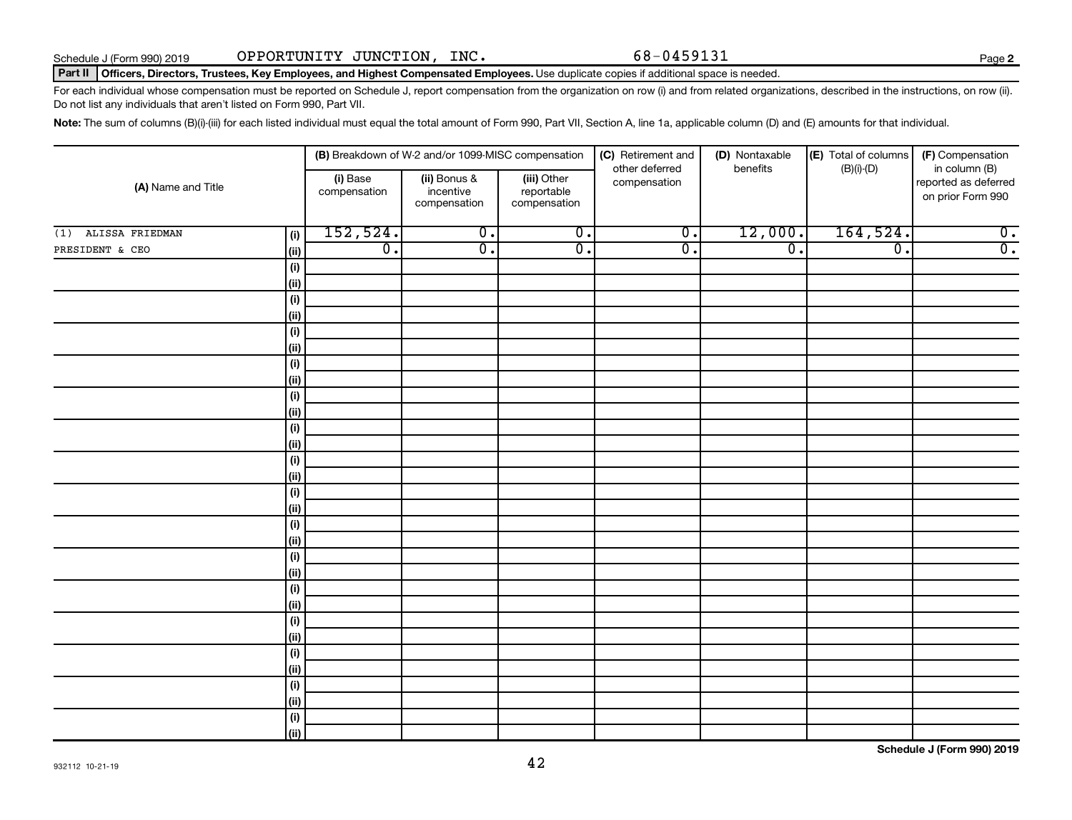**2**

### Part II | Officers, Directors, Trustees, Key Employees, and Highest Compensated Employees. Use duplicate copies if additional space is needed.

For each individual whose compensation must be reported on Schedule J, report compensation from the organization on row (i) and from related organizations, described in the instructions, on row (ii). Do not list any individuals that aren't listed on Form 990, Part VII.

Note: The sum of columns (B)(i)-(iii) for each listed individual must equal the total amount of Form 990, Part VII, Section A, line 1a, applicable column (D) and (E) amounts for that individual.

| (A) Name and Title     |                    |                          | (B) Breakdown of W-2 and/or 1099-MISC compensation |                                           | (C) Retirement and<br>other deferred | (D) Nontaxable<br>benefits | (E) Total of columns<br>$(B)(i)-(D)$ | (F) Compensation<br>in column (B)         |
|------------------------|--------------------|--------------------------|----------------------------------------------------|-------------------------------------------|--------------------------------------|----------------------------|--------------------------------------|-------------------------------------------|
|                        |                    | (i) Base<br>compensation | (ii) Bonus &<br>incentive<br>compensation          | (iii) Other<br>reportable<br>compensation | compensation                         |                            |                                      | reported as deferred<br>on prior Form 990 |
| ALISSA FRIEDMAN<br>(1) | (i)                | 152,524.                 | $\overline{0}$ .                                   | $\overline{0}$ .                          | $\overline{0}$ .                     | 12,000.                    | 164,524.                             | $\overline{0}$ .                          |
| PRESIDENT & CEO        | (ii)               | $\overline{0}$ .         | $\overline{0}$ .                                   | $\overline{0}$ .                          | $\overline{0}$ .                     | $\overline{0}$ .           | $\overline{\mathfrak{o}}$ .          | $\overline{0}$ .                          |
|                        | $(\sf{i})$         |                          |                                                    |                                           |                                      |                            |                                      |                                           |
|                        | (ii)               |                          |                                                    |                                           |                                      |                            |                                      |                                           |
|                        | $(\sf{i})$         |                          |                                                    |                                           |                                      |                            |                                      |                                           |
|                        | (ii)               |                          |                                                    |                                           |                                      |                            |                                      |                                           |
|                        | $(\sf{i})$         |                          |                                                    |                                           |                                      |                            |                                      |                                           |
|                        | (ii)               |                          |                                                    |                                           |                                      |                            |                                      |                                           |
|                        | $(\sf{i})$         |                          |                                                    |                                           |                                      |                            |                                      |                                           |
|                        | (ii)               |                          |                                                    |                                           |                                      |                            |                                      |                                           |
|                        | $(\sf{i})$         |                          |                                                    |                                           |                                      |                            |                                      |                                           |
|                        | (ii)               |                          |                                                    |                                           |                                      |                            |                                      |                                           |
|                        | $(\sf{i})$         |                          |                                                    |                                           |                                      |                            |                                      |                                           |
|                        | (ii)               |                          |                                                    |                                           |                                      |                            |                                      |                                           |
|                        | $(\sf{i})$         |                          |                                                    |                                           |                                      |                            |                                      |                                           |
|                        | (ii)               |                          |                                                    |                                           |                                      |                            |                                      |                                           |
|                        | $(\sf{i})$         |                          |                                                    |                                           |                                      |                            |                                      |                                           |
|                        | (ii)               |                          |                                                    |                                           |                                      |                            |                                      |                                           |
|                        | $(\sf{i})$<br>(ii) |                          |                                                    |                                           |                                      |                            |                                      |                                           |
|                        | $(\sf{i})$         |                          |                                                    |                                           |                                      |                            |                                      |                                           |
|                        | (ii)               |                          |                                                    |                                           |                                      |                            |                                      |                                           |
|                        | $(\sf{i})$         |                          |                                                    |                                           |                                      |                            |                                      |                                           |
|                        | (ii)               |                          |                                                    |                                           |                                      |                            |                                      |                                           |
|                        | $(\sf{i})$         |                          |                                                    |                                           |                                      |                            |                                      |                                           |
|                        | (ii)               |                          |                                                    |                                           |                                      |                            |                                      |                                           |
|                        | $(\sf{i})$         |                          |                                                    |                                           |                                      |                            |                                      |                                           |
|                        | (ii)               |                          |                                                    |                                           |                                      |                            |                                      |                                           |
|                        | $(\sf{i})$         |                          |                                                    |                                           |                                      |                            |                                      |                                           |
|                        | (ii)               |                          |                                                    |                                           |                                      |                            |                                      |                                           |
|                        | $(\sf{i})$         |                          |                                                    |                                           |                                      |                            |                                      |                                           |
|                        | (ii)               |                          |                                                    |                                           |                                      |                            |                                      |                                           |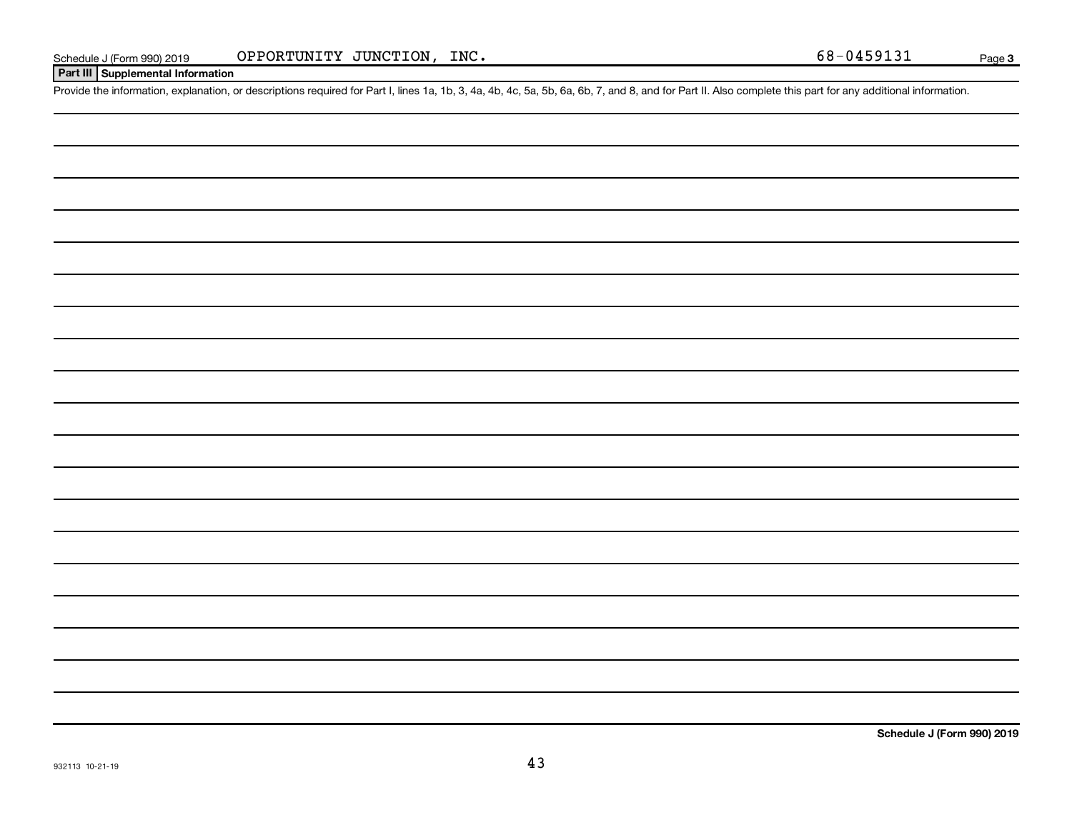### **Part III Supplemental Information**

Provide the information, explanation, or descriptions required for Part I, lines 1a, 1b, 3, 4a, 4b, 4c, 5a, 5b, 6a, 6b, 7, and 8, and for Part II. Also complete this part for any additional information.

**Schedule J (Form 990) 2019**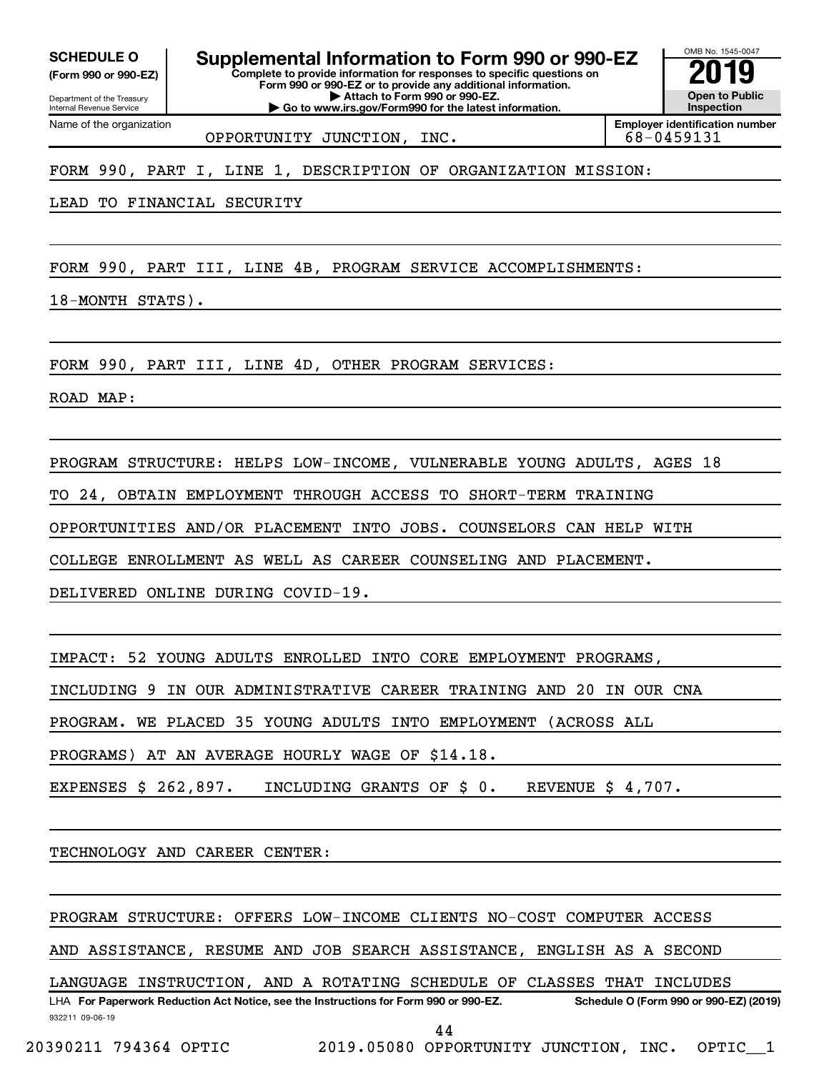**(Form 990 or 990-EZ)**

**Complete to provide information for responses to specific questions on Form 990 or 990-EZ or to provide any additional information. SCHEDULE O Supplemental Information to Form 990 or 990-EZ 2019** 

**| Attach to Form 990 or 990-EZ.**

Department of the Treasury Internal Revenue Service Name of the organization

**| Go to www.irs.gov/Form990 for the latest information.**

**Open to Public Inspection Employer identification number**

OMB No. 1545-0047

OPPORTUNITY JUNCTION, INC. 68-0459131

FORM 990, PART I, LINE 1, DESCRIPTION OF ORGANIZATION MISSION:

LEAD TO FINANCIAL SECURITY

FORM 990, PART III, LINE 4B, PROGRAM SERVICE ACCOMPLISHMENTS:

18-MONTH STATS).

FORM 990, PART III, LINE 4D, OTHER PROGRAM SERVICES:

ROAD MAP:

PROGRAM STRUCTURE: HELPS LOW-INCOME, VULNERABLE YOUNG ADULTS, AGES 18

TO 24, OBTAIN EMPLOYMENT THROUGH ACCESS TO SHORT-TERM TRAINING

OPPORTUNITIES AND/OR PLACEMENT INTO JOBS. COUNSELORS CAN HELP WITH

COLLEGE ENROLLMENT AS WELL AS CAREER COUNSELING AND PLACEMENT.

DELIVERED ONLINE DURING COVID-19.

IMPACT: 52 YOUNG ADULTS ENROLLED INTO CORE EMPLOYMENT PROGRAMS,

INCLUDING 9 IN OUR ADMINISTRATIVE CAREER TRAINING AND 20 IN OUR CNA

PROGRAM. WE PLACED 35 YOUNG ADULTS INTO EMPLOYMENT (ACROSS ALL

PROGRAMS) AT AN AVERAGE HOURLY WAGE OF \$14.18.

EXPENSES \$ 262,897. INCLUDING GRANTS OF \$ 0. REVENUE \$ 4,707.

TECHNOLOGY AND CAREER CENTER:

PROGRAM STRUCTURE: OFFERS LOW-INCOME CLIENTS NO-COST COMPUTER ACCESS

AND ASSISTANCE, RESUME AND JOB SEARCH ASSISTANCE, ENGLISH AS A SECOND

LHA For Paperwork Reduction Act Notice, see the Instructions for Form 990 or 990-EZ. Schedule O (Form 990 or 990-EZ) (2019) LANGUAGE INSTRUCTION, AND A ROTATING SCHEDULE OF CLASSES THAT INCLUDES

932211 09-06-19

44

20390211 794364 OPTIC 2019.05080 OPPORTUNITY JUNCTION, INC. OPTIC\_\_1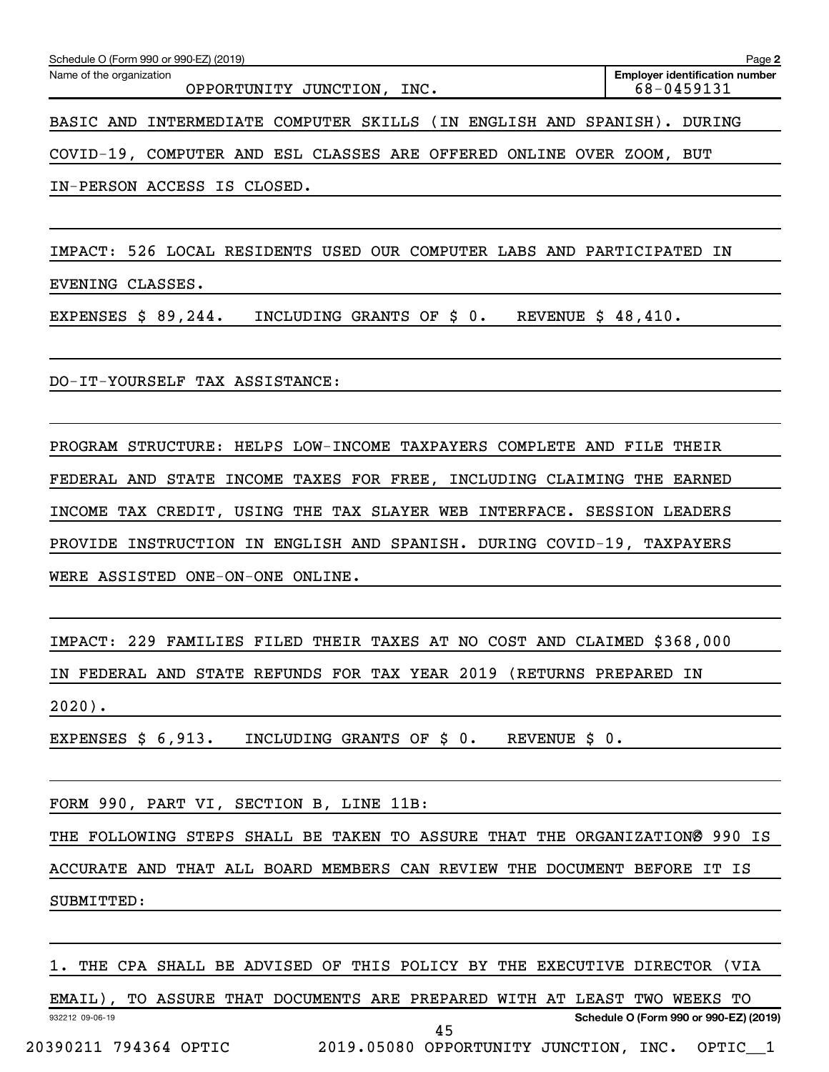| Schedule O (Form 990 or 990-EZ) (2019)<br>Page 2                                                              |  |  |                                                                         |  |  |  |  |  |  |  |  |  |
|---------------------------------------------------------------------------------------------------------------|--|--|-------------------------------------------------------------------------|--|--|--|--|--|--|--|--|--|
| <b>Employer identification number</b><br>Name of the organization<br>68-0459131<br>OPPORTUNITY JUNCTION, INC. |  |  |                                                                         |  |  |  |  |  |  |  |  |  |
|                                                                                                               |  |  | BASIC AND INTERMEDIATE COMPUTER SKILLS (IN ENGLISH AND SPANISH). DURING |  |  |  |  |  |  |  |  |  |
|                                                                                                               |  |  | COVID-19, COMPUTER AND ESL CLASSES ARE OFFERED ONLINE OVER ZOOM, BUT    |  |  |  |  |  |  |  |  |  |

IN-PERSON ACCESS IS CLOSED.

IMPACT: 526 LOCAL RESIDENTS USED OUR COMPUTER LABS AND PARTICIPATED IN

EVENING CLASSES.

EXPENSES  $$89,244$ . INCLUDING GRANTS OF  $$0$ . REVENUE  $$48,410$ .

DO-IT-YOURSELF TAX ASSISTANCE:

PROGRAM STRUCTURE: HELPS LOW-INCOME TAXPAYERS COMPLETE AND FILE THEIR FEDERAL AND STATE INCOME TAXES FOR FREE, INCLUDING CLAIMING THE EARNED INCOME TAX CREDIT, USING THE TAX SLAYER WEB INTERFACE. SESSION LEADERS PROVIDE INSTRUCTION IN ENGLISH AND SPANISH. DURING COVID-19, TAXPAYERS WERE ASSISTED ONE-ON-ONE ONLINE.

IMPACT: 229 FAMILIES FILED THEIR TAXES AT NO COST AND CLAIMED \$368,000

IN FEDERAL AND STATE REFUNDS FOR TAX YEAR 2019 (RETURNS PREPARED IN

2020).

EXPENSES \$ 6,913. INCLUDING GRANTS OF \$ 0. REVENUE \$ 0.

FORM 990, PART VI, SECTION B, LINE 11B:

THE FOLLOWING STEPS SHALL BE TAKEN TO ASSURE THAT THE ORGANIZATIONØ 990 IS ACCURATE AND THAT ALL BOARD MEMBERS CAN REVIEW THE DOCUMENT BEFORE IT IS

SUBMITTED:

1. THE CPA SHALL BE ADVISED OF THIS POLICY BY THE EXECUTIVE DIRECTOR (VIA

932212 09-06-19 **Schedule O (Form 990 or 990-EZ) (2019)** EMAIL), TO ASSURE THAT DOCUMENTS ARE PREPARED WITH AT LEAST TWO WEEKS TO 20390211 794364 OPTIC 2019.05080 OPPORTUNITY JUNCTION, INC. OPTIC\_\_1 45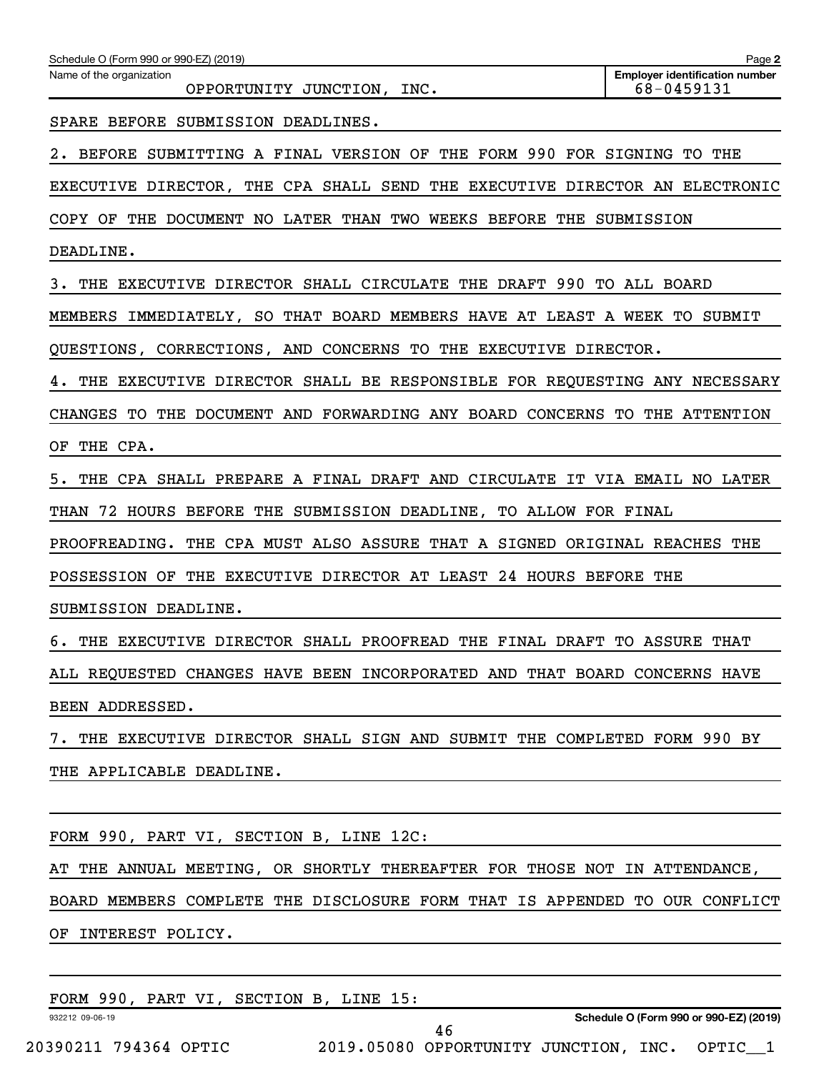| Schedule O (Form 990 or 990-EZ) (2019)                                         | Page 2                                              |
|--------------------------------------------------------------------------------|-----------------------------------------------------|
| Name of the organization<br>OPPORTUNITY JUNCTION, INC.                         | <b>Employer identification number</b><br>68-0459131 |
| SPARE BEFORE SUBMISSION DEADLINES.                                             |                                                     |
| BEFORE SUBMITTING A FINAL VERSION OF THE FORM 990 FOR SIGNING<br>2.            | THE<br>TO.                                          |
| EXECUTIVE DIRECTOR, THE CPA SHALL SEND THE EXECUTIVE DIRECTOR AN ELECTRONIC    |                                                     |
| COPY OF<br>THE DOCUMENT NO LATER THAN TWO WEEKS BEFORE THE SUBMISSION          |                                                     |
| DEADLINE.                                                                      |                                                     |
| THE EXECUTIVE DIRECTOR SHALL CIRCULATE THE DRAFT 990<br>з.                     | TO ALL BOARD                                        |
| MEMBERS IMMEDIATELY, SO THAT BOARD MEMBERS HAVE AT LEAST A WEEK TO SUBMIT      |                                                     |
| QUESTIONS, CORRECTIONS, AND CONCERNS TO THE EXECUTIVE DIRECTOR.                |                                                     |
| THE EXECUTIVE DIRECTOR SHALL BE RESPONSIBLE FOR REQUESTING ANY NECESSARY<br>4. |                                                     |
| TO THE DOCUMENT AND FORWARDING ANY BOARD CONCERNS TO<br><b>CHANGES</b>         | THE ATTENTION                                       |
| THE CPA.<br>ΟF                                                                 |                                                     |
| 5.<br>THE CPA SHALL PREPARE A FINAL DRAFT AND CIRCULATE IT VIA EMAIL NO LATER  |                                                     |
| THAN 72 HOURS BEFORE THE SUBMISSION DEADLINE, TO ALLOW FOR FINAL               |                                                     |
| PROOFREADING.<br>THE CPA MUST ALSO ASSURE THAT A SIGNED ORIGINAL REACHES       | THE                                                 |
| THE EXECUTIVE DIRECTOR AT LEAST 24 HOURS BEFORE THE<br>POSSESSION OF           |                                                     |
| SUBMISSION DEADLINE.                                                           |                                                     |
| 6. THE EXECUTIVE DIRECTOR SHALL PROOFREAD THE FINAL DRAFT                      | TO ASSURE THAT                                      |
| ALL REQUESTED CHANGES HAVE BEEN INCORPORATED AND THAT BOARD CONCERNS HAVE      |                                                     |
| BEEN ADDRESSED.                                                                |                                                     |
| 7. THE EXECUTIVE DIRECTOR SHALL SIGN AND SUBMIT THE COMPLETED FORM 990 BY      |                                                     |
| THE APPLICABLE DEADLINE.                                                       |                                                     |
|                                                                                |                                                     |
| FORM 990, PART VI, SECTION B, LINE 12C:                                        |                                                     |
| AT THE ANNUAL MEETING, OR SHORTLY THEREAFTER FOR THOSE NOT IN ATTENDANCE,      |                                                     |
| BOARD MEMBERS COMPLETE THE DISCLOSURE FORM THAT IS APPENDED TO OUR CONFLICT    |                                                     |
| OF INTEREST POLICY.                                                            |                                                     |
|                                                                                |                                                     |
| FORM 990, PART VI, SECTION B, LINE 15:                                         |                                                     |

20390211 794364 OPTIC 2019.05080 OPPORTUNITY JUNCTION, INC. OPTIC\_\_1

932212 09-06-19

**Schedule O (Form 990 or 990-EZ) (2019)**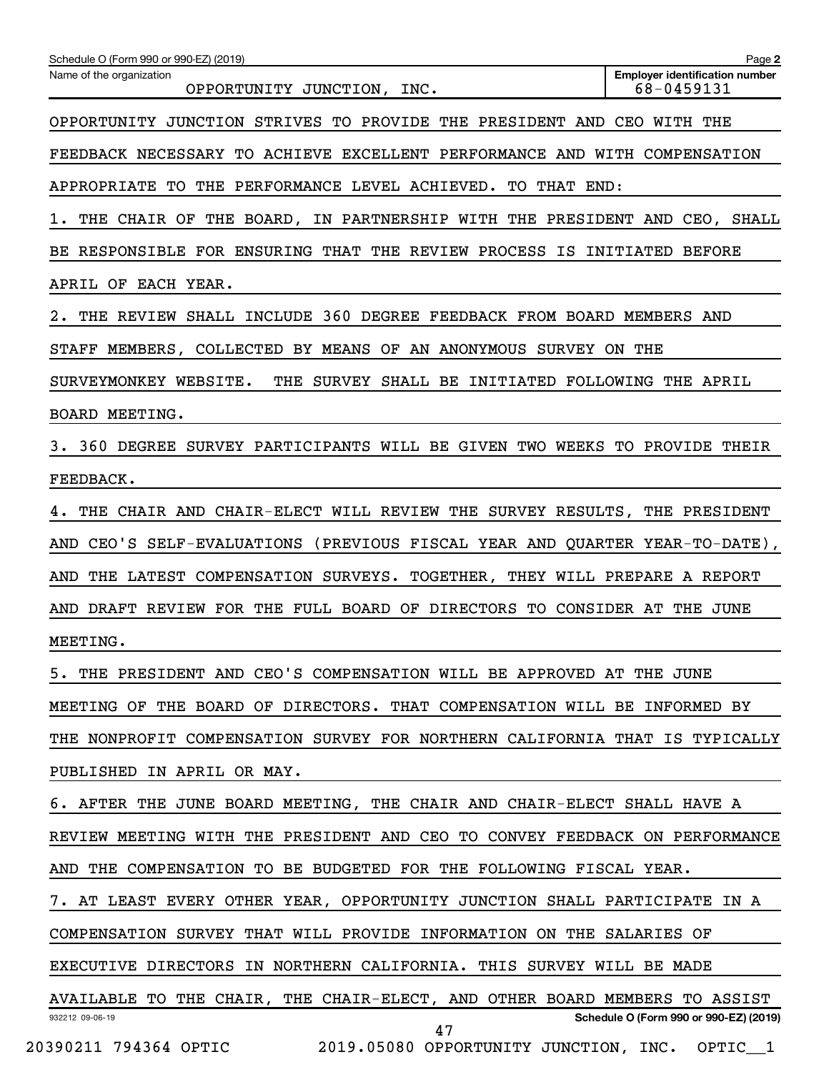| Schedule O (Form 990 or 990-EZ) (2019)                                      | Page 2                                              |
|-----------------------------------------------------------------------------|-----------------------------------------------------|
| Name of the organization<br>OPPORTUNITY JUNCTION, INC.                      | <b>Employer identification number</b><br>68-0459131 |
| OPPORTUNITY JUNCTION STRIVES TO PROVIDE THE PRESIDENT AND CEO WITH THE      |                                                     |
| FEEDBACK NECESSARY TO ACHIEVE EXCELLENT PERFORMANCE AND WITH COMPENSATION   |                                                     |
| APPROPRIATE TO THE PERFORMANCE LEVEL ACHIEVED. TO THAT END:                 |                                                     |
| 1. THE CHAIR OF THE BOARD, IN PARTNERSHIP WITH THE PRESIDENT AND CEO, SHALL |                                                     |
| BE RESPONSIBLE FOR ENSURING THAT THE REVIEW PROCESS IS INITIATED BEFORE     |                                                     |
| APRIL OF EACH YEAR.                                                         |                                                     |
| 2. THE REVIEW SHALL INCLUDE 360 DEGREE FEEDBACK FROM BOARD MEMBERS AND      |                                                     |
| STAFF MEMBERS, COLLECTED BY MEANS OF AN ANONYMOUS SURVEY ON THE             |                                                     |
| SURVEYMONKEY WEBSITE. THE SURVEY SHALL BE INITIATED FOLLOWING THE APRIL     |                                                     |
| <b>BOARD MEETING.</b>                                                       |                                                     |
| 3. 360 DEGREE SURVEY PARTICIPANTS WILL BE GIVEN TWO WEEKS TO PROVIDE THEIR  |                                                     |
| FEEDBACK.                                                                   |                                                     |
| 4. THE CHAIR AND CHAIR-ELECT WILL REVIEW THE SURVEY RESULTS, THE PRESIDENT  |                                                     |
| AND CEO'S SELF-EVALUATIONS (PREVIOUS FISCAL YEAR AND QUARTER YEAR-TO-DATE), |                                                     |
| AND THE LATEST COMPENSATION SURVEYS. TOGETHER, THEY WILL PREPARE A REPORT   |                                                     |
| AND DRAFT REVIEW FOR THE FULL BOARD OF DIRECTORS TO CONSIDER AT THE JUNE    |                                                     |
| MEETING.                                                                    |                                                     |
| 5. THE PRESIDENT AND CEO'S COMPENSATION WILL BE APPROVED AT THE JUNE        |                                                     |
| MEETING OF THE BOARD OF DIRECTORS. THAT COMPENSATION WILL BE INFORMED BY    |                                                     |
| THE NONPROFIT COMPENSATION SURVEY FOR NORTHERN CALIFORNIA THAT IS TYPICALLY |                                                     |
| PUBLISHED IN APRIL OR MAY.                                                  |                                                     |
| 6. AFTER THE JUNE BOARD MEETING, THE CHAIR AND CHAIR-ELECT SHALL HAVE A     |                                                     |
| REVIEW MEETING WITH THE PRESIDENT AND CEO TO CONVEY FEEDBACK ON PERFORMANCE |                                                     |
| AND THE COMPENSATION TO BE BUDGETED FOR THE FOLLOWING FISCAL YEAR.          |                                                     |
| 7. AT LEAST EVERY OTHER YEAR, OPPORTUNITY JUNCTION SHALL PARTICIPATE IN A   |                                                     |
| COMPENSATION SURVEY THAT WILL PROVIDE INFORMATION ON THE SALARIES OF        |                                                     |
| EXECUTIVE DIRECTORS IN NORTHERN CALIFORNIA. THIS SURVEY WILL BE MADE        |                                                     |
| AVAILABLE TO THE CHAIR, THE CHAIR-ELECT, AND OTHER BOARD MEMBERS TO ASSIST  |                                                     |
| 932212 09-06-19<br>47                                                       | Schedule O (Form 990 or 990-EZ) (2019)              |
| 20390211 794364 OPTIC 2019.05080 OPPORTUNITY JUNCTION, INC. OPTIC_1         |                                                     |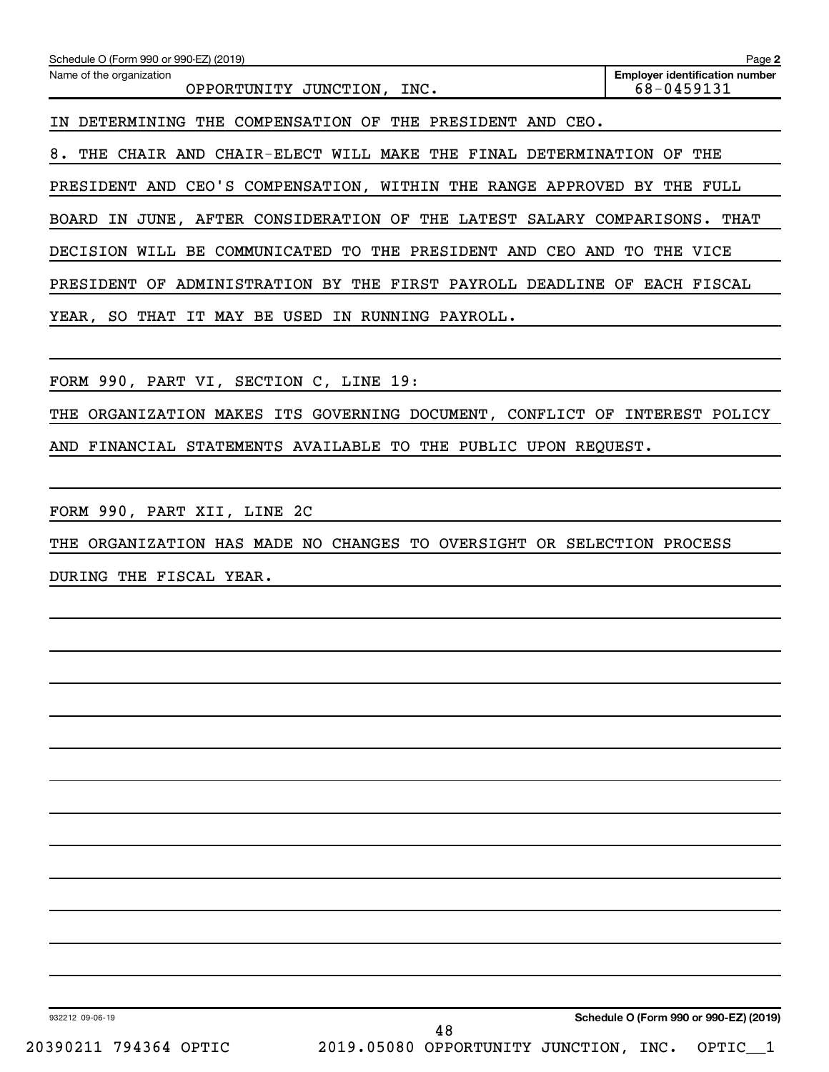| Schedule O (Form 990 or 990-EZ) (2019)                                        | Page 2                                              |
|-------------------------------------------------------------------------------|-----------------------------------------------------|
| Name of the organization<br>OPPORTUNITY JUNCTION,<br>INC.                     | <b>Employer identification number</b><br>68-0459131 |
| DETERMINING THE COMPENSATION OF THE PRESIDENT AND CEO.                        |                                                     |
| 8. THE CHAIR AND CHAIR-ELECT WILL MAKE THE FINAL DETERMINATION OF THE         |                                                     |
| PRESIDENT AND CEO'S COMPENSATION, WITHIN THE RANGE APPROVED BY THE FULL       |                                                     |
| BOARD IN JUNE, AFTER CONSIDERATION OF THE LATEST SALARY COMPARISONS. THAT     |                                                     |
| DECISION WILL BE COMMUNICATED TO THE PRESIDENT AND CEO AND TO THE VICE        |                                                     |
| PRESIDENT OF ADMINISTRATION BY THE FIRST PAYROLL DEADLINE OF EACH FISCAL      |                                                     |
| YEAR, SO THAT IT MAY BE USED IN RUNNING PAYROLL.                              |                                                     |
|                                                                               |                                                     |
| FORM 990, PART VI, SECTION C, LINE 19:                                        |                                                     |
| ORGANIZATION MAKES ITS GOVERNING DOCUMENT, CONFLICT OF INTEREST POLICY<br>THE |                                                     |
| FINANCIAL STATEMENTS AVAILABLE TO THE PUBLIC UPON REOUEST.<br>AND             |                                                     |
|                                                                               |                                                     |
| FORM 990, PART XII, LINE 2C                                                   |                                                     |
| THE ORGANIZATION HAS MADE NO CHANGES TO OVERSIGHT OR SELECTION PROCESS        |                                                     |

DURING THE FISCAL YEAR.

932212 09-06-19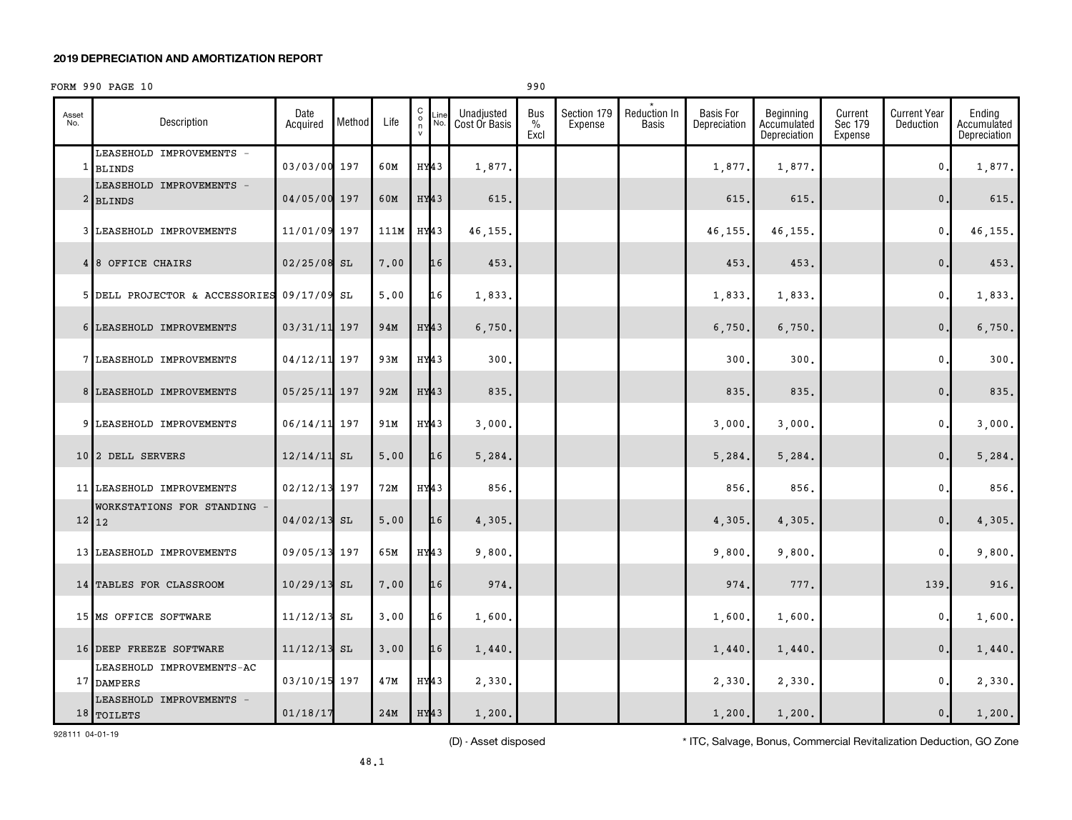### **2019 DEPRECIATION AND AMORTIZATION REPORT**

### FORM 990 PAGE 10 990

| Asset<br>No. | Description                               | Date<br>Acquired | Method | Life | $\begin{matrix} 0 \\ 0 \\ n \end{matrix}$<br>Line<br>No.<br>$\mathsf{v}$ | Unadjusted<br>Cost Or Basis | Bus<br>$\%$<br>Excl | Section 179<br>Expense | <b>Reduction In</b><br>Basis | <b>Basis For</b><br>Depreciation | Beginning<br>Accumulated<br>Depreciation | Current<br>Sec 179<br>Expense | <b>Current Year</b><br>Deduction | Ending<br>Accumulated<br>Depreciation |
|--------------|-------------------------------------------|------------------|--------|------|--------------------------------------------------------------------------|-----------------------------|---------------------|------------------------|------------------------------|----------------------------------|------------------------------------------|-------------------------------|----------------------------------|---------------------------------------|
| 1            | LEASEHOLD IMPROVEMENTS -<br><b>BLINDS</b> | 03/03/00 197     |        | 60M  | HY43                                                                     | 1,877.                      |                     |                        |                              | 1,877                            | 1,877.                                   |                               | 0                                | 1,877.                                |
|              | LEASEHOLD IMPROVEMENTS -<br>2 BLINDS      | 04/05/00 197     |        | 60M  | HY <sub>43</sub>                                                         | 615.                        |                     |                        |                              | 615                              | 615.                                     |                               | $\mathbf{0}$                     | 615.                                  |
|              | 3 LEASEHOLD IMPROVEMENTS                  | 11/01/09 197     |        | 111M | HY43                                                                     | 46,155                      |                     |                        |                              | 46,155                           | 46,155                                   |                               | $\mathbf{0}$                     | 46, 155.                              |
|              | 4 8 OFFICE CHAIRS                         | $02/25/08$ SL    |        | 7.00 | 16                                                                       | 453.                        |                     |                        |                              | 453                              | 453.                                     |                               | $\mathbf{0}$                     | 453.                                  |
|              | 5 DELL PROJECTOR & ACCESSORIES            | 09/17/09 SL      |        | 5,00 | 16                                                                       | 1,833.                      |                     |                        |                              | 1,833                            | 1,833.                                   |                               | $\mathbf{0}$                     | 1,833.                                |
|              | 6 LEASEHOLD IMPROVEMENTS                  | 03/31/11 197     |        | 94M  | HY <sub>43</sub>                                                         | 6,750.                      |                     |                        |                              | 6,750                            | 6,750.                                   |                               | $\mathbf{0}$                     | 6,750.                                |
|              | 7 LEASEHOLD IMPROVEMENTS                  | 04/12/11 197     |        | 93M  | HY43                                                                     | 300.                        |                     |                        |                              | 300                              | 300                                      |                               | 0                                | 300.                                  |
|              | 8 LEASEHOLD IMPROVEMENTS                  | 05/25/11 197     |        | 92M  | $HY$ 43                                                                  | 835.                        |                     |                        |                              | 835                              | 835.                                     |                               | $\mathbf{0}$                     | 835.                                  |
|              | 9 LEASEHOLD IMPROVEMENTS                  | 06/14/11 197     |        | 91M  | HY43                                                                     | 3,000                       |                     |                        |                              | 3,000                            | 3,000                                    |                               | $\mathbf{0}$                     | 3,000.                                |
|              | 10 2 DELL SERVERS                         | $12/14/11$ SL    |        | 5.00 | 16                                                                       | 5,284.                      |                     |                        |                              | 5,284                            | 5,284.                                   |                               | $\mathbf{0}$                     | 5,284.                                |
|              | 11 LEASEHOLD IMPROVEMENTS                 | 02/12/13 197     |        | 72M  | HY43                                                                     | 856.                        |                     |                        |                              | 856                              | 856.                                     |                               | $\mathbf{0}$                     | 856.                                  |
|              | WORKSTATIONS FOR STANDING -<br>12 12      | 04/02/13 SL      |        | 5.00 | 16                                                                       | 4,305.                      |                     |                        |                              | 4,305.                           | 4,305.                                   |                               | $\mathbf 0$ .                    | 4,305.                                |
|              | 13 LEASEHOLD IMPROVEMENTS                 | 09/05/13 197     |        | 65M  | HY43                                                                     | 9,800                       |                     |                        |                              | 9,800                            | 9,800.                                   |                               | 0                                | 9,800.                                |
|              | 14 TABLES FOR CLASSROOM                   | $10/29/13$ SL    |        | 7.00 | 16                                                                       | 974.                        |                     |                        |                              | 974                              | 777.                                     |                               | 139                              | 916.                                  |
|              | 15 MS OFFICE SOFTWARE                     | 11/12/13         | SL     | 3.00 | 16                                                                       | 1,600                       |                     |                        |                              | 1,600                            | 1,600                                    |                               | 0                                | 1,600.                                |
|              | 16 DEEP FREEZE SOFTWARE                   | $11/12/13$ SL    |        | 3.00 | 16                                                                       | 1,440.                      |                     |                        |                              | 1,440                            | 1,440.                                   |                               | $\mathbf{0}$                     | 1,440.                                |
|              | LEASEHOLD IMPROVEMENTS-AC<br>17 DAMPERS   | 03/10/15 197     |        | 47M  | HY43                                                                     | 2,330.                      |                     |                        |                              | 2,330                            | 2,330.                                   |                               | $\mathbf{0}$                     | 2,330.                                |
|              | LEASEHOLD IMPROVEMENTS -<br>18 TOILETS    | 01/18/17         |        | 24M  | HY <sub>43</sub>                                                         | 1,200.                      |                     |                        |                              | 1,200.                           | 1,200.                                   |                               | 0.                               | 1,200.                                |

928111 04-01-19

(D) - Asset disposed \* ITC, Salvage, Bonus, Commercial Revitalization Deduction, GO Zone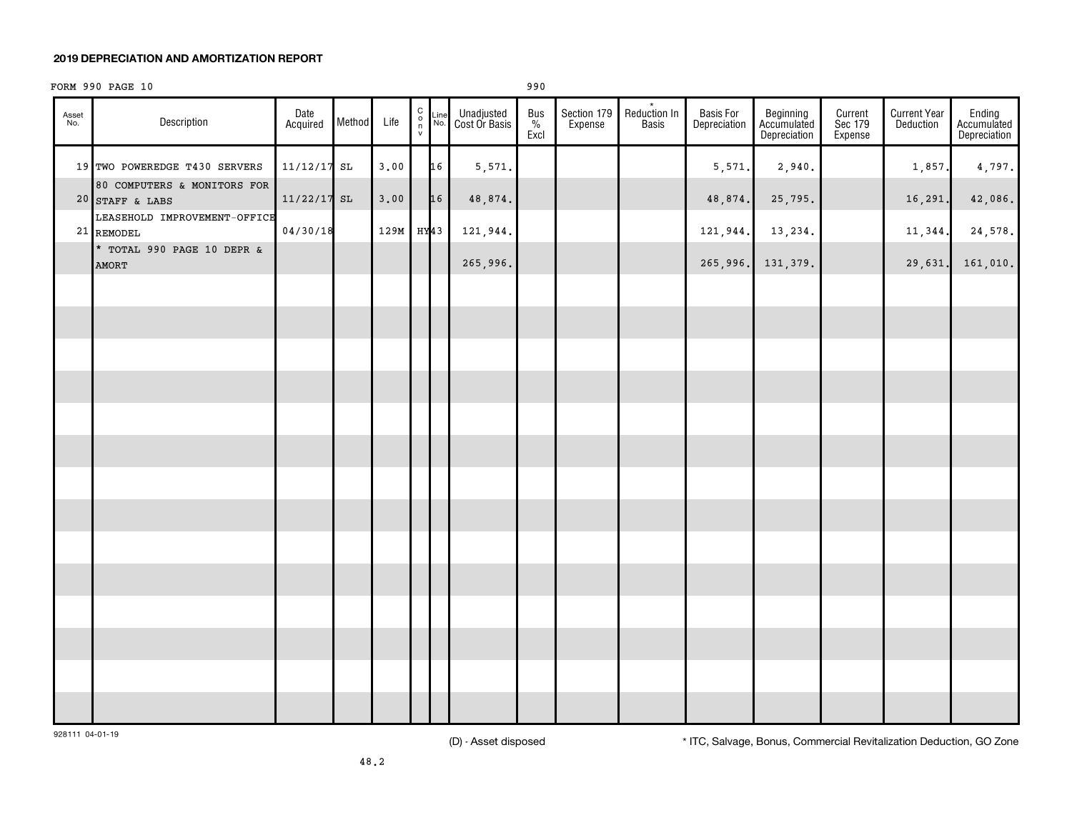### **2019 DEPRECIATION AND AMORTIZATION REPORT**

### FORM 990 PAGE 10 990

| Asset<br>No. | Description                                      | Date<br>Acquired | Method | Life | $\begin{array}{c}\nC \\ O \\ N\n\end{array}$ | $\frac{\text{Line}}{\text{No.}}$ | Unadjusted<br>Cost Or Basis | $\begin{array}{c}\n\text{Bus} \\ \frac{\%}{\%} \\ \text{Excl}\n\end{array}$ | Section 179<br>Expense | Reduction In<br>Basis | Basis For<br>Depreciation | Beginning<br>Accumulated<br>Depreciation | Current<br>Sec 179<br>Expense | <b>Current Year</b><br>Deduction | Ending<br>Accumulated<br>Depreciation |
|--------------|--------------------------------------------------|------------------|--------|------|----------------------------------------------|----------------------------------|-----------------------------|-----------------------------------------------------------------------------|------------------------|-----------------------|---------------------------|------------------------------------------|-------------------------------|----------------------------------|---------------------------------------|
|              | 19 TWO POWEREDGE T430 SERVERS                    | $11/12/17$ SL    |        | 3.00 |                                              | 16                               | 5,571.                      |                                                                             |                        |                       | 5,571.                    | 2,940.                                   |                               | 1,857.                           | 4,797.                                |
|              | 80 COMPUTERS & MONITORS FOR<br>$20$ STAFF & LABS | $11/22/17$ SL    |        | 3,00 |                                              | 16                               | 48,874.                     |                                                                             |                        |                       | 48,874.                   | 25,795.                                  |                               | 16,291.                          | 42,086.                               |
|              | LEASEHOLD IMPROVEMENT-OFFICE<br>21 REMODEL       | 04/30/18         |        | 129M | HY43                                         |                                  | 121,944.                    |                                                                             |                        |                       | 121,944.                  | 13,234.                                  |                               | 11,344.                          | 24,578.                               |
|              | * TOTAL 990 PAGE 10 DEPR &<br><b>AMORT</b>       |                  |        |      |                                              |                                  | 265,996.                    |                                                                             |                        |                       | 265,996.                  | 131,379.                                 |                               | 29,631.                          | 161,010.                              |
|              |                                                  |                  |        |      |                                              |                                  |                             |                                                                             |                        |                       |                           |                                          |                               |                                  |                                       |
|              |                                                  |                  |        |      |                                              |                                  |                             |                                                                             |                        |                       |                           |                                          |                               |                                  |                                       |
|              |                                                  |                  |        |      |                                              |                                  |                             |                                                                             |                        |                       |                           |                                          |                               |                                  |                                       |
|              |                                                  |                  |        |      |                                              |                                  |                             |                                                                             |                        |                       |                           |                                          |                               |                                  |                                       |
|              |                                                  |                  |        |      |                                              |                                  |                             |                                                                             |                        |                       |                           |                                          |                               |                                  |                                       |
|              |                                                  |                  |        |      |                                              |                                  |                             |                                                                             |                        |                       |                           |                                          |                               |                                  |                                       |
|              |                                                  |                  |        |      |                                              |                                  |                             |                                                                             |                        |                       |                           |                                          |                               |                                  |                                       |
|              |                                                  |                  |        |      |                                              |                                  |                             |                                                                             |                        |                       |                           |                                          |                               |                                  |                                       |
|              |                                                  |                  |        |      |                                              |                                  |                             |                                                                             |                        |                       |                           |                                          |                               |                                  |                                       |
|              |                                                  |                  |        |      |                                              |                                  |                             |                                                                             |                        |                       |                           |                                          |                               |                                  |                                       |
|              |                                                  |                  |        |      |                                              |                                  |                             |                                                                             |                        |                       |                           |                                          |                               |                                  |                                       |
|              |                                                  |                  |        |      |                                              |                                  |                             |                                                                             |                        |                       |                           |                                          |                               |                                  |                                       |
|              |                                                  |                  |        |      |                                              |                                  |                             |                                                                             |                        |                       |                           |                                          |                               |                                  |                                       |
|              |                                                  |                  |        |      |                                              |                                  |                             |                                                                             |                        |                       |                           |                                          |                               |                                  |                                       |
|              |                                                  |                  |        |      |                                              |                                  |                             |                                                                             |                        |                       |                           |                                          |                               |                                  |                                       |
|              |                                                  |                  |        |      |                                              |                                  |                             |                                                                             |                        |                       |                           |                                          |                               |                                  |                                       |

928111 04-01-19

(D) - Asset disposed \* ITC, Salvage, Bonus, Commercial Revitalization Deduction, GO Zone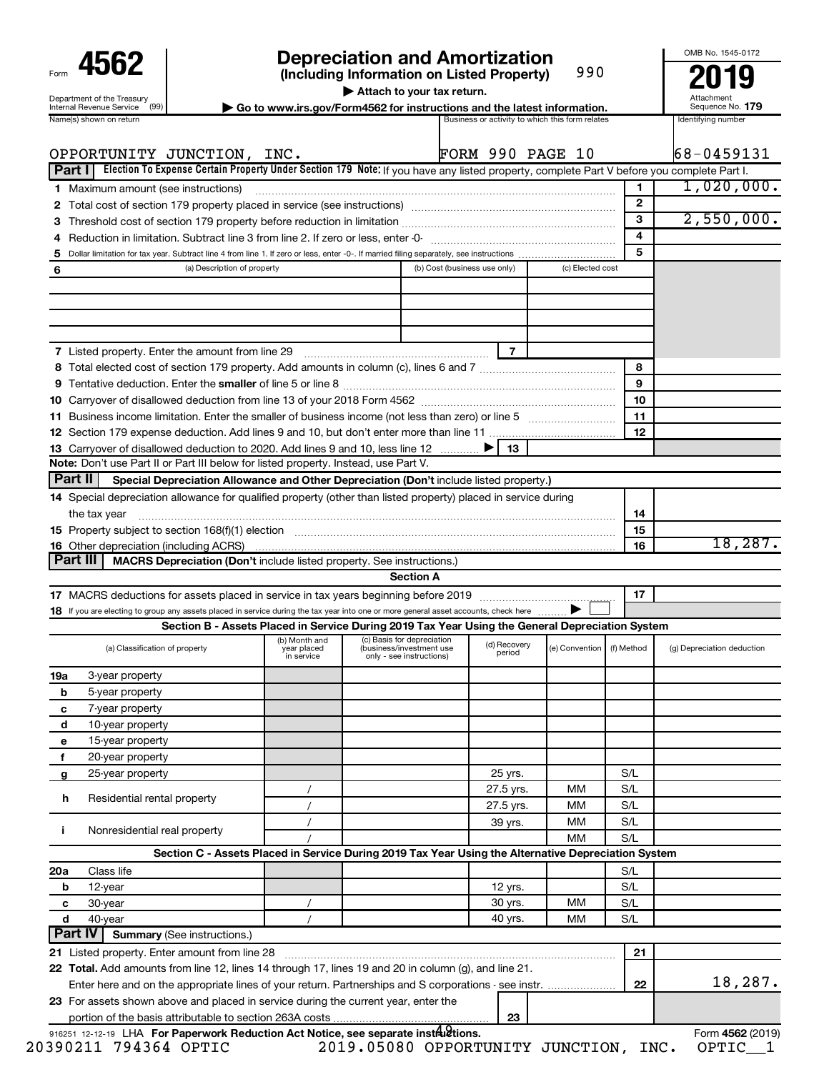| Form                                                           |
|----------------------------------------------------------------|
| Department of the Treasury<br>Internal Revenue Service<br>(99) |
|                                                                |

# **4562 Depreciation and Amortization**<br>(Including Information on Listed Property) 990 **2019**

**(Including Information on Listed Property)**

990

**| Attach to your tax return.**

**nternal Revenue Service**  $\left(99\right)$  **Go to www.irs.gov/Form4562 for instructions and the latest information.** Sequence No. 179<br>Name(s) shown on return and the lates and the lates are activity to which this form relates and

Attachment Sequence No.

OMB No. 1545-0172

|                 | OPPORTUNITY JUNCTION, INC.<br>Election To Expense Certain Property Under Section 179 Note: If you have any listed property, complete Part V before you complete Part I.<br>Part II |                                            |                                                                                                     | <b>FORM 990 PAGE 10</b> |                  |              | $68 - 0459131$                        |
|-----------------|------------------------------------------------------------------------------------------------------------------------------------------------------------------------------------|--------------------------------------------|-----------------------------------------------------------------------------------------------------|-------------------------|------------------|--------------|---------------------------------------|
|                 | 1 Maximum amount (see instructions)                                                                                                                                                |                                            |                                                                                                     |                         |                  | 1            | $1,020,000$ .                         |
| 2               | Total cost of section 179 property placed in service (see instructions) manufactured cost of section 179 property placed in service (see instructions)                             |                                            |                                                                                                     |                         |                  | $\mathbf{2}$ |                                       |
| з               |                                                                                                                                                                                    |                                            |                                                                                                     |                         |                  | 3            | 2,550,000.                            |
| 4               | Reduction in limitation. Subtract line 3 from line 2. If zero or less, enter -0-                                                                                                   |                                            |                                                                                                     |                         |                  | 4            |                                       |
| 5               |                                                                                                                                                                                    |                                            |                                                                                                     |                         |                  | 5            |                                       |
| 6               | (a) Description of property                                                                                                                                                        |                                            | (b) Cost (business use only)                                                                        |                         | (c) Elected cost |              |                                       |
|                 |                                                                                                                                                                                    |                                            |                                                                                                     |                         |                  |              |                                       |
|                 |                                                                                                                                                                                    |                                            |                                                                                                     |                         |                  |              |                                       |
|                 | 7 Listed property. Enter the amount from line 29 [11] [12] [12] [13] Listed property. Enter the amount from line 29                                                                |                                            |                                                                                                     | $\overline{7}$          |                  |              |                                       |
|                 |                                                                                                                                                                                    |                                            |                                                                                                     |                         |                  | 8            |                                       |
|                 |                                                                                                                                                                                    |                                            |                                                                                                     |                         |                  | 9            |                                       |
|                 |                                                                                                                                                                                    |                                            |                                                                                                     |                         |                  | 10           |                                       |
|                 |                                                                                                                                                                                    |                                            |                                                                                                     |                         |                  | 11           |                                       |
|                 | 13 Carryover of disallowed deduction to 2020. Add lines 9 and 10, less line 12                                                                                                     |                                            |                                                                                                     | 13                      |                  | 12           |                                       |
|                 | Note: Don't use Part II or Part III below for listed property. Instead, use Part V.                                                                                                |                                            |                                                                                                     |                         |                  |              |                                       |
| Part II         | Special Depreciation Allowance and Other Depreciation (Don't include listed property.)                                                                                             |                                            |                                                                                                     |                         |                  |              |                                       |
|                 | 14 Special depreciation allowance for qualified property (other than listed property) placed in service during                                                                     |                                            |                                                                                                     |                         |                  |              |                                       |
|                 | the tax year                                                                                                                                                                       |                                            |                                                                                                     |                         |                  | 14           |                                       |
|                 |                                                                                                                                                                                    |                                            |                                                                                                     |                         |                  | 15           | 18,287.                               |
| Part III        | MACRS Depreciation (Don't include listed property. See instructions.)                                                                                                              |                                            |                                                                                                     |                         |                  | 16           |                                       |
|                 |                                                                                                                                                                                    |                                            | <b>Section A</b>                                                                                    |                         |                  |              |                                       |
|                 |                                                                                                                                                                                    |                                            |                                                                                                     |                         |                  |              |                                       |
|                 |                                                                                                                                                                                    |                                            |                                                                                                     |                         |                  |              |                                       |
|                 | If you are electing to group any assets placed in service during the tax year into one or more general asset accounts, check here                                                  |                                            |                                                                                                     |                         |                  | 17           |                                       |
|                 |                                                                                                                                                                                    |                                            | Section B - Assets Placed in Service During 2019 Tax Year Using the General Depreciation System     |                         |                  |              |                                       |
|                 | (a) Classification of property                                                                                                                                                     | (b) Month and<br>year placed<br>in service | (c) Basis for depreciation<br>(business/investment use<br>only - see instructions)                  | (d) Recovery<br>period  | (e) Convention   | (f) Method   |                                       |
|                 | 3-year property                                                                                                                                                                    |                                            |                                                                                                     |                         |                  |              |                                       |
| b               | 5-year property                                                                                                                                                                    |                                            |                                                                                                     |                         |                  |              |                                       |
| c               | 7-year property                                                                                                                                                                    |                                            |                                                                                                     |                         |                  |              |                                       |
| d               | 10-year property                                                                                                                                                                   |                                            |                                                                                                     |                         |                  |              |                                       |
| е               | 15-year property                                                                                                                                                                   |                                            |                                                                                                     |                         |                  |              |                                       |
| f               | 20-year property                                                                                                                                                                   |                                            |                                                                                                     |                         |                  |              |                                       |
| g               | 25-year property                                                                                                                                                                   |                                            |                                                                                                     | 25 yrs.                 |                  | S/L          |                                       |
| h               | Residential rental property                                                                                                                                                        |                                            |                                                                                                     | 27.5 yrs.               | МM               | S/L          |                                       |
|                 |                                                                                                                                                                                    |                                            |                                                                                                     | 27.5 yrs.               | МM               | S/L          |                                       |
| ÷               | Nonresidential real property                                                                                                                                                       |                                            |                                                                                                     | 39 yrs.                 | МM               | S/L          |                                       |
|                 |                                                                                                                                                                                    |                                            | Section C - Assets Placed in Service During 2019 Tax Year Using the Alternative Depreciation System |                         | MM               | S/L          |                                       |
|                 | Class life                                                                                                                                                                         |                                            |                                                                                                     |                         |                  | S/L          |                                       |
| b               | 12-year                                                                                                                                                                            |                                            |                                                                                                     | 12 yrs.                 |                  | S/L          |                                       |
| с               | 30-year                                                                                                                                                                            |                                            |                                                                                                     | 30 yrs.                 | МM               | S/L          |                                       |
| 19a<br>20a<br>d | 40-year                                                                                                                                                                            | $\prime$                                   |                                                                                                     | 40 yrs.                 | МM               | S/L          |                                       |
| <b>Part IV</b>  | <b>Summary (See instructions.)</b>                                                                                                                                                 |                                            |                                                                                                     |                         |                  |              |                                       |
|                 | 21 Listed property. Enter amount from line 28                                                                                                                                      |                                            |                                                                                                     |                         |                  | 21           |                                       |
|                 | 22 Total. Add amounts from line 12, lines 14 through 17, lines 19 and 20 in column (g), and line 21.                                                                               |                                            |                                                                                                     |                         |                  |              |                                       |
|                 | Enter here and on the appropriate lines of your return. Partnerships and S corporations - see instr.                                                                               |                                            |                                                                                                     |                         |                  | 22           | (g) Depreciation deduction<br>18,287. |
|                 | 23 For assets shown above and placed in service during the current year, enter the                                                                                                 |                                            |                                                                                                     | 23                      |                  |              |                                       |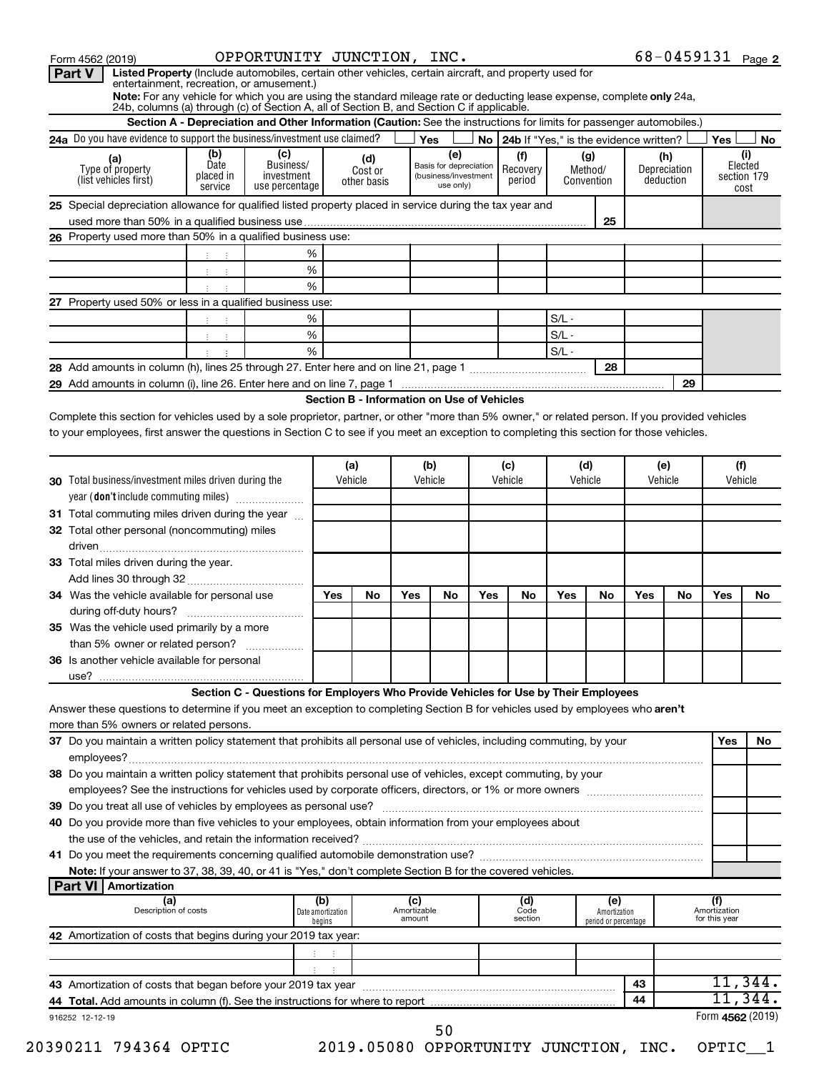| Form 4562 (2019)                                                                                                                                                    |                                                               | OPPORTUNITY JUNCTION, INC.                                                                                           |                                            |                |                    |                                   |     |                                           |         |                      |     |              |                     | $68 - 0459131$ Page 2 |
|---------------------------------------------------------------------------------------------------------------------------------------------------------------------|---------------------------------------------------------------|----------------------------------------------------------------------------------------------------------------------|--------------------------------------------|----------------|--------------------|-----------------------------------|-----|-------------------------------------------|---------|----------------------|-----|--------------|---------------------|-----------------------|
| Listed Property (Include automobiles, certain other vehicles, certain aircraft, and property used for<br>Part V                                                     |                                                               |                                                                                                                      |                                            |                |                    |                                   |     |                                           |         |                      |     |              |                     |                       |
| entertainment, recreation, or amusement.)<br>Note: For any vehicle for which you are using the standard mileage rate or deducting lease expense, complete only 24a, |                                                               |                                                                                                                      |                                            |                |                    |                                   |     |                                           |         |                      |     |              |                     |                       |
| 24b, columns (a) through (c) of Section A, all of Section B, and Section C if applicable.                                                                           |                                                               |                                                                                                                      |                                            |                |                    |                                   |     |                                           |         |                      |     |              |                     |                       |
|                                                                                                                                                                     |                                                               | Section A - Depreciation and Other Information (Caution: See the instructions for limits for passenger automobiles.) |                                            |                |                    |                                   |     |                                           |         |                      |     |              |                     |                       |
| 24a Do you have evidence to support the business/investment use claimed?                                                                                            |                                                               |                                                                                                                      |                                            |                |                    | Yes                               |     | No 24b If "Yes." is the evidence written? |         |                      |     |              | Yes                 | No                    |
|                                                                                                                                                                     | (b)                                                           | (c)                                                                                                                  |                                            |                |                    | (e)                               |     | (f)                                       |         | (g)                  |     | (h)          |                     | (i)                   |
| (a)<br>Type of property                                                                                                                                             | Date                                                          | Business/                                                                                                            |                                            | (d)<br>Cost or |                    | Basis for depreciation            |     | Recovery                                  |         | Method/              |     | Depreciation |                     | Elected               |
| (list vehicles first)                                                                                                                                               | placed in<br>service                                          | investment<br>use percentage                                                                                         |                                            | other basis    |                    | (business/investment<br>use only) |     | period                                    |         | Convention           |     | deduction    |                     | section 179<br>cost   |
|                                                                                                                                                                     |                                                               |                                                                                                                      |                                            |                |                    |                                   |     |                                           |         |                      |     |              |                     |                       |
| 25 Special depreciation allowance for qualified listed property placed in service during the tax year and                                                           |                                                               |                                                                                                                      |                                            |                |                    |                                   |     |                                           |         |                      |     |              |                     |                       |
|                                                                                                                                                                     |                                                               |                                                                                                                      |                                            |                |                    |                                   |     |                                           |         | 25                   |     |              |                     |                       |
| 26 Property used more than 50% in a qualified business use:                                                                                                         |                                                               |                                                                                                                      |                                            |                |                    |                                   |     |                                           |         |                      |     |              |                     |                       |
|                                                                                                                                                                     |                                                               |                                                                                                                      | %                                          |                |                    |                                   |     |                                           |         |                      |     |              |                     |                       |
|                                                                                                                                                                     |                                                               |                                                                                                                      | %                                          |                |                    |                                   |     |                                           |         |                      |     |              |                     |                       |
|                                                                                                                                                                     | $\mathcal{X}^{\mathcal{A}}$ and $\mathcal{X}^{\mathcal{A}}$   |                                                                                                                      | %                                          |                |                    |                                   |     |                                           |         |                      |     |              |                     |                       |
| 27 Property used 50% or less in a qualified business use:                                                                                                           |                                                               |                                                                                                                      |                                            |                |                    |                                   |     |                                           |         |                      |     |              |                     |                       |
|                                                                                                                                                                     |                                                               |                                                                                                                      | %                                          |                |                    |                                   |     |                                           | $S/L -$ |                      |     |              |                     |                       |
|                                                                                                                                                                     | 生产性的                                                          |                                                                                                                      | $\%$                                       |                |                    |                                   |     |                                           | $S/L -$ |                      |     |              |                     |                       |
|                                                                                                                                                                     | $\mathcal{X}^{\mathcal{A}}$ and $\mathcal{X}^{\mathcal{A}}$ . |                                                                                                                      | %                                          |                |                    |                                   |     |                                           | $S/L -$ |                      |     |              |                     |                       |
|                                                                                                                                                                     |                                                               |                                                                                                                      |                                            |                |                    |                                   |     |                                           |         | 28                   |     |              |                     |                       |
|                                                                                                                                                                     |                                                               |                                                                                                                      |                                            |                |                    |                                   |     |                                           |         |                      |     | 29           |                     |                       |
|                                                                                                                                                                     |                                                               |                                                                                                                      | Section B - Information on Use of Vehicles |                |                    |                                   |     |                                           |         |                      |     |              |                     |                       |
| Complete this section for vehicles used by a sole proprietor, partner, or other "more than 5% owner," or related person. If you provided vehicles                   |                                                               |                                                                                                                      |                                            |                |                    |                                   |     |                                           |         |                      |     |              |                     |                       |
| to your employees, first answer the questions in Section C to see if you meet an exception to completing this section for those vehicles.                           |                                                               |                                                                                                                      |                                            |                |                    |                                   |     |                                           |         |                      |     |              |                     |                       |
|                                                                                                                                                                     |                                                               |                                                                                                                      |                                            |                |                    |                                   |     |                                           |         |                      |     |              |                     |                       |
|                                                                                                                                                                     |                                                               |                                                                                                                      |                                            |                |                    |                                   |     |                                           |         |                      |     |              |                     |                       |
|                                                                                                                                                                     |                                                               |                                                                                                                      |                                            | (a)            |                    | (b)                               |     | (c)                                       | (d)     |                      |     | (e)          |                     | (f)                   |
| <b>30</b> Total business/investment miles driven during the                                                                                                         |                                                               |                                                                                                                      |                                            | Vehicle        |                    | Vehicle                           |     | Vehicle                                   | Vehicle |                      |     | Vehicle      |                     | Vehicle               |
| year (don't include commuting miles)                                                                                                                                |                                                               |                                                                                                                      |                                            |                |                    |                                   |     |                                           |         |                      |     |              |                     |                       |
| 31 Total commuting miles driven during the year                                                                                                                     |                                                               |                                                                                                                      |                                            |                |                    |                                   |     |                                           |         |                      |     |              |                     |                       |
| 32 Total other personal (noncommuting) miles                                                                                                                        |                                                               |                                                                                                                      |                                            |                |                    |                                   |     |                                           |         |                      |     |              |                     |                       |
|                                                                                                                                                                     |                                                               |                                                                                                                      |                                            |                |                    |                                   |     |                                           |         |                      |     |              |                     |                       |
| 33 Total miles driven during the year.                                                                                                                              |                                                               |                                                                                                                      |                                            |                |                    |                                   |     |                                           |         |                      |     |              |                     |                       |
|                                                                                                                                                                     |                                                               |                                                                                                                      |                                            |                |                    |                                   |     |                                           |         |                      |     |              |                     |                       |
| 34 Was the vehicle available for personal use                                                                                                                       |                                                               |                                                                                                                      | Yes                                        | No             | Yes                | No                                | Yes | No                                        | Yes     | No                   | Yes | No           | Yes                 | No                    |
|                                                                                                                                                                     |                                                               |                                                                                                                      |                                            |                |                    |                                   |     |                                           |         |                      |     |              |                     |                       |
| 35 Was the vehicle used primarily by a more                                                                                                                         |                                                               |                                                                                                                      |                                            |                |                    |                                   |     |                                           |         |                      |     |              |                     |                       |
| than 5% owner or related person?                                                                                                                                    |                                                               |                                                                                                                      |                                            |                |                    |                                   |     |                                           |         |                      |     |              |                     |                       |
| 36 Is another vehicle available for personal                                                                                                                        |                                                               |                                                                                                                      |                                            |                |                    |                                   |     |                                           |         |                      |     |              |                     |                       |
|                                                                                                                                                                     |                                                               |                                                                                                                      |                                            |                |                    |                                   |     |                                           |         |                      |     |              |                     |                       |
|                                                                                                                                                                     |                                                               |                                                                                                                      |                                            |                |                    |                                   |     |                                           |         |                      |     |              |                     |                       |
|                                                                                                                                                                     |                                                               | Section C - Questions for Employers Who Provide Vehicles for Use by Their Employees                                  |                                            |                |                    |                                   |     |                                           |         |                      |     |              |                     |                       |
| Answer these questions to determine if you meet an exception to completing Section B for vehicles used by employees who aren't                                      |                                                               |                                                                                                                      |                                            |                |                    |                                   |     |                                           |         |                      |     |              |                     |                       |
| more than 5% owners or related persons.                                                                                                                             |                                                               |                                                                                                                      |                                            |                |                    |                                   |     |                                           |         |                      |     |              |                     |                       |
| 37 Do you maintain a written policy statement that prohibits all personal use of vehicles, including commuting, by your                                             |                                                               |                                                                                                                      |                                            |                |                    |                                   |     |                                           |         |                      |     |              | Yes                 | <b>No</b>             |
|                                                                                                                                                                     |                                                               |                                                                                                                      |                                            |                |                    |                                   |     |                                           |         |                      |     |              |                     |                       |
| 38 Do you maintain a written policy statement that prohibits personal use of vehicles, except commuting, by your                                                    |                                                               |                                                                                                                      |                                            |                |                    |                                   |     |                                           |         |                      |     |              |                     |                       |
|                                                                                                                                                                     |                                                               |                                                                                                                      |                                            |                |                    |                                   |     |                                           |         |                      |     |              |                     |                       |
|                                                                                                                                                                     |                                                               |                                                                                                                      |                                            |                |                    |                                   |     |                                           |         |                      |     |              |                     |                       |
| 40 Do you provide more than five vehicles to your employees, obtain information from your employees about                                                           |                                                               |                                                                                                                      |                                            |                |                    |                                   |     |                                           |         |                      |     |              |                     |                       |
|                                                                                                                                                                     |                                                               |                                                                                                                      |                                            |                |                    |                                   |     |                                           |         |                      |     |              |                     |                       |
|                                                                                                                                                                     |                                                               |                                                                                                                      |                                            |                |                    |                                   |     |                                           |         |                      |     |              |                     |                       |
| Note: If your answer to 37, 38, 39, 40, or 41 is "Yes," don't complete Section B for the covered vehicles.                                                          |                                                               |                                                                                                                      |                                            |                |                    |                                   |     |                                           |         |                      |     |              |                     |                       |
| Part VI   Amortization                                                                                                                                              |                                                               |                                                                                                                      |                                            |                |                    |                                   |     |                                           |         |                      |     |              |                     |                       |
| (a)                                                                                                                                                                 |                                                               |                                                                                                                      | (b)                                        |                |                    |                                   |     |                                           |         | (e)                  |     |              |                     |                       |
| Description of costs                                                                                                                                                |                                                               |                                                                                                                      | Date amortization                          |                | (c)<br>Amortizable |                                   |     | (d)<br><sup>Code</sup>                    |         | Amortization         |     |              | (f)<br>Amortization |                       |
|                                                                                                                                                                     |                                                               |                                                                                                                      | begins                                     |                | amount             |                                   |     | section                                   |         | period or percentage |     |              | for this year       |                       |
| 42 Amortization of costs that begins during your 2019 tax year:                                                                                                     |                                                               |                                                                                                                      |                                            |                |                    |                                   |     |                                           |         |                      |     |              |                     |                       |
|                                                                                                                                                                     |                                                               |                                                                                                                      | 主义主义                                       |                |                    |                                   |     |                                           |         |                      |     |              |                     |                       |
|                                                                                                                                                                     |                                                               |                                                                                                                      |                                            |                |                    |                                   |     |                                           |         |                      |     |              |                     |                       |
|                                                                                                                                                                     |                                                               |                                                                                                                      |                                            |                |                    |                                   |     |                                           |         |                      | 43  |              |                     | $11,344$ .            |
|                                                                                                                                                                     |                                                               |                                                                                                                      |                                            |                |                    |                                   |     |                                           |         |                      | 44  |              |                     | 11,344。               |
| 916252 12-12-19                                                                                                                                                     |                                                               |                                                                                                                      |                                            |                |                    |                                   |     |                                           |         |                      |     |              |                     | Form 4562 (2019)      |
|                                                                                                                                                                     |                                                               |                                                                                                                      |                                            |                |                    | 50                                |     |                                           |         |                      |     |              |                     |                       |